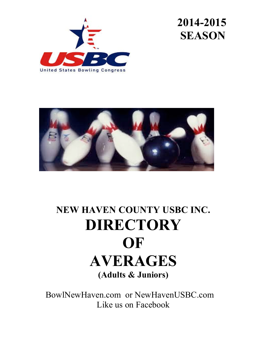





## **NEW HAVEN COUNTY USBC INC. DIRECTORY OF AVERAGES (Adults & Juniors)**

 BowlNewHaven.com or NewHavenUSBC.com Like us on Facebook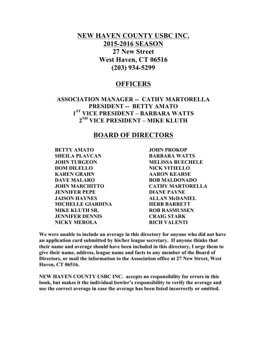### **NEW HAVEN COUNTY USBC INC. 2015-2016 SEASON 27 New Street West Haven, CT 06516 (203) 934-5299**

### **OFFICERS**

### **ASSOCIATION MANAGER -- CATHY MARTORELLA PRESIDENT -- BETTY AMATO 1ST VICE PRESIDENT – BARBARA WATTS 2ND VICE PRESIDENT – MIKE KLUTH**

### **BOARD OF DIRECTORS**

**BETTY AMATO JOHN PROKOP SHEILA PLAVCAN BARBARA WATTS JOHN TURGEON MELISSA BUECHELE DOM DILELLO NICK VITIELLO KAREN GRAHN AARON KEARSE DAVE MALARO BOB MALDONADO JENNIFER PEPE DIANE PAYNE JAISON HAYNES ALLAN McDANIEL MICHELLE GIARDINA HERB BARRETT MIKE KLUTH SR. ROB RASMUSSEN JENNIFER DENNIS CRAIG STARK NICKY MEROLA RICH VALENTI**

**JOHN MARCHITTO CATHY MARTORELLA**

**We were unable to include an average in this directory for anyone who did not have an application card submitted by his/her league secretary. If anyone thinks that their name and average should have been included in this directory, I urge them to give their name, address, league name and facts to any member of the Board of Directors, or mail the information to the Association office at 27 New Street, West Haven, CT 06516.**

**NEW HAVEN COUNTY USBC INC. accepts no responsibility for errors in this book, but makes it the individual bowler's responsibility to verify the average and use the correct average in case the average has been listed incorrectly or omitted.**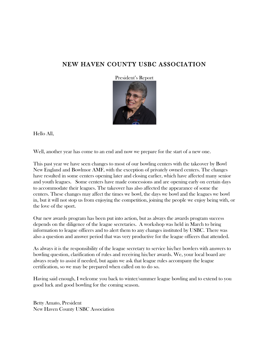### NEW HAVEN COUNTY USBC ASSOCIATION

President's Report



Hello All,

Well, another year has come to an end and now we prepare for the start of a new one.

This past year we have seen changes to most of our bowling centers with the takeover by Bowl New England and Bowlmor AMF, with the exception of privately owned centers. The changes have resulted in some centers opening later and closing earlier, which have affected many senior and youth leagues. Some centers have made concessions and are opening early on certain days to accommodate their leagues. The takeover has also affected the appearance of some the centers. These changes may affect the times we bowl, the days we bowl and the leagues we bowl in, but it will not stop us from enjoying the competition, joining the people we enjoy being with, or the love of the sport.

Our new awards program has been put into action, but as always the awards program success depends on the diligence of the league secretaries. A workshop was held in March to bring information to league officers and to alert them to any changes instituted by USBC. There was also a question and answer period that was very productive for the league officers that attended.

As always it is the responsibility of the league secretary to service his/her bowlers with answers to bowling question, clarification of rules and receiving his/her awards. We, your local board are always ready to assist if needed, but again we ask that league rules accompany the league certification, so we may be prepared when called on to do so.

Having said enough, I welcome you back to winter/summer league bowling and to extend to you good luck and good bowling for the coming season.

Betty Amato, President New Haven County USBC Association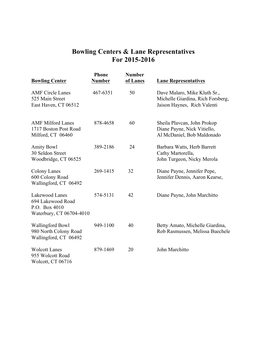### **Bowling Centers & Lane Representatives For 2015-2016**

| <b>Bowling Center</b>                                                            | <b>Phone</b><br><b>Number</b> | <b>Number</b><br>of Lanes | <b>Lane Representatives</b>                                                                      |
|----------------------------------------------------------------------------------|-------------------------------|---------------------------|--------------------------------------------------------------------------------------------------|
| <b>AMF</b> Circle Lanes<br>525 Main Street<br>East Haven, CT 06512               | 467-6351                      | 50                        | Dave Malaro, Mike Kluth Sr.,<br>Michelle Giardina, Rich Forsberg,<br>Jaison Haynes, Rich Valenti |
| <b>AMF Milford Lanes</b><br>1717 Boston Post Road<br>Milford, CT 06460           | 878-4658                      | 60                        | Sheila Plavcan, John Prokop<br>Diane Payne, Nick Vitiello,<br>Al McDaniel, Bob Maldonado         |
| <b>Amity Bowl</b><br>30 Seldon Street<br>Woodbridge, CT 06525                    | 389-2186                      | 24                        | Barbara Watts, Herb Barrett<br>Cathy Martorella,<br>John Turgeon, Nicky Merola                   |
| <b>Colony Lanes</b><br>600 Colony Road<br>Wallingford, CT 06492                  | 269-1415                      | 32                        | Diane Payne, Jennifer Pepe,<br>Jennifer Dennis, Aaron Kearse,                                    |
| Lakewood Lanes<br>694 Lakewood Road<br>P.O. Box 4010<br>Waterbury, CT 06704-4010 | 574-5131                      | 42                        | Diane Payne, John Marchitto                                                                      |
| <b>Wallingford Bowl</b><br>980 North Colony Road<br>Wallingford, CT 06492        | 949-1100                      | 40                        | Betty Amato, Michelle Giardina,<br>Rob Rasmussen, Melissa Buechele                               |
| <b>Wolcott Lanes</b><br>955 Wolcott Road<br>Wolcott, CT 06716                    | 879-1469                      | 20                        | John Marchitto                                                                                   |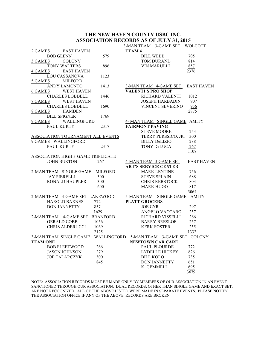### **THE NEW HAVEN COUNTY USBC INC. ASSOCIATION RECORDS AS OF JULY 31, 2015** 3-MAN TEAM 3-GAME SET WOLCOTT

|                 |                                    |      | <u>3-MAN IEAM 3-GAME SEI</u>                                    | WULCUTI           |
|-----------------|------------------------------------|------|-----------------------------------------------------------------|-------------------|
| 2 GAMES         | EAST HAVEN                         |      | <b>TEAM4</b>                                                    |                   |
|                 | <b>BOB GLENN</b>                   | 579  | <b>BILL WEBB</b>                                                | 705               |
| 3 GAMES         | COLONY                             |      | TOM DURAND                                                      | 814               |
|                 | TONY WALTERS                       | 896  | <b>VIN MARULLI</b>                                              | 857               |
| 4 GAMES         | <b>EAST HAVEN</b>                  |      |                                                                 | 2376              |
|                 | <b>LOU CASSANOVA</b>               | 1123 |                                                                 |                   |
| 5 GAMES         | <b>MILFORD</b>                     |      |                                                                 |                   |
|                 | ANDY LAMONTO                       | 1413 | 3-MAN TEAM 4-GAME SET EAST HAVEN                                |                   |
| 6 GAMES         | <b>WEST HAVEN</b>                  |      | <b>VALENTI'S PRO SHOP</b>                                       |                   |
|                 | <b>CHARLES LOBDELL</b>             | 1446 | RICHARD VALENTI                                                 | 1012              |
| 7 GAMES         | <b>WEST HAVEN</b>                  |      | <b>JOSEPH HARBADIN</b>                                          | 907               |
|                 | <b>CHARLES LOBDELL</b>             | 1690 | VINCENT SEVERINO                                                | 956               |
| 8 GAMES         | <b>HAMDEN</b>                      |      |                                                                 | 2875              |
|                 | <b>BILL SPIGNER</b>                | 1769 |                                                                 |                   |
|                 | 9 GAMES<br>WALLINGFORD             |      | 4- MAN TEAM SINGLE GAME AMITY                                   |                   |
|                 | <b>PAUL KURTY</b>                  | 2317 | <b>FAIRMONT PAVING</b>                                          |                   |
|                 |                                    |      | <b>STEVE MOORE</b>                                              | 253               |
|                 | ASSOCIATION TOURNAMENT ALL EVENTS  |      | TERRY PERSSICO, JR.                                             | 300               |
|                 | 9 GAMES - WALLINGFORD              |      | <b>BILLY DeLIZIO</b>                                            | 288               |
|                 | <b>PAUL KURTY</b>                  | 2317 | TONY DeLUCA                                                     | 267               |
|                 |                                    |      |                                                                 | 1108              |
|                 | ASSOCIATION HIGH 3-GAME TRIPLICATE |      |                                                                 |                   |
|                 | <b>JOHN BURTON</b>                 | 267  | 4-MAN TEAM 3-GAME SET                                           | <b>EAST HAVEN</b> |
|                 |                                    |      | <b>ART'S SERVICE CENTER</b>                                     |                   |
|                 | 2-MAN TEAM SINGLE GAME MILFORD     |      | <b>MARK LENTINE</b>                                             | 756               |
|                 | <b>JAY PIERELLI</b>                | 300  | <b>STEVE SPLAIN</b>                                             | 688               |
|                 | <b>RONALD HAUPLER</b>              | 300  | <b>CHRIS REBSTOCK</b>                                           | 803               |
|                 |                                    | 600  | <b>MARK HUGO</b>                                                | 817               |
|                 |                                    |      |                                                                 | 3064              |
|                 | 2-MAN TEAM 3-GAME SET LAKEWOOD     |      | 5-MAN TEAM SINGLE GAME                                          | <b>AMITY</b>      |
|                 | <b>HAROLD BARNES</b>               | 772  | <b>PLATT GROCERS</b>                                            |                   |
|                 | <b>DON JANNETTY</b>                | 857  | <b>JOE CYR</b>                                                  | 297               |
|                 |                                    | 1629 | ANGELO VACCARO                                                  | 257               |
|                 | 2-MAN TEAM 4-GAME SET BRANFORD     |      | RICHARD VISSELLI                                                | 266               |
|                 | <b>GERALD COBB</b>                 | 1056 | <b>BARRY BRESLOF</b>                                            | 257               |
|                 | <b>CHRIS ALDERUCCI</b>             | 1069 | <b>KERK FOSTER</b>                                              | 255               |
|                 |                                    | 2125 |                                                                 | 1332              |
|                 |                                    |      | 3-MAN TEAM SINGLE GAME WALLINGFORD 5-MAN TEAM 3-GAME SET COLONY |                   |
| <b>TEAM ONE</b> |                                    |      | <b>NEWTOWN CAR CARE</b>                                         |                   |
|                 | <b>BOB FLEETWOOD</b>               | 266  | PAUL PLOURDE                                                    | 772               |
|                 |                                    | 279  | <b>LYDELLE HICKEY</b>                                           |                   |
|                 | <b>JASON JOHNSON</b>               |      |                                                                 | 826               |
|                 | <b>JOE TALARCZYK</b>               | 300  | <b>BILL KOLO</b>                                                | 735               |
|                 |                                    | 845  | <b>DON JANNETTY</b>                                             | 651               |
|                 |                                    |      | K. GEMMELL                                                      | 695               |
|                 |                                    |      |                                                                 | 3679              |

NOTE: ASSOCIATION RECORDS MUST BE MADE ONLY BY MEMBERS OF OUR ASSOCIATION IN AN EVENT SANCTIONED THROUGH OUR ASSOCIATION. DUAL RECORDS, OTHER THAN SINGLE GAME AND EXACT SET, ARE NOT RECOGNIZED. ALL OF THE ABOVE LISTED WERE MADE IN SEPARATE EVENTS. PLEASE NOTIFY THE ASSOCIATION OFFICE IF ANY OF THE ABOVE RECORDS ARE BROKEN.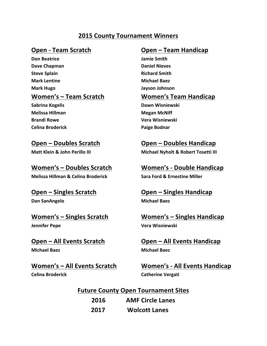### **2015 County Tournament Winners**

**Don Beatrice Jamie Smith Dave Chapman Daniel Nieves Steve Splain Richard Smith Mark Lentine Michael Baez Mark Hugo Jayson Johnson** 

**Melissa Hillman Melissa Hillman Megan McNiff Celina Broderick Paige Bodnar** 

**Melissa Hillman & Celina Broderick Sara Ford & Ernestine Miller** 

**Dan SanAngelo Michael Baez** 

### **Women's** – Singles Scratch **Women's** – Singles Handicap

**Michael Baez Michael Baez**

**Celina Broderick Catherine Vergati** 

### **Open - Team Scratch Open – Team Handicap**

### Women's – Team Scratch **Women's Team Handicap**

**Sabrina Kogelis Dawn Wisniewski Brandi Rowe Vera Wisniewski** 

### **Open – Doubles Scratch Open – Doubles Handicap**

**Matt Klein & John Perillo III Michael Nyholt & Robert Tosetti III** 

### **Women's – Doubles Scratch Women's - Double Handicap**

### **Open – Singles Scratch Chandicap Open – Singles Handicap**

**Jennifer Pepe Vera Wisniewski** 

**Open – All Events Scratch Open – All Events Handicap** 

**Women's - All Events Scratch Women's - All Events Handicap** 

**Future County Open Tournament Sites 2016 AMF Circle Lanes 2017 Wolcott Lanes**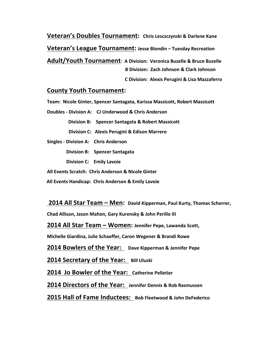**Veteran's Doubles Tournament:** Chris Lesczczynski & Darlene Kane **Veteran's League Tournament: Jesse Blondin - Tuesday Recreation Adult/Youth Tournament: A Division: Veronica Buzelle & Bruce Buzelle B Division: Zach Johnson & Clark Johnson** 

**C Division: Alexis Perugini & Lisa Mazzaferro** 

### **County Youth Tournament:**

Team: Nicole Ginter, Spencer Santagata, Karissa Massicott, Robert Massicott

**Doubles - Division A: CJ Underwood & Chris Anderson**

**Division B:** Spencer Santagata & Robert Massicott

**Division C: Alexis Perugini & Edison Marrero** 

**Singles - Division A: Chris Anderson**

**Division B:** Spencer Santagata

**Division C: Emily Lavoie** 

**All Events Scratch: Chris Anderson & Nicole Ginter** 

**All Events Handicap: Chris Anderson & Emily Lavoie** 

**2014 All Star Team – Men: David Kipperman, Paul Kurty, Thomas Scherrer,** 

**Chad Allison, Jason Mahon, Gary Kurensky & John Perillo III** 

**2014 All Star Team – Women: Jennifer Pepe, Lawanda Scott,** 

**Michelle Giardina, Julie Schaeffer, Caron Wegener & Brandi Rowe** 

**2014 Bowlers of the Year:** Dave Kipperman & Jennifer Pepe

**2014 Secretary of the Year:** Bill Uluski

**2014 Jo Bowler of the Year: Catherine Pelletier**

**2014 Directors of the Year: Jennifer Dennis & Rob Rasmussen**

**2015 Hall of Fame Inductees: Bob Fleetwood & John DeFederico**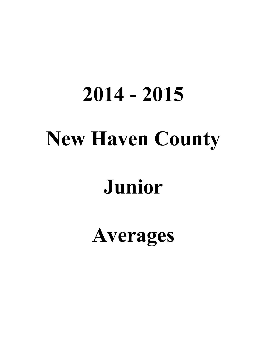# **2014 - 2015 New Haven County**

## **Junior**

**Averages**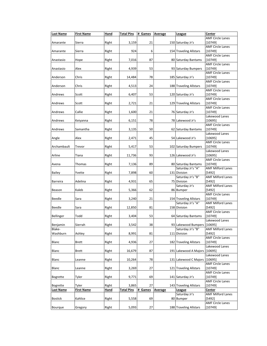| <b>Last Name</b>   | <b>First Name</b> | Hand        | <b>Total Pins</b> | # Games | Average        | League                            | Center                             |
|--------------------|-------------------|-------------|-------------------|---------|----------------|-----------------------------------|------------------------------------|
| Amarante           | Sierra            | Right       | 3,159             | 21      |                | 150 Saturday Jr's                 | <b>AMF Circle Lanes</b><br>[10749] |
| Amarante           | Sierra            | Right       | 924               | 6       |                | 154 Traveling Allstars            | <b>AMF Circle Lanes</b><br>[10749] |
| Anastasio          | Hope              | Right       | 7,016             | 87      |                | 80 Saturday Bantams               | <b>AMF Circle Lanes</b><br>[10749] |
| Anastasio          | Alex              | Right       | 4,939             | 53      |                | 93 Saturday Bumpers               | <b>AMF Circle Lanes</b><br>[10749] |
| Anderson           | Chris             | Right       | 14,484            | 78      |                | 185 Saturday Jr's                 | <b>AMF Circle Lanes</b><br>[10749] |
| Anderson           | Chris             | Right       | 4,513             | 24      |                | 188 Traveling Allstars            | <b>AMF Circle Lanes</b><br>[10749] |
| Andrews            | Scott             | Right       | 6,407             | 53      |                | 120 Saturday Jr's                 | <b>AMF Circle Lanes</b><br>[10749] |
| Andrews            | Scott             | Right       | 2,721             | 21      |                | 129 Traveling Allstars            | <b>AMF Circle Lanes</b><br>[10749] |
| Andrews            | Callie            | Right       | 1,600             | 21      |                | 76 Saturday Jr's                  | <b>AMF Circle Lanes</b><br>[10749] |
|                    |                   |             |                   |         |                |                                   | Lakewood Lanes                     |
| Andrews            | Keiyanna          | Right       | 6,151             | 78      |                | 78 Lakewood Jr's                  | [10695]<br><b>AMF Circle Lanes</b> |
| Andrews            | Samantha          | Right       | 3,135             | 50      |                | 62 Saturday Bantams               | [10749]<br>Lakewood Lanes          |
| Angle              | Alex              | Right       | 2,471             | 45      |                | 54 Lakewood Jr's                  | [10695]                            |
| Archambault        | Trevor            | Right       | 5,417             | 53      |                | 102 Saturday Bumpers              | <b>AMF Circle Lanes</b><br>[10749] |
| Arline             | Tiana             | Right       | 11,736            | 93      |                | 126 Lakewood Jr's                 | Lakewood Lanes<br>[10695]          |
| Avena              | Thomas            | Right       | 7,136             | 89      |                | 80 Saturday Bantams               | <b>AMF Circle Lanes</b><br>[10749] |
|                    |                   |             |                   | 60      |                | Saturday Jr's "A"                 | <b>AMF Milford Lanes</b>           |
| Bailey             | Yvette            | Right       | 7,898             |         |                | 131 Division<br>Saturday Jr's "B" | [5492]<br><b>AMF Milford Lanes</b> |
| Barreira           | Adelina           | Right       | 4,931             | 65      |                | 75 Division<br>Saturday Jr's      | [5492]<br><b>AMF Milford Lanes</b> |
| Beason             | Kaleb             | Right       | 5,366             | 62      |                | 86 Bumper                         | [5492]                             |
| Beedle             | Sara              | Right       | 3,240             | 21      |                | 154 Traveling Allstars            | <b>AMF Circle Lanes</b><br>[10749] |
| Beedle             | Sara              | Right       | 12,850            | 81      |                | Saturday Jr's "A"<br>158 Division | <b>AMF Milford Lanes</b><br>[5492] |
| Bellinger          | Todd              | Right       | 3,404             | 53      |                | 64 Saturday Bantams               | <b>AMF Circle Lanes</b><br>[10749] |
| Benjamin           | Sierrah           | Right       | 3,542             | 38      |                | 93 Lakewood Bumpers               | Lakewood Lanes<br>[10695]          |
| Blake-<br>Washburn | Ashley            | Right       | 8,991             | 81      |                | Saturday Jr's "B"<br>111 Division | <b>AMF Milford Lanes</b><br>[5492] |
|                    |                   |             |                   |         |                |                                   | <b>AMF Circle Lanes</b>            |
| Blanc              | Brett             | Right       | 4,936             | 27      |                | 182 Traveling Allstars            | [10749]<br>Lakewood Lanes          |
| Blanc              | Brett             | Right       | 16,679            | 87      |                | 191 Lakewood A Majors             | [10695]                            |
| Blanc              | Leanne            | Right       | 10,264            | 78      |                | 131 Lakewood C Majors             | Lakewood Lanes<br>[10695]          |
| Blanc              | Leanne            | Right       | 3,269             | 27      |                | 121 Traveling Allstars            | <b>AMF Circle Lanes</b><br>[10749] |
| Bogrette           | Tyler             | Right       | 9,771             | 69      |                | 141 Saturday Jr's                 | <b>AMF Circle Lanes</b><br>[10749] |
| Bogrette           | Tyler             | Right       | 3,865             | 27      |                | 143 Traveling Allstars            | <b>AMF Circle Lanes</b><br>[10749] |
| <b>Last Name</b>   | <b>First Name</b> | <u>Hand</u> | <b>Total Pins</b> | # Games | <b>Average</b> | League                            | Center                             |
| <b>Bostick</b>     | Kahlice           | Right       | 5,558             | 69      |                | Saturday Jr's<br>80 Bumper        | <b>AMF Milford Lanes</b><br>[5492] |
| Bourque            | Gregory           | Right       | 5,093             | 27      |                | 188 Traveling Allstars            | <b>AMF Circle Lanes</b><br>[10749] |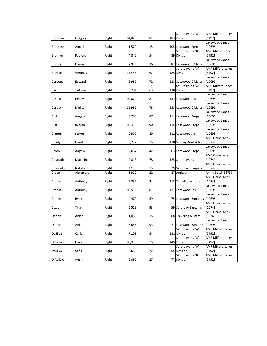|                 |           |       |        |    | Saturday Jr's "A"             | <b>AMF Milford Lanes</b> |
|-----------------|-----------|-------|--------|----|-------------------------------|--------------------------|
| Bourque         | Gregory   | Right | 14,870 | 81 | 183 Division                  | [5492]                   |
|                 |           |       |        |    |                               | Lakewood Lanes           |
| <b>Brantley</b> | Amari     | Right | 1,579  | 15 | 105 Lakewood Preps            | [10695]                  |
|                 |           |       |        |    | Saturday Jr's "B"             | <b>AMF Milford Lanes</b> |
| <b>Bromley</b>  | Rayford   | Right | 4,842  | 54 | 89 Division                   | [5492]                   |
|                 |           |       |        |    |                               | Lakewood Lanes           |
| <b>Burrus</b>   | Darius    | Right | 2,970  | 36 | 82 Lakewood C Majors          | [10695]                  |
|                 |           |       |        |    | Saturday Jr's "A"             | <b>AMF Milford Lanes</b> |
| <b>Buzelle</b>  | Veronica  | Right | 11,483 | 62 | 185 Division                  | [5492]                   |
|                 |           |       |        |    |                               | Lakewood Lanes           |
| Cardona         | Edward    | Right | 9,986  | 72 | 138 Lakewood C Majors         | [10695]                  |
|                 |           |       |        |    | Saturday Jr's "A"             | <b>AMF Milford Lanes</b> |
| Carr            | Ja-Quie   | Right | 8,701  | 63 | 138 Division                  | [5492]                   |
|                 |           |       |        |    |                               | Lakewood Lanes           |
| Castro          | Emely     | Right | 10,672 | 81 | 131 Lakewood Jr's             | [10695]                  |
|                 |           |       |        |    |                               | Lakewood Lanes           |
| Castro          | Melisa    | Right | 11,936 | 78 | 153 Lakewood C Majors         | [10695]                  |
|                 |           |       |        |    |                               | Lakewood Lanes           |
| Cipi            | Angela    | Right | 9,708  | 87 | 111 Lakewood Preps            | [10695]                  |
|                 |           |       |        |    |                               | Lakewood Lanes           |
| Cipi            | Redjan    | Right | 10,396 | 90 | 115 Lakewood Preps            | [10695]                  |
|                 |           |       |        |    |                               | Lakewood Lanes           |
| Clinton         | Storm     | Right | 9,990  | 89 | 112 Lakewood Jr's             | [10695]                  |
|                 |           |       |        |    |                               | <b>AMF Circle Lanes</b>  |
| Coady           | Derek     | Right | 8,272  | 75 | 110 Sunday Adult/Child        | [10749]                  |
|                 |           |       |        |    |                               | Lakewood Lanes           |
| Colon           | Angela    | Right | 2,687  | 42 | 63 Lakewood Preps             | [10695]                  |
|                 |           |       |        |    |                               | <b>AMF Circle Lanes</b>  |
| Criscuolo       | Madeline  | Right | 9,813  | 78 | 125 Saturday Jr's             | [10749]                  |
|                 |           |       |        |    |                               | <b>AMF Circle Lanes</b>  |
| Criscuolo       | Natalie   | Right | 4,136  | 55 | 75 Saturday Bumpers           | [10749]                  |
| Croce           | Alexandra | Right | 1,920  | 22 | 87 Amity Jr's                 | Amity Bowl [3673]        |
|                 |           |       |        |    |                               | <b>AMF Circle Lanes</b>  |
| Cronin          | Anthony   | Right | 2,835  | 24 | 118 Traveling Allstars        | [10749]                  |
|                 |           |       |        |    |                               | Lakewood Lanes           |
| Cronin          | Anthony   | Right | 10,533 | 87 | 121 Lakewood Jr's             | [10695]                  |
|                 |           |       |        |    |                               | Lakewood Lanes           |
| Cronin          | Ryan      | Right | 4,472  | 59 | 75 Lakewood Bumpers [10695]   |                          |
|                 |           |       |        |    |                               | <b>AMF Circle Lanes</b>  |
| Cuzio           | Tylar     | Right | 5,513  | 93 | 59 Saturday Bantams           | [10749]                  |
|                 |           |       |        |    |                               | <b>AMF Circle Lanes</b>  |
| Dalton          | Aidan     | Right | 1,033  | 15 | 68 Traveling Allstars         | [10749]                  |
|                 |           |       |        |    |                               | Lakewood Lanes           |
| Dalton          | Aidan     | Right | 6,655  | 93 | 71 Lakewood Bantams   [10695] |                          |
|                 |           |       |        |    | Saturday Jr's "A"             | <b>AMF Milford Lanes</b> |
| DaSilva         | Carla     | Right | 7,109  | 54 | 131 Division                  | [5492]                   |
|                 |           |       |        |    | Saturday Jr's "A"             | <b>AMF Milford Lanes</b> |
| DaSilva         | David     | Right | 10,906 | 75 | 145 Division                  | [5492]                   |
|                 |           |       |        |    | Saturday Jr's "A"             | <b>AMF Milford Lanes</b> |
| DaSilva         | Sofia     | Right | 4,688  | 72 | 65 Division                   | [5492]                   |
|                 |           |       |        |    | Saturday Jr's "B"             | <b>AMF Milford Lanes</b> |
| D'Aulizio       | Austin    | Right | 2,090  | 27 | 77 Division                   | [5492]                   |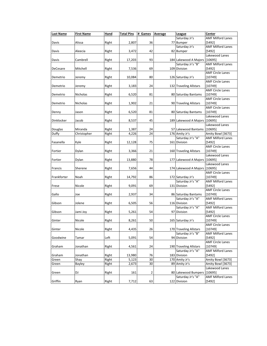| <b>Last Name</b> | <b>First Name</b> | Hand  | <b>Total Pins</b> | # Games | <b>Average</b> | League                        | Center                   |
|------------------|-------------------|-------|-------------------|---------|----------------|-------------------------------|--------------------------|
|                  |                   |       |                   |         |                | Saturday Jr's                 | <b>AMF Milford Lanes</b> |
| Davis            | Alissa            | Right | 2,807             | 36      |                | 77 Bumper                     | [5492]                   |
|                  |                   |       |                   |         |                | Saturday Jr's                 | <b>AMF Milford Lanes</b> |
| Davis            | Aleecia           | Right | 3,472             | 42      |                | 82 Bumper                     | [5492]                   |
|                  |                   |       |                   |         |                |                               | Lakewood Lanes           |
| Davis            | Cambrell          | Right | 17,203            | 93      |                | 184 Lakewood A Majors         | [10695]                  |
|                  |                   |       |                   |         |                | Saturday Jr's "B"             | <b>AMF Milford Lanes</b> |
| DeCesare         | Mitchell          | Right | 7,536             | 69      |                | 109 Division                  | [5492]                   |
|                  |                   |       |                   |         |                |                               | <b>AMF Circle Lanes</b>  |
| Demetrio         | Jeremy            | Right | 10,084            | 80      |                | 126 Saturday Jr's             | [10749]                  |
|                  |                   |       |                   |         |                |                               | <b>AMF Circle Lanes</b>  |
| Demetrio         | Jeremy            | Right | 3,183             | 24      |                | 132 Traveling Allstars        | [10749]                  |
|                  |                   |       |                   |         |                |                               | <b>AMF Circle Lanes</b>  |
| Demetrio         | Nicholas          | Right |                   | 81      |                | 80 Saturday Bantams           | [10749]                  |
|                  |                   |       | 6,520             |         |                |                               |                          |
|                  |                   |       |                   |         |                |                               | <b>AMF Circle Lanes</b>  |
| Demetrio         | Nicholas          | Right | 1,902             | 21      |                | 90 Traveling Allstars         | [10749]                  |
|                  |                   |       |                   |         |                |                               | <b>AMF Circle Lanes</b>  |
| Denny            | Jason             | Right | 6,520             | 81      |                | 80 Saturday Bantams           | [10749]                  |
|                  |                   |       |                   |         |                |                               | Lakewood Lanes           |
| Dinklocker       | Jacob             | Right | 8,537             | 45      |                | 189 Lakewood A Majors [10695] |                          |
|                  |                   |       |                   |         |                |                               | Lakewood Lanes           |
| Douglas          | Miranda           | Right | 1,387             | 24      |                | 57 Lakewood Bantams           | [10695]                  |
| Duffy            | Christopher       | Right | 4,226             | 24      |                | 176 Amity Jr's                | Amity Bowl [3673]        |
|                  |                   |       |                   |         |                | Saturday Jr's "A"             | <b>AMF Milford Lanes</b> |
| Fasanella        | Kyle              | Right | 12,128            | 75      |                | 161 Division                  | [5492]                   |
|                  |                   |       |                   |         |                |                               | <b>AMF Circle Lanes</b>  |
| Fortier          | Dylan             | Right | 3,366             | 21      |                | 160 Traveling Allstars        | [10749]                  |
|                  |                   |       |                   |         |                |                               | Lakewood Lanes           |
| Fortier          | Dylan             | Right | 13,880            | 78      |                | 177 Lakewood A Majors [10695] |                          |
|                  |                   |       |                   |         |                |                               | Lakewood Lanes           |
| Francis          | Sherene           | Right | 7,656             | 44      |                | 174 Lakewood A Majors         | [10695]                  |
|                  |                   |       |                   |         |                |                               | <b>AMF Circle Lanes</b>  |
| Frankforter      | Noah              | Right | 14,792            | 86      |                | 172 Saturday Jr's             | [10749]                  |
|                  |                   |       |                   |         |                | Saturday Jr's "A"             | <b>AMF Milford Lanes</b> |
|                  |                   |       | 9,091             | 69      |                | 131 Division                  | [5492]                   |
| Frese            | Nicole            | Right |                   |         |                |                               | <b>AMF Circle Lanes</b>  |
|                  |                   |       |                   |         |                |                               |                          |
| Gallo            | Joe               | Right | 2,937             | 34      |                | 86 Saturday Bantams           | [10749]                  |
|                  |                   |       |                   |         |                | Saturday Jr's "A"             | <b>AMF Milford Lanes</b> |
| Gibson           | Jolene            | Right | 6,505             | 56      |                | 116 Division                  | [5492]                   |
|                  |                   |       |                   |         |                | Saturday Jr's "A"             | <b>AMF Milford Lanes</b> |
| Gibson           | Jami Joy          | Right | 5,261             | 54      |                | 97 Division                   | [5492]                   |
|                  |                   |       |                   |         |                |                               | <b>AMF Circle Lanes</b>  |
| Ginter           | Nicole            | Right | 8,261             | 50      |                | 165 Saturday Jr's             | [10749]                  |
|                  |                   |       |                   |         |                |                               | <b>AMF Circle Lanes</b>  |
| Ginter           | Nicole            | Right | 4,435             | 26      |                | 170 Traveling Allstars        | [10749]                  |
|                  |                   |       |                   |         |                | Saturday Jr's "B"             | <b>AMF Milford Lanes</b> |
| Goodwine         | Tamar             | Left  | 5,091             | 54      |                | 94 Division                   | [5492]                   |
|                  |                   |       |                   |         |                |                               | <b>AMF Circle Lanes</b>  |
| Graham           | Jonathan          | Right | 4,561             | 24      |                | 190 Traveling Allstars        | [10749]                  |
|                  |                   |       |                   |         |                | Saturday Jr's "A"             | <b>AMF Milford Lanes</b> |
| Graham           | Jonathan          | Right | 13,980            | 76      |                | 183 Division                  | [5492]                   |
| Green            | Shay              | Right | 5,123             | 30      |                | 170 Amity Jr's                | Amity Bowl [3673]        |
| Green            | Bayley            | Right | 2,673             | 30      |                | 89 Amity Jr's                 | Amity Bowl [3673]        |
|                  |                   |       |                   |         |                |                               | Lakewood Lanes           |
| Green            | DJ                | Right | 161               | 2       |                | 80 Lakewood Bumpers           | [10695]                  |
|                  |                   |       |                   |         |                | Saturday Jr's "A"             | <b>AMF Milford Lanes</b> |
| Griffin          | Ryan              | Right | 7,712             | 63      |                | 122 Division                  | $[5492]$                 |
|                  |                   |       |                   |         |                |                               |                          |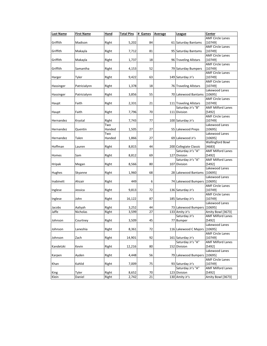| <b>Last Name</b> | <b>First Name</b>   | Hand   | <b>Total Pins</b> | # Games  | Average | <u>League</u>                   | Center                             |
|------------------|---------------------|--------|-------------------|----------|---------|---------------------------------|------------------------------------|
|                  |                     |        |                   |          |         |                                 | <b>AMF Circle Lanes</b>            |
| Griffith         | Madison             | Right  | 5,202             | 84       |         | 61 Saturday Bantams             | [10749]                            |
|                  |                     |        |                   |          |         |                                 | <b>AMF Circle Lanes</b>            |
| Griffith         | Makayla             | Right  | 7,712             | 81       |         | 95 Saturday Bantams             | [10749]                            |
|                  |                     |        |                   |          |         |                                 | <b>AMF Circle Lanes</b>            |
| Griffith         | Makayla             | Right  | 1,737             | 18       |         | 96 Traveling Allstars           | [10749]                            |
|                  |                     |        |                   |          |         |                                 | <b>AMF Circle Lanes</b>            |
| Griffith         | Samantha            | Right  | 4,153             | 52       |         | 79 Saturday Bumpers             | [10749]                            |
|                  |                     |        |                   |          |         |                                 | <b>AMF Circle Lanes</b>            |
| Harger           | Tyler               | Right  | 9,422             | 63       |         | 149 Saturday Jr's               | [10749]                            |
|                  |                     |        |                   |          |         |                                 | <b>AMF Circle Lanes</b>            |
| Hassinger        | Patricialynn        | Right  | 1,378             | 18       |         | 76 Traveling Allstars           | [10749]                            |
|                  |                     |        |                   |          |         |                                 | Lakewood Lanes                     |
| Hassinger        | Patricialynn        | Right  | 3,856             | 55       |         | 70 Lakewood Bantams             | [10695]                            |
|                  |                     |        |                   |          |         |                                 | <b>AMF Circle Lanes</b>            |
| Haupt            | Faith               | Right  | 2,331             | 21       |         | 111 Traveling Allstars          | [10749]                            |
|                  |                     |        |                   |          |         | Saturday Jr's "B"               | <b>AMF Milford Lanes</b>           |
| Haupt            | Faith               | Right  | 7,796             | 70       |         | 111 Division                    | [5492]                             |
|                  |                     |        |                   |          |         |                                 | <b>AMF Circle Lanes</b>            |
| Hernandez        | Krystal             | Right  | 7,743             | 77       |         | 100 Saturday Jr's               | [10749]                            |
|                  |                     | Two    |                   |          |         |                                 | Lakewood Lanes                     |
| Hernandez        | Quentin             | Handed | 1,505             | 27       |         | 55 Lakewood Preps               | [10695]                            |
|                  |                     | Two    |                   |          |         |                                 | Lakewood Lanes                     |
| Hernandez        | Talen               | Handed | 1,866             | 27       |         | 69 Lakewood Jr's                | [10695]                            |
|                  |                     |        |                   |          |         |                                 | <b>Wallingford Bowl</b>            |
| Hoffman          | Lauren              | Right  | 8,815             | 44       |         | 200 Collegiate Classic          | [4683]                             |
|                  |                     |        |                   |          |         | Saturday Jr's "A"               | <b>AMF Milford Lanes</b>           |
| Homes            | Sam                 | Right  | 8,812             | 69       |         | 127 Division                    | [5492]                             |
|                  |                     |        |                   |          |         | Saturday Jr's "A"               | <b>AMF Milford Lanes</b>           |
| Hripak           | Megan               | Right  | 8,566             | 80       |         | 107 Division                    | [5492]                             |
|                  |                     |        |                   |          |         |                                 | Lakewood Lanes                     |
| Hughes           | Skyanne             | Right  | 1,960             | 68       |         | 28 Lakewood Bantams             | [10695]                            |
|                  |                     |        |                   |          |         |                                 | Lakewood Lanes                     |
| Inabinett        | Ahzair              | Right  | 449               | 6        |         | 74 Lakewood Bumpers             | [10695]<br><b>AMF Circle Lanes</b> |
| Inglese          | Jessica             | Right  | 9,813             | 72       |         | 136 Saturday Jr's               | [10749]                            |
|                  |                     |        |                   |          |         |                                 | <b>AMF Circle Lanes</b>            |
|                  | John                |        |                   | 87       |         | 185 Saturday Jr's               | [10749]                            |
| Inglese          |                     | Right  | 16,122            |          |         |                                 | Lakewood Lanes                     |
| Jacobs           |                     | Right  |                   | 44       |         | 73 Lakewood Bumpers             | [10695]                            |
| Jaffe            | Aaliyah<br>Nicholas |        | 3,252<br>3,599    | 27       |         | 133 Amity Jr's                  | Amity Bowl [3673]                  |
|                  |                     | Right  |                   |          |         | Saturday Jr's                   | <b>AMF Milford Lanes</b>           |
| Johnson          |                     |        | 3,509             | 45       |         | 77 Bumper                       | [5492]                             |
|                  | Courtney            | Right  |                   |          |         |                                 | Lakewood Lanes                     |
| Johnson          | Laneshia            | Right  | 8,361             | 72       |         | 116 Lakewood C Majors   [10695] |                                    |
|                  |                     |        |                   |          |         |                                 | <b>AMF Circle Lanes</b>            |
| Johnson          | Zach                | Right  | 14,901            | 92       |         | 161 Saturday Jr's               | [10749]                            |
|                  |                     |        |                   |          |         | Saturday Jr's "A"               | <b>AMF Milford Lanes</b>           |
| Kandetzki        | Kevin               | Right  | 12,216            | 80       |         | 152 Division                    | [5492]                             |
|                  |                     |        |                   |          |         |                                 | Lakewood Lanes                     |
|                  | Ayden               |        |                   |          |         |                                 |                                    |
| Karpen           |                     | Right  | 4,448             | 56       |         | 79 Lakewood Bumpers             | [10695]<br><b>AMF Circle Lanes</b> |
|                  | Kahlid              | Right  | 7,009             | 75       |         | 93 Saturday Jr's                | [10749]                            |
| Khan             |                     |        |                   |          |         | Saturday Jr's "A"               | <b>AMF Milford Lanes</b>           |
|                  | Tyler               | Right  | 8,652             |          |         | 123 Division                    | [5492]                             |
| King<br>Klein    | Daniel              | Right  | 2,742             | 70<br>21 |         | 130 Amity Jr's                  | Amity Bowl [3673]                  |
|                  |                     |        |                   |          |         |                                 |                                    |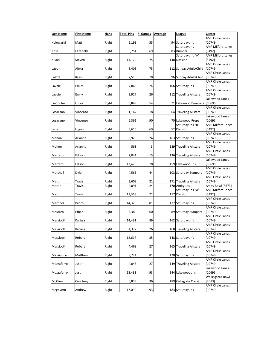| <b>Last Name</b> | <b>First Name</b> | Hand  | <b>Total Pins</b> | # Games | Average | League                        | Center                   |
|------------------|-------------------|-------|-------------------|---------|---------|-------------------------------|--------------------------|
|                  |                   |       |                   |         |         |                               | <b>AMF Circle Lanes</b>  |
| Kolowaski        | Matt              | Right | 5,193             | 55      |         | 94 Saturday Jr's              | [10749]                  |
|                  |                   |       |                   |         |         | Saturday Jr's                 | <b>AMF Milford Lanes</b> |
| Kosa             | Elizabeth         | Right | 5,754             | 69      |         | 83 Bumper                     | [5492]                   |
|                  |                   |       |                   |         |         | Saturday Jr's "A"             | <b>AMF Milford Lanes</b> |
| Kudej            | Steven            | Right | 11,120            | 75      |         | 148 Division                  | [5492]                   |
|                  |                   |       |                   |         |         |                               | <b>AMF Circle Lanes</b>  |
| Lapolt           | Alexa             | Right | 8,403             | 75      |         | 112 Sunday Adult/Child        | [10749]                  |
|                  |                   |       |                   |         |         |                               | <b>AMF Circle Lanes</b>  |
| LaPolt           | Ryan              | Right | 7,515             | 78      |         | 96 Sunday Adult/Child         | [10749]                  |
|                  |                   |       |                   |         |         |                               | <b>AMF Circle Lanes</b>  |
| Lavoie           | Emily             | Right | 7,866             | 74      |         | 106 Saturday Jr's             | [10749]                  |
|                  |                   |       |                   |         |         |                               | <b>AMF Circle Lanes</b>  |
| Lavoie           | Emily             | Right | 2,927             | 26      |         | 112 Traveling Allstars        | [10749]                  |
|                  |                   |       |                   |         |         |                               | Lakewood Lanes           |
| Lindholm         | Lucas             | Right | 3,849             | 54      |         | 71 Lakewood Bumpers   [10695] |                          |
|                  |                   |       |                   |         |         |                               | <b>AMF Circle Lanes</b>  |
|                  |                   |       |                   |         |         |                               |                          |
| Losacano         | Vincenzo          | Right | 1,162             | 18      |         | 64 Traveling Allstars         | [10749]                  |
|                  |                   |       |                   |         |         |                               | Lakewood Lanes           |
| Losacano         | Vincenzo          | Right | 6,361             | 90      |         | 70 Lakewood Preps             | [10695]                  |
|                  |                   |       |                   |         |         | Saturday Jr's "B"             | <b>AMF Milford Lanes</b> |
| Lynk             | Logan             | Right | 3,616             | 69      |         | 52 Division                   | [5492]                   |
|                  |                   |       |                   |         |         |                               | <b>AMF Circle Lanes</b>  |
| Mahon            | Arianna           | Right | 3,926             | 24      |         | 163 Saturday Jr's             | [10749]                  |
|                  |                   |       |                   |         |         |                               | <b>AMF Circle Lanes</b>  |
| Mahon            | Arianna           | Right | 568               | 3       |         | 189 Traveling Allstars        | [10749]                  |
|                  |                   |       |                   |         |         |                               | <b>AMF Circle Lanes</b>  |
| Marrero          | Edison            | Right | 2,041             | 15      |         | 136 Traveling Allstars        | [10749]                  |
|                  |                   |       |                   |         |         |                               | Lakewood Lanes           |
| Marrero          | Edison            | Right | 12,476            | 78      |         | 159 Lakewood Jr's             | [10695]                  |
|                  |                   |       |                   |         |         |                               | <b>AMF Circle Lanes</b>  |
| Marshall         | Dylon             | Right | 4,565             | 44      |         | 103 Saturday Bumpers          | [10749]                  |
|                  |                   |       |                   |         |         |                               | <b>AMF Circle Lanes</b>  |
| Martin           | Travis            | Right | 3,609             | 21      |         | 171 Traveling Allstars        | [10749]                  |
| Martin           | Travis            | Right | 4,091             | 24      |         | 170 Amity Jr's                | Amity Bowl [3673]        |
|                  |                   |       |                   |         |         | Saturday Jr's "A"             | <b>AMF Milford Lanes</b> |
| Martin           | Travis            | Right | 11,368            | 72      |         | 157 Division                  | [5492]                   |
|                  |                   |       |                   |         |         |                               | <b>AMF Circle Lanes</b>  |
| Martinez         | Pedro             | Right | 14,370            | 81      |         | 177 Saturday Jr's             | [10749]                  |
|                  |                   |       |                   |         |         |                               | <b>AMF Circle Lanes</b>  |
| Massaro          | Ethan             | Right | 5,380             | 60      |         | 89 Saturday Bumpers           | [10749]                  |
|                  |                   |       |                   |         |         |                               | <b>AMF Circle Lanes</b>  |
| Massicott        | Karissa           | Right | 14,481            | 89      |         | 162 Saturday Jr's             | [10749]                  |
|                  |                   |       |                   |         |         |                               | <b>AMF Circle Lanes</b>  |
| Massicott        | Karissa           | Right | 4,372             | 26      |         | 168 Traveling Allstars        | [10749]                  |
|                  |                   |       |                   |         |         |                               | <b>AMF Circle Lanes</b>  |
| Massicott        | Robert            | Right | 12,617            | 85      |         | 148 Saturday Jr's             | [10749]                  |
|                  |                   |       |                   |         |         |                               | <b>AMF Circle Lanes</b>  |
|                  |                   |       |                   |         |         |                               |                          |
| Massicott        | Robert            | Right | 4,468             | 27      |         | 165 Traveling Allstars        | [10749]                  |
|                  |                   |       |                   |         |         |                               | <b>AMF Circle Lanes</b>  |
| Massimino        | Matthew           | Right | 9,721             | 81      |         | 120 Saturday Jr's             | [10749]                  |
|                  |                   |       |                   |         |         |                               | <b>AMF Circle Lanes</b>  |
| Mazzaferro       | Justin            | Right | 4,043             | 27      |         | 149 Traveling Allstars        | [10749]                  |
|                  |                   |       |                   |         |         |                               | Lakewood Lanes           |
| Mazzaferro       | Justin            | Right | 13,481            | 93      |         | 144 Lakewood Jr's             | [10695]                  |
|                  |                   |       |                   |         |         |                               | <b>Wallingford Bowl</b>  |
| McGinn           | Courtney          | Right | 6,833             | 36      |         | 189 Collegiate Classic        | [4683]                   |
|                  |                   |       |                   |         |         |                               | <b>AMF Circle Lanes</b>  |
| Mcgovern         | Andrew            | Right | 17,090            | 93      |         | 183 Saturday Jr's             | [10749]                  |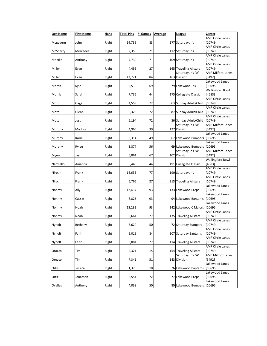| <b>Last Name</b> | <b>First Name</b> | Hand  | <b>Total Pins</b> | # Games | Average | <u>League</u>                              | Center                              |
|------------------|-------------------|-------|-------------------|---------|---------|--------------------------------------------|-------------------------------------|
|                  |                   |       |                   |         |         |                                            | <b>AMF Circle Lanes</b>             |
| Mcgovern         | John              | Right | 14,739            | 83      |         | 177 Saturday Jr's                          | [10749]                             |
| McSherry         | Mercedes          | Right |                   | 21      |         | 112 Saturday Jr's                          | <b>AMF Circle Lanes</b><br>[10749]  |
|                  |                   |       | 2,355             |         |         |                                            | <b>AMF Circle Lanes</b>             |
| Menillo          | Anthony           | Right | 7,739             | 71      |         | 109 Saturday Jr's                          | [10749]                             |
|                  |                   |       |                   |         |         |                                            | <b>AMF Circle Lanes</b>             |
| Miller           | Evan              | Right | 4,455             | 27      |         | 165 Traveling Allstars                     | [10749]                             |
|                  |                   |       |                   |         |         | Saturday Jr's "A"                          | <b>AMF Milford Lanes</b>            |
| Miller           | Evan              | Right | 13,771            | 84      |         | 163 Division                               | [5492]                              |
|                  | Kyle              | Right | 5,510             | 69      |         | 79 Lakewood Jr's                           | Lakewood Lanes<br>[10695]           |
| Moran            |                   |       |                   |         |         |                                            | <b>Wallingford Bowl</b>             |
| Morris           | Sarah             | Right | 7,735             | 44      |         | 175 Collegiate Classic                     | [4683]                              |
|                  |                   |       |                   |         |         |                                            | <b>AMF Circle Lanes</b>             |
| Mott             | Gage              | Right | 4,559             | 72      |         | 63 Sunday Adult/Child                      | [10749]                             |
|                  |                   |       |                   |         |         |                                            | <b>AMF Circle Lanes</b>             |
| Mott             | Glenn             | Right | 6,323             | 72      |         | 87 Sunday Adult/Child                      | [10749]                             |
|                  |                   |       |                   |         |         |                                            | <b>AMF Circle Lanes</b>             |
| Mott             | Justin            | Right | 6,194             | 72      |         | 86 Sunday Adult/Child<br>Saturday Jr's "A" | [10749]<br><b>AMF Milford Lanes</b> |
| Murphy           | Madison           | Right | 4,965             | 39      |         | 127 Division                               | [5492]                              |
|                  |                   |       |                   |         |         |                                            | Lakewood Lanes                      |
| Murphy           | Rorie             | Right | 3,314             | 49      |         | 67 Lakewood Bumpers                        | [10695]                             |
|                  |                   |       |                   |         |         |                                            | Lakewood Lanes                      |
| Murphy           | Rylee             | Right | 3,877             | 56      |         | 69 Lakewood Bumpers                        | [10695]                             |
|                  |                   |       |                   |         |         | Saturday Jr's "A"                          | <b>AMF Milford Lanes</b>            |
| <b>Myers</b>     | Jay               | Right | 6,861             | 67      |         | 102 Division                               | [5492]<br><b>Wallingford Bowl</b>   |
| Nardiello        | Amanda            | Right | 8,440             | 44      |         | 191 Collegiate Classic                     | [4683]                              |
|                  |                   |       |                   |         |         |                                            | <b>AMF Circle Lanes</b>             |
| Niro Jr          | Frank             | Right | 14,635            | 77      |         | 190 Saturday Jr's                          | [10749]                             |
|                  |                   |       |                   |         |         |                                            | <b>AMF Circle Lanes</b>             |
| Niro Jr          | Frank             | Right | 5,766             | 27      |         | 213 Traveling Allstars                     | [10749]                             |
|                  |                   |       |                   |         |         |                                            | Lakewood Lanes                      |
| Nohmy            | Ally              | Right | 12,437            | 93      |         | 133 Lakewood Preps                         | [10695]<br>Lakewood Lanes           |
| Nohmy            | Cassie            | Right | 8,826             | 93      |         | 94 Lakewood Bantams                        | [10695]                             |
|                  |                   |       |                   |         |         |                                            | Lakewood Lanes                      |
| Nohmy            | Noah              | Right | 13,282            | 93      |         | 142 Lakewood C Majors [10695]              |                                     |
|                  |                   |       |                   |         |         |                                            | <b>AMF Circle Lanes</b>             |
| Nohmy            | Noah              | Right | 3,661             | 27      |         | 135 Traveling Allstars                     | [10749]                             |
|                  |                   |       |                   |         |         | 72 Saturday Bumpers                        | <b>AMF Circle Lanes</b>             |
| Nyholt           | Bethany           | Right | 3,620             | 50      |         |                                            | [10749]<br><b>AMF Circle Lanes</b>  |
| Nyholt           | Faith             | Right | 9,019             | 84      |         | 107 Saturday Bantams                       | [10749]                             |
|                  |                   |       |                   |         |         |                                            | <b>AMF Circle Lanes</b>             |
| Nyholt           | Faith             | Right | 3,081             | 27      |         | 114 Traveling Allstars                     | [10749]                             |
|                  |                   |       |                   |         |         |                                            | <b>AMF Circle Lanes</b>             |
| Orozco           | Tim               | Right | 2,321             | 15      |         | 154 Traveling Allstars                     | [10749]                             |
|                  |                   |       |                   |         |         | Saturday Jr's "A"                          | <b>AMF Milford Lanes</b>            |
| Orozco           | Tim               | Right | 7,341             | 51      |         | 143 Division                               | [5492]<br>Lakewood Lanes            |
| Ortiz            | Jessica           | Right | 1,378             | 18      |         | 76 Lakewood Bantams                        | [10695]                             |
|                  |                   |       |                   |         |         |                                            | Lakewood Lanes                      |
| Ortiz            | Jonathan          | Right | 5,551             | 72      |         | 77 Lakewood Preps                          | [10695]                             |
|                  |                   |       |                   |         |         |                                            | Lakewood Lanes                      |
| Ovalles          | Anthony           | Right | 4,038             | 50      |         | 80 Lakewood Bumpers   [10695]              |                                     |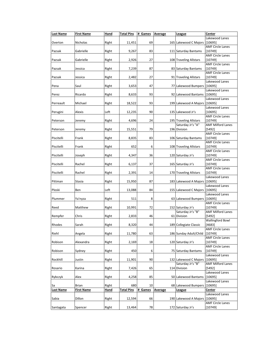| <b>Last Name</b> | <b>First Name</b> | Hand  | <b>Total Pins</b> | # Games | Average | League                            | Center                             |
|------------------|-------------------|-------|-------------------|---------|---------|-----------------------------------|------------------------------------|
| Overton          | Nicholas          | Right | 11,451            | 69      |         | 165 Lakewood C Majors             | Lakewood Lanes<br>[10695]          |
| Pazsak           | Gabrielle         | Right | 9,267             | 83      |         | 111 Saturday Bantams              | <b>AMF Circle Lanes</b><br>[10749] |
| Pazsak           | Gabrielle         | Right | 2,926             | 27      |         | 108 Traveling Allstars            | <b>AMF Circle Lanes</b><br>[10749] |
|                  |                   |       |                   |         |         |                                   | <b>AMF Circle Lanes</b>            |
| Pazsak           | Jessica           | Right | 7,239             | 87      |         | 83 Saturday Bantams               | [10749]<br><b>AMF Circle Lanes</b> |
| Pazsak           | Jessica           | Right | 2,482             | 27      |         | 91 Traveling Allstars             | [10749]                            |
| Pena             | Saul              | Right | 3,653             | 47      |         | 77 Lakewood Bumpers               | Lakewood Lanes<br>[10695]          |
| Perez            | Ricardo           | Right | 8,633             | 93      |         | 92 Lakewood Bantams               | Lakewood Lanes<br>[10695]          |
| Perreault        | Michael           | Right | 18,522            | 93      |         | 199 Lakewood A Majors             | Lakewood Lanes<br>[10695]          |
| Perugini         | <b>Alexis</b>     | Left  | 12,235            | 90      |         | 135 Lakewood Jr's                 | Lakewood Lanes<br>[10695]          |
|                  |                   |       |                   |         |         |                                   | <b>AMF Circle Lanes</b>            |
| Peterson         | Jeremy            | Right | 4,696             | 24      |         | 195 Traveling Allstars            | [10749]                            |
|                  |                   |       |                   |         |         | Saturday Jr's "A"                 | <b>AMF Milford Lanes</b>           |
| Peterson         | Jeremy            | Right | 15,551            | 79      |         | 196 Division                      | [5492]<br><b>AMF Circle Lanes</b>  |
| Piscitelli       | Frank             | Right | 8,835             | 83      |         | 106 Saturday Bantams              | [10749]                            |
|                  |                   |       |                   |         |         |                                   | <b>AMF Circle Lanes</b>            |
| Piscitelli       | Frank             | Right | 652               | 6       |         | 108 Traveling Allstars            | [10749]                            |
| Piscitelli       | Joseph            | Right | 4,347             | 36      |         | 120 Saturday Jr's                 | <b>AMF Circle Lanes</b><br>[10749] |
| Piscitelli       | Rachel            | Right | 6,137             | 37      |         | 165 Saturday Jr's                 | <b>AMF Circle Lanes</b><br>[10749] |
|                  |                   |       |                   |         |         |                                   | <b>AMF Circle Lanes</b>            |
| Piscitelli       | Rachel            | Right | 2,391             | 14      |         | 170 Traveling Allstars            | [10749]<br>Lakewood Lanes          |
| Pittman          | Stasia            | Right | 15,950            | 87      |         | 183 Lakewood A Majors [10695]     |                                    |
| Ploski           | Ben               | Left  | 13,088            | 84      |         | 155 Lakewood C Majors             | Lakewood Lanes<br>[10695]          |
| Plummer          | Ya'nyza           | Right | 511               | 8       |         | 63 Lakewood Bumpers               | Lakewood Lanes<br>[10695]          |
| Reed             | Matthew           | Right | 10,991            | 72      |         | 152 Saturday Jr's                 | <b>AMF Circle Lanes</b><br>[10749] |
|                  |                   |       |                   |         |         | Saturday Jr's "B"                 | <b>AMF Milford Lanes</b>           |
| Rempfer          | Chris             | Right | 2,833             | 46      |         | 61 Division                       | [5492]<br><b>Wallingford Bowl</b>  |
| Rhodes           | Sarah             | Right | 8,320             | 44      |         | 189 Collegiate Classic            | [4683]                             |
| Riehl            | Angela            | Right | 11,780            | 63      |         | 186 Sunday Adult/Child            | <b>AMF Circle Lanes</b><br>[10749] |
| Robison          | Alexandra         | Right | 2,169             | 18      |         | 120 Saturday Jr's                 | <b>AMF Circle Lanes</b><br>[10749] |
| Robison          | Sydney            | Right | 450               | 6       |         | 75 Saturday Bantams               | <b>AMF Circle Lanes</b><br>[10749] |
| Rockhill         | Justin            | Right | 11,901            | 90      |         | 132 Lakewood C Majors             | Lakewood Lanes<br>[10695]          |
| Rosario          | Karina            | Right | 7,426             | 65      |         | Saturday Jr's "B"<br>114 Division | <b>AMF Milford Lanes</b><br>[5492] |
|                  |                   |       |                   |         |         |                                   | Lakewood Lanes<br>[10695]          |
| Rybczyk          | Alex              | Right | 4,258             | 85      |         | 50 Lakewood Bantams               | Lakewood Lanes                     |
| Sa               | Brian             | Right | 680               | 10      |         | 68 Lakewood Bumpers               | [10695]                            |
| <b>Last Name</b> | <b>First Name</b> | Hand  | <b>Total Pins</b> | # Games | Average | League                            | Center<br>Lakewood Lanes           |
| Sabia            | Dillon            | Right | 12,594            | 66      |         | 190 Lakewood A Majors             | [10695]                            |
| Santagata        | Spencer           | Right | 13,464            | 78      |         | 172 Saturday Jr's                 | <b>AMF Circle Lanes</b><br>[10749] |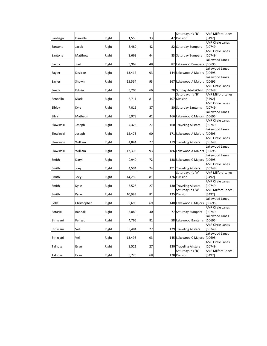|           |             |       |        |    | Saturday Jr's "B"             | <b>AMF Milford Lanes</b> |
|-----------|-------------|-------|--------|----|-------------------------------|--------------------------|
| Santiago  | Danielle    | Right | 1,555  | 33 | 47 Division                   | [5492]                   |
|           |             |       |        |    |                               | <b>AMF Circle Lanes</b>  |
| Santone   | Jacob       | Right | 3,480  | 42 | 82 Saturday Bumpers           | [10749]                  |
|           |             |       |        |    |                               | <b>AMF Circle Lanes</b>  |
| Santone   | Matthew     | Right | 3,663  | 44 | 83 Saturday Bumpers           | [10749]                  |
|           |             |       |        |    |                               | Lakewood Lanes           |
| Savoy     | Juel        | Right | 3,969  | 48 | 82 Lakewood Bumpers           | [10695]                  |
|           |             |       |        |    |                               | Lakewood Lanes           |
| Sayler    | Dezirae     | Right | 13,417 | 93 | 144 Lakewood A Majors [10695] |                          |
|           |             |       |        |    |                               | Lakewood Lanes           |
| Sayler    | Shawn       | Right | 15,564 | 93 | 167 Lakewood A Majors         | [10695]                  |
|           |             |       |        |    |                               | <b>AMF Circle Lanes</b>  |
| Seeds     | Edwin       | Right | 5,205  | 66 | 78 Sunday Adult/Child         | [10749]                  |
|           |             |       |        |    | Saturday Jr's "B"             | <b>AMF Milford Lanes</b> |
| Sennello  | Mark        | Right | 8,711  | 81 | 107 Division                  | [5492]                   |
|           |             |       |        |    |                               | <b>AMF Circle Lanes</b>  |
| Sibley    | Kyle        | Right | 7,016  | 87 | 80 Saturday Bantams           | [10749]                  |
|           |             |       |        |    |                               | Lakewood Lanes           |
| Silva     | Matheus     | Right | 6,978  | 42 | 166 Lakewood C Majors         | [10695]                  |
|           |             |       |        |    |                               | <b>AMF Circle Lanes</b>  |
| Slowinski | Joseph      | Right | 4,323  | 27 | 160 Traveling Allstars        | [10749]                  |
|           |             |       |        |    |                               | Lakewood Lanes           |
| Slowinski | Joseph      | Right | 15,473 | 90 | 171 Lakewood A Majors         | [10695]                  |
|           |             |       |        |    |                               | <b>AMF Circle Lanes</b>  |
| Slowinski | William     | Right | 4,844  | 27 | 179 Traveling Allstars        | [10749]                  |
|           |             |       |        |    |                               | Lakewood Lanes           |
| Slowinski | William     | Right | 17,306 | 93 | 186 Lakewood A Majors         | [10695]                  |
|           |             |       |        |    |                               | Lakewood Lanes           |
| Smith     | Daryl       | Right | 9,940  | 72 | 138 Lakewood C Majors         | [10695]                  |
|           |             |       |        |    |                               | <b>AMF Circle Lanes</b>  |
| Smith     | Joey        | Right | 4,594  | 24 | 191 Traveling Allstars        | [10749]                  |
|           |             |       |        |    | Saturday Jr's "A"             | <b>AMF Milford Lanes</b> |
| Smith     | Joey        | Right | 14,285 | 81 | 176 Division                  | [5492]                   |
|           |             |       |        |    |                               | <b>AMF Circle Lanes</b>  |
| Smith     | Kylie       | Right | 3,528  | 27 | 130 Traveling Allstars        | [10749]                  |
|           |             |       |        |    | Saturday Jr's "A"             | <b>AMF Milford Lanes</b> |
| Smith     | Kylie       | Right | 10,993 | 81 | 135 Division                  | [5492]                   |
|           |             |       |        |    |                               | Lakewood Lanes           |
| Solla     | Christopher | Right | 9,696  | 69 | 140 Lakewood C Majors         | [10695]                  |
|           |             |       |        |    |                               | <b>AMF Circle Lanes</b>  |
| Sotaski   | Randall     | Right | 3,080  | 40 | 77 Saturday Bumpers           | [10749]                  |
|           |             |       |        |    |                               | Lakewood Lanes           |
| Strikcani | Ferizat     | Right | 4,765  | 81 | 58 Lakewood Bantams           | [10695]                  |
|           |             |       |        |    |                               | <b>AMF Circle Lanes</b>  |
| Strikcani | Veli        | Right | 3,484  | 27 | 129 Traveling Allstars        | [10749]                  |
|           |             |       |        |    |                               | Lakewood Lanes           |
| Strikcani | Veli        | Right | 13,498 | 93 | 145 Lakewood C Majors         | [10695]                  |
|           |             |       |        |    |                               | <b>AMF Circle Lanes</b>  |
| Talnose   | Evan        | Right | 3,521  | 27 | 130 Traveling Allstars        | [10749]                  |
|           |             |       |        |    | Saturday Jr's "B"             | <b>AMF Milford Lanes</b> |
| Talnose   | Evan        | Right | 8,725  | 68 | 128 Division                  | [5492]                   |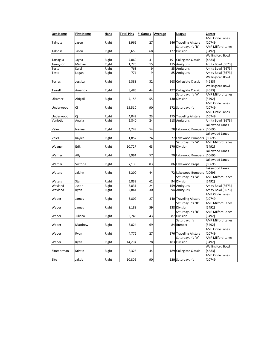| <b>Last Name</b>      | <b>First Name</b> | Hand           | <b>Total Pins</b> | # Games  | <b>Average</b> | <u>League</u>          | Center                             |
|-----------------------|-------------------|----------------|-------------------|----------|----------------|------------------------|------------------------------------|
|                       |                   |                |                   |          |                |                        | <b>AMF Circle Lanes</b>            |
| Talnose               | Jason             | Right          | 3,965             | 27       |                | 146 Traveling Allstars | [10749]                            |
|                       |                   |                |                   |          |                | Saturday Jr's "B"      | <b>AMF Milford Lanes</b>           |
| Talnose               | Jason             | Right          | 8,655             | 68       |                | 127 Division           | [5492]                             |
|                       |                   |                |                   |          |                |                        | <b>Wallingford Bowl</b>            |
| Tartaglia             | Jayna             | Right          | 7,869             | 41       |                | 191 Collegiate Classic | [4683]                             |
| Tennyson              | Michael           | Right          | 1,726             | 15       |                | 115 Amity Jr's         | Amity Bowl [3673]                  |
| Testa                 | Kalel             | Right          | 768               | 9        |                | 85 Amity Jr's          | Amity Bowl [3673]                  |
| Testa                 | Logan             | Right          | 771               | 9        |                | 85 Amity Jr's          | Amity Bowl [3673]                  |
|                       |                   |                |                   |          |                |                        | <b>Wallingford Bowl</b>            |
| Torres                | Jessica           | Right          | 5,388             | 32       |                | 168 Collegiate Classic | [4683]                             |
|                       |                   |                |                   |          |                |                        | <b>Wallingford Bowl</b>            |
| Tyrrell               | Amanda            | Right          | 8,485             | 44       |                | 192 Collegiate Classic | [4683]                             |
|                       |                   |                |                   |          |                | Saturday Jr's "A"      | <b>AMF Milford Lanes</b>           |
| Ulsamer               | Abigail           | Right          | 7,156             | 55       |                | 130 Division           | [5492]                             |
|                       |                   |                |                   |          |                |                        | <b>AMF Circle Lanes</b>            |
| Underwood             | Сj                | Right          | 15,510            | 90       |                | 172 Saturday Jr's      | [10749]<br><b>AMF Circle Lanes</b> |
|                       |                   |                |                   |          |                | 175 Traveling Allstars |                                    |
| Underwood<br>Vaniotis | Ci<br>Analia      | Right<br>Right | 4,042<br>2,840    | 23<br>24 |                | 118 Amity Jr's         | [10749]<br>Amity Bowl [3673]       |
|                       |                   |                |                   |          |                |                        | Lakewood Lanes                     |
| Velez                 |                   | Right          | 4,249             | 54       |                | 78 Lakewood Bumpers    | [10695]                            |
|                       | Iyanna            |                |                   |          |                |                        | Lakewood Lanes                     |
| Velez                 | Kaylee            | Right          | 1,852             | 24       |                | 77 Lakewood Bumpers    | [10695]                            |
|                       |                   |                |                   |          |                | Saturday Jr's "A"      | <b>AMF Milford Lanes</b>           |
| Wagner                | Erik              | Right          | 10,727            | 63       |                | 170 Division           | [5492]                             |
|                       |                   |                |                   |          |                |                        | Lakewood Lanes                     |
| Warner                | Ally              | Right          | 3,991             | 57       |                | 70 Lakewood Bumpers    | [10695]                            |
|                       |                   |                |                   |          |                |                        | Lakewood Lanes                     |
| Warner                | Victoria          | Right          | 7,138             | 83       |                | 86 Lakewood Preps      | [10695]                            |
|                       |                   |                |                   |          |                |                        | Lakewood Lanes                     |
| Waters                | Jalahn            | Right          | 3,200             | 44       |                | 72 Lakewood Bumpers    | [10695]                            |
|                       |                   |                |                   |          |                | Saturday Jr's "A"      | <b>AMF Milford Lanes</b>           |
| Waters                | Stan              | Right          | 5,839             | 62       |                | 94 Division            | [5492]                             |
| Wayland               | Justin            | Right          | 3,831             | 24       |                | 159 Amity Jr's         | Amity Bowl [3673]                  |
| Wayland               | Ryan              | Right          | 2,841             | 30       |                | 94 Amity Jr's          | Amity Bowl [3673]                  |
|                       |                   |                |                   |          |                |                        | <b>AMF Circle Lanes</b>            |
| Weber                 | James             | Right          | 3,802             | 27       |                | 140 Traveling Allstars | [10749]                            |
|                       |                   |                |                   |          |                | Saturday Jr's "B"      | <b>AMF Milford Lanes</b>           |
| Weber                 | James             | Right          | 8,189             | 59       |                | 138 Division           | [5492]                             |
|                       |                   |                |                   |          |                | Saturday Jr's "B"      | <b>AMF Milford Lanes</b>           |
| Weber                 | Juliana           | Right          | 3,743             | 43       |                | 87 Division            | [5492]                             |
|                       |                   |                |                   |          |                | Saturday Jr's          | <b>AMF Milford Lanes</b>           |
| Weber                 | Matthew           | Right          | 5,824             | 69       |                | 84 Bumper              | [5492]                             |
|                       |                   |                |                   |          |                |                        | <b>AMF Circle Lanes</b>            |
| Weber                 | Ryan              | Right          | 4,772             | 27       |                | 176 Traveling Allstars | [10749]                            |
|                       |                   |                |                   |          |                | Saturday Jr's "A"      | <b>AMF Milford Lanes</b>           |
| Weber                 | Ryan              | Right          | 14,294            | 78       |                | 183 Division           | [5492]                             |
|                       |                   |                |                   |          |                |                        | <b>Wallingford Bowl</b>            |
| Zimmerman             | Kristin           | Right          | 8,325             | 44       |                | 189 Collegiate Classic | [4683]                             |
|                       |                   |                |                   |          |                |                        | <b>AMF Circle Lanes</b>            |
| Zito                  | Jakob             | Right          | 10,806            | 90       |                | 120 Saturday Jr's      | $[10749]$                          |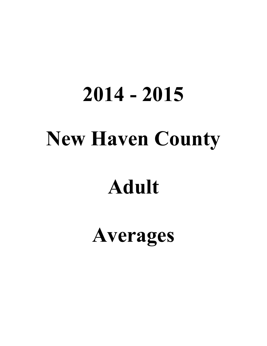# **2014 - 2015 New Haven County**

# **Adult**

## **Averages**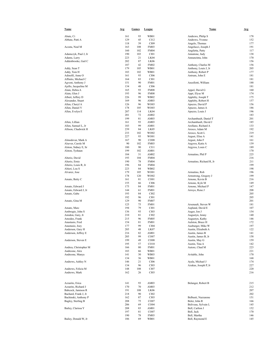| Name                         | Avg        | <b>Games</b> | <b>League</b>     | Name                                 | <b>Avg</b> |
|------------------------------|------------|--------------|-------------------|--------------------------------------|------------|
|                              |            |              |                   |                                      |            |
| Abate, Ci<br>Abbate, Patti A | 161<br>129 | 93<br>45     | WB01<br>C112      | Andrews, Philip S<br>Andrews, Yvonne | 178<br>152 |
|                              | 118        | 39           | CI09              | Angelo, Thomas                       | 177        |
| Acosta, Neal M               | 163        | 108          | <b>FM03</b>       | Angelucci, Joseph J                  | 191        |
|                              | 160        | 102          | <b>FM04</b>       | Angiletta, Patty                     | 117        |
| Adamczyk, Paul J, Jr         | 190        | 103          | CI01              | Annatone, Judy                       | 138        |
| Adams, Larry                 | 223        | 21           | LK04              | Annunzinta, John                     | 170        |
| Addenbrooke, Gail C          | 202        | 87           | LK <sub>06</sub>  |                                      | 156        |
|                              | 187        | 42           | <b>FM02</b>       | Anthony, Charles M                   | 156        |
| Addy, Sean T                 | 179        | 105          | <b>WB01</b>       | Anthony, Louis J, Jr                 | 205        |
| Addy, Tom H                  | 183        | 102          | <b>WB01</b>       | Anthony, Robert P                    | 177        |
| Adinolfi, Anne O             | 161        | 93           | CI06              | Antrum, John E                       | 181        |
| Affinito, Michael C          | 164        | 83           | CI01              |                                      | 181        |
| Agvent, Anthony J            | 151        | 90           | <b>FM01</b>       | Anzellotti, William                  | 188        |
| Ajello, Jacqueline M         | 134        | 48           | CI06              |                                      | 181        |
| Alain, Debra A               | 165        | 93           | <b>FM08</b>       | Appel, David G                       | 160        |
| Alain, Glen J                | 193        | 96           | <b>FM08</b>       | Appi, Elyse M                        | 174        |
| Albert, Jeffery D            | 226        | 99           | WB02              | Appleby, Joseph T                    | 175        |
| Alexander, Stuart            | 169        | 96           | AM03              | Appleby, Robert H                    | 157        |
| Allen, Cheryl A              | 126        | 96           | WO03              | Apuzzo, David P                      | 156        |
| Allen, Daniel V              | 178        | 105          | WO03              | Apuzzo, James A                      | 186        |
| Allen, Evelyn E              | 207        | 114          | LK04              | Apuzzo, Louis J                      | 196        |
|                              | 201        | 72           | AM02              |                                      | 183        |
|                              | 199        | 81           | AM03              | Archambault, Daniel T                | 201        |
| Allen, Lillian               | 161        | 93           | AM03              | Archambault, David J                 | 185        |
| Allen, Samuel L, Jr          | 183        | 99           | AM01              | Arellano, Richard A                  | 133        |
| Allison, Chadwick H          | 239        | 84           | LK05              | Aresco, Adam M                       | 192        |
|                              | 233        | 102          | WO02              | Aresco, Scott L                      | 219        |
|                              | 227        | 93           | WO01              | Argust, Elise A                      | 141        |
| Almodovar, Mark A            | 167        | 90           | CO08              | Argust, John F                       | 161        |
| Alsever, Carole M            | 90         | 102          | <b>FM03</b>       | Argyros, Katie A                     | 139        |
| Alston, Sidney E, Sr         | 180        | 90           | CI11              | Argyros, Louis C                     | 189        |
| Alston, Tyshaun              | 199        | 102          | AM01              |                                      | 170        |
|                              | 184        | 31           | AM02              | Armatino, Phil P                     | 225        |
| Alterio, David               | 193        | 104          | <b>FM04</b>       |                                      | 216        |
| Alterio, Ernie               | 190        | 78           | <b>FM04</b>       | Armatino, Richard R, Jr              | 211        |
| Alterio, Louis R, Jr         | 196        | 84           | <b>FM04</b>       |                                      | 199        |
| Altieri, Lou S               | 223        | 84           | WB02              |                                      | 198        |
| Alvarez, Jose                | 179        | 105          | WO01              | Armatino, Rob                        | 196        |
|                              | 178        | 120          | WO02              | Armstrong, Gregory J                 | 199        |
| Amato, Betty C               | 161        | 81           | CO <sub>01</sub>  | Arnone, Kevin B                      | 216        |
|                              | 155        | 66           | CI06              | Arnone, Kyle M                       | 149        |
| Amato, Edward J              | 175        | 84           | <b>FM01</b>       | Arnone, Michael P                    | 147        |
| Amato, Edward J, Jr          | 144        | 61           | <b>FM01</b>       | Arroyo, Rene J                       | 208        |
| Amato, Gabe                  | 193        | 84           | CI02              |                                      | 205        |
|                              | 192        | 96           | C101              |                                      | 205        |
| Amato, Gina M                | 129        | 90           | <b>FM07</b>       |                                      | 201        |
|                              | 125        | 75           | <b>FM01</b>       | Arsenault, Steven W                  | 181        |
| Amato, Marc                  | 194        | 79           | C <sub>I</sub> 01 | Asplund, David E                     | 107        |
| Ambrogio, John S             | 136        | 93           | CI03              | Auger, Jon J                         | 154        |
| Amidon, Gary, Jr             | 210        | 81           | CI02              | Augustyn, Jenny                      | 140        |
| Amodeo, Frank                | 215        | 96           | <b>FM05</b>       | Augustyn, Kathy                      | 146        |
| Anastasio, Fred              | 154        | 81           | <b>FM01</b>       | Aulston, Bruce H                     | 172        |
| Anastasio, Joey              | 177        | 99           | CI04              | Ausburger, Mike W                    | 197        |
| Anderson, Gary H             | 205        | 48           | LK07              | Austin, Elizabeth A                  | 122        |
| Anderson, Jeffrey E          | 216        | 82           | AM01              | Austin, James B                      | 141        |
|                              | 205        | 99           | CO07              | Austin, James B, Jr                  | 158        |
| Anderson, Steven E           | 199        | 49           | CO08              | Austin, May G                        | 159        |
|                              | 195        | 57           | CO10              | Austin, Tina A                       | 142        |
| Andrea, Christopher M        | 166        | 80           | <b>FM01</b>       | Autore, Chad M                       | 223        |
| Andreone, Alex               | 183        | 66           | <b>WB01</b>       |                                      | 221        |
| Andreone, Manya              | 141        | 30           | WB03              | Avitable, John                       | 170        |
|                              | 134        | 36           | WB01              |                                      | 168        |
| Andrews, Ashley N            | 146        | 21           | CI06              | Ayala, Michael J                     | 174        |
|                              | 134        | 96           | CI03              | Azukas, Joseph P, Jr                 | 227        |
| Andrews, Felicia M           | 148        | 108          | CI07              |                                      | 220        |
| Andrews, Mark                | 162        | 26           | CI03              |                                      | 216        |
|                              |            |              |                   |                                      |            |
|                              |            |              |                   |                                      |            |
| Azzarito, Erica              | 141        | 93           | AM03              | Belanger, Robert B                   | 215        |
| Azzarito, Richard J          | 170        | 70           | AM03              |                                      | 212        |
| Babcock, Jamison R           | 191        | 108          | LK06              |                                      | 207        |
| Bachard, Frank J, Jr         | 218        | 90           | CI02              |                                      | 202        |
| Bachinski, Anthony P         | 162        | 87           | CI03              | Belbusti, Nazzarene                  | 151        |
| Bagley, Sterling B           | 208        | 75           | CO07              | Beler, John R                        | 166        |
|                              | 206        | 69           | CO04              | Beliveau, Sylvain L                  | 145        |
| Bailey, Clarissa Y           | 208        | 83           | AM01              | Bell, Carlton J                      | 152        |
|                              | 197        | 81           | CO07              | Bell, Jack                           | 170        |
|                              | 190        | 78           | FM03              | Bell, Martha                         | 146        |
| Bailey, Donald W, Jr         | 186        | 69           | WB01              | Bell, Raymond E                      | 145        |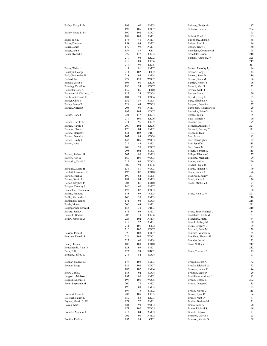| Bailey, Tracy L, Jr                   | 199          | 60         | <b>FM03</b>         | Bellamy, Benjamin                       | 187        |
|---------------------------------------|--------------|------------|---------------------|-----------------------------------------|------------|
|                                       | 192          | 105        | CO07                | Bellamy, Loretta                        | 204        |
| Bailey, Tracy L, Sr                   | 190<br>189   | 102<br>105 | CO07<br>AM01        | Belletti, Frank J                       | 193<br>185 |
| Baird, Joel D                         | 176          | 48         | AM07                | Bellofiore, Michael                     | 168        |
| Baker, Dwayne                         | 158          | 93         | <b>FM02</b>         | Belous, Emil J                          | 196        |
| Baker, James                          | 179          | 99         | AM01                | Belton, Tracy L                         | 150        |
| Baker, Jamie                          | 157          | 89         | CI11                | Benedetto, Courtney M                   | 178        |
| Baker, Robert J                       | 227          | 117        | LK04                | Benedetto, Jason                        | 210        |
|                                       | 219          | 96         | LK02                | Bennett, Anthony, Jr                    | 225        |
|                                       | 218          | 89         | LK <sub>06</sub>    |                                         | 219        |
|                                       | 216          | 99         | LK05                |                                         | 211        |
| Baker, Walter J                       | $\mathbf{1}$ | 81         | AM07                | Bennis, Timothy J, Jr                   | 194        |
| Bakshys, George                       | 214          | 102        | CI02                | Benson, Cody J                          | 144        |
| Ball, Christopher E                   | 218          | 99         | AM <sub>04</sub>    | Benson, Scott D                         | 216        |
| Ballard, Joe                          | 227          | 120        | WO02                | Benson, Sean M                          | 186        |
| Banack, Jesse T                       | 196          | 98         | LK <sub>06</sub>    | Bentley, Robert T                       | 176        |
| Banning, David W<br>Bannister, Jack S | 190<br>157   | 24<br>86   | CO07<br>CI10        | Berardi, Alex R<br>Berdan, Nicki I      | 132<br>133 |
| Baranowski, Charles J, III            | 127          | 24         | WO04                | Berdan, Steve                           | 150        |
| Baribeault, David E                   | 181          | 78         | CO06                | Bereski, Greg L                         | 185        |
| Barker, Chris J                       | 152          | 89         | <b>FM08</b>         | Berg, Elizabeth N                       | 122        |
| Barley, James T                       | 228          | 69         | WO05                | Bergami, Francine                       | 137        |
| Barnes, Alfred R                      | 203          | 98         | AM01                | Bernobich, Rosemarie E                  | 120        |
|                                       | 192          | 105        | CO07                | Berthelot, Brian Y                      | 194        |
| Barnes, Gary J                        | 221          | 117        | LK04                | Bethke, Justin                          | 185        |
|                                       | 219          | 108        | LK <sub>06</sub>    | Betts, Pamela J                         | 170        |
| Barnes, Harold A                      | 214          | 96         | LK <sub>02</sub>    | Biancur, Pat                            | 179        |
| Barnes, Harold J                      | 209          | 102        | LK <sub>06</sub>    | Biceglia, Anthony J                     | 227        |
| Barnum, Sharie L                      | 170          | 84         | <b>FM02</b>         | Bicknell, Zachary T                     | 111        |
| Barone, Harriet C                     | 131          | 102        | <b>WB01</b>         | Bicocchi, Ivan                          | 163        |
| Barresi, Daniel A                     | 167          | 99         | CO <sub>04</sub>    | Bier, Brian                             | 183        |
| Barrett, Cindy J                      | 143          | 105        | WO03                | Bier, Christopher                       | 122        |
| Barrett, Herb                         | 219          | 43         | AM01                | Bier, Jennifer L                        | 118        |
|                                       | 208          | 95         | CO07                | Bier, Susan M                           | 123        |
| Barrett, Richard G                    | 203          | 102        | <b>FM03</b>         | Billera, Barbara A                      | 115        |
| Barrett, Ron G                        | 203<br>169   | 90<br>105  | <b>FM05</b><br>WO03 | Billups, Rhonda G<br>Bimonte, Michael J | 137<br>179 |
| Bartalsky, David A                    | 212          | 99         | WO03                | Binder, Neil A                          | 220        |
|                                       | 207          | 93         | LK <sub>06</sub>    | Birdsall, Kyle R                        | 191        |
| Bartalsky, Mary H                     | 134          | 81         | WO03                | Bjarno, Pamela H                        | 140        |
| Bartlett, Lawrence R                  | 193          | 87         | CO10                | Black, Robert A                         | 176        |
| Barton, Hugh A                        | 190          | 62         | <b>FM05</b>         | Blackwell, Randy                        | 201        |
| Barton, Kevin R                       | 187          | 84         | AM03                | Blake, Karen J                          | 176        |
| Barton, Stephen P                     | 204          | 81         | CO10                | Blanc, Michelle L                       | 197        |
| Basque, Timothy J                     | 140          | 60         | <b>FM07</b>         |                                         | 193        |
| Batchelder, Christie A                | 122          | 87         | CO <sub>03</sub>    |                                         | 188        |
| Batista, Anthony                      | 188          | 95         | CI05                | Blanc, Rich L, Jr                       | 221        |
| Batlle, Alexander J                   | 140          | 30         | AM03                |                                         | 218        |
| Battipaglia, James                    | 171          | 96         | CO <sub>08</sub>    |                                         | 218        |
| Battle, Moses                         | 200          | 63         | AM01                |                                         | 211        |
| Baumgartner, Edward H                 | 153          | 30         | WB03                |                                         | 210        |
| Bayard, Josh A                        | 171          | 95         | <b>FM01</b>         | Blanc, Sean-Michael L                   | 184        |
| Bayusik, Bryan C                      | 205<br>224   | 30<br>102  | LK06<br>AM04        | Blanchard, Keith M<br>Blanchard, Matt J | 151<br>164 |
| Beady, James E, Jr                    | 219          | 92         |                     |                                         | 188        |
|                                       | 211          | 101        | AM01<br>CI02        | Blanck, Jeffrey M<br>Bleau, Gregory D   | 169        |
|                                       | 210          | 102        | CO07                | Blizzard, Essie M                       | 129        |
| Beason, Penord                        | 20           | 108        | CO07                | Blizzard, Vanessa A                     | 155        |
| Beatrice, Donald J                    | 226          | 108        | WO01                | Blockhus, Thomas E                      | 215        |
|                                       | 222          | 60         | AM04                | Blondin, Jesse L                        | 133        |
| Beatty, Joshua                        | 186          | 108        | CO10                | Blow, William                           | 212        |
| Beauchemin, Alan D                    | 128          | 93         | <b>FM01</b>         |                                         | 212        |
| Beck, Bill                            | 222          | 99         | WB02                | Blum, Terrence P                        | 173        |
| Beckert, Jeffrey R                    | 214          | 84         | CO <sub>04</sub>    |                                         | 171        |
|                                       |              |            |                     |                                         |            |
| Bodnar, Frances M                     | 178          | 108        | <b>FM03</b>         | Brogan, Debra A                         | 182        |
| Bodnar, Paige                         | 186          | 102        | CO07                | Brooks, Richard W                       | 152        |
|                                       | 183          | 102        | <b>FM04</b>         | Brosnan, James T                        | 144        |
| Body, Chris D                         | 188          | 92         | CO <sub>04</sub>    | Brosnan, Steve P                        | 129        |
| Bogart, Addam C                       | 193          | 90         | AM <sub>02</sub>    | Brouillette, Andrew J                   | 182        |
| Bogush, Michael J                     | 196          | 105        | WO05                | Brown, Bobby E                          | 202        |
| Bohn, Stephanie M                     | 200          | 72         | AM <sub>02</sub>    | Brown, Dinean C                         | 135        |
|                                       | 198          | 69         | <b>FM04</b>         |                                         | 134        |
|                                       | 197          | 75         | <b>FM02</b>         | Brown, Mecca C                          | 115        |
| Boisvert, Ernie A                     | 202          | 105        | LK05                | Brown, Ryan D                           | 184        |
| Boisvert, Nancy L                     | 152          | 88         | LK03                | Bruder, Matt D                          | 181<br>121 |
| Bojnec, Martin S, III                 | 174          | 72<br>99   | FM01                | Bruhin, Darlene M                       | 190        |
| Bokon, Matt J                         | 181<br>173   | 102        | WO04<br>WO05        | Bruno, John A                           | 149        |
| Boneski, Mathew J                     | 212          | 84         | AM03                | Bruno, Richard S<br>Brunski, Alyssa     | 121        |
|                                       | 202          | 90         | AM <sub>02</sub>    | Brunson, Calvin B                       | 123        |
| Bonilla, Freddie                      | 193          | 99         | CI <sub>02</sub>    | Brunson, Kelvin D                       | 168        |
|                                       |              |            |                     |                                         |            |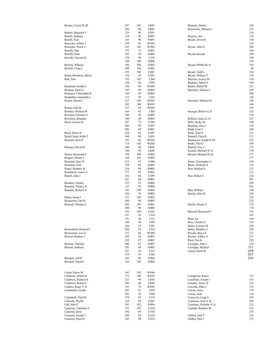| Booker, Cicero B, III              | 207        | 105      | LK <sub>02</sub>    | Brunson, Shelita                          | 102        |
|------------------------------------|------------|----------|---------------------|-------------------------------------------|------------|
|                                    | 204        | 96       | LK01                | Brunswick, Michael J                      | 215        |
| Booker, Margaret V                 | 126        | 86       | LK01                |                                           | 214        |
| Borelli, Anthony                   | 134        | 48       | <b>FM07</b>         | Bruschi, Aric                             | 176        |
| Borelli, Tony                      | 143        | 90       | <b>FM07</b>         | Bryant, Jewel B                           | 150        |
| Boroczky, Jeffrey J                | 194        | 99       | WO03                |                                           | 150        |
| Boroczky, Tracie C                 | 165        | 103      | WO03                | Bryant, John O                            | 200<br>194 |
| Borrelli, Dan<br>Borrelli, Peter   | 175<br>183 | 75<br>99 | <b>FM07</b><br>AM03 |                                           | 198        |
|                                    | 170        | 96       | CI10                | Bryant, Krystal                           | 198        |
| Borrelli, Vincent M                | 168        | 108      | <b>FM06</b>         |                                           | 195        |
| Borroto, William                   | 186        | 108      | <b>FM02</b>         | Bryant, Phillip M, Jr                     | 195        |
| Bostick, Craig L                   | 209        | 102      | AM01                |                                           | 96         |
|                                    | 195        | 108      | CO07                | Bryant, Todd L                            | 184        |
| Bostic-Mewborn, Sherry             | 136        | 45       | CO07                | Bryant, William T                         | 156        |
| Bott, Tina                         | 153        | 102      | CI04                | Buccieri, Jessica M                       | 134        |
|                                    | 148        | 66       | CI03                | Buckner, Daniel A                         | 194        |
| Bouchard, Gerald J                 | 189        | 90       | WO05                | Buden, Robert W                           | 211        |
| Boulton, James C                   | 195        | 99       | <b>FM02</b>         | Buechele, Melissa L                       | 207        |
| Bourassa, Christopher R            | 149        | 96       | WB03                |                                           | 200        |
| Bouthillier, Samantha L            | 115        | 95       | CI03                |                                           | 196        |
| Boutot, Daniel J                   | 213        | 105      | WO03                | Buechele, Michael M                       | 189        |
|                                    | 202        | 108      | WO05                |                                           | 188        |
| Boutot, Gail M                     | 127        | 94       | WO03                |                                           | 181        |
| Bowden, Michael W                  | 169        | 93       | CI <sub>05</sub>    | Buenger, Robert G, Jr                     | 232        |
| Bowman, Dorman G                   | 149        | 66       | AM05                |                                           | 216        |
| Bowolick, Brandon                  | 198        | 90       | AM03                | Bullock, James E, Jr                      | 127        |
| Boyd, Lucious K                    | 207        | 72       | CO <sub>04</sub>    | Bulls, Ricky, Sr                          | 168        |
|                                    | 206        | 99       | CO07                | Bumbula, Dan J                            | 154        |
|                                    | 202        | 69       | AM01                | Bunk, Leon J                              | 204        |
| Boyd, Shawn P                      | 220        | 84       | CO07                | Bunk, Tom D                               | 211        |
| Boyd-Carter, Keith T               | 160        | 96       | LK01                | Bunnell, Chris R                          | 171        |
| Boynton, Brett P                   | 183        | 96       | WO05                | Buonocore, Joseph P, III                  | 215        |
|                                    | 178        | 105      | WO02                | Burke, Etta G                             | 149        |
| Bozzuto, David W                   | 180        | 48       | LK <sub>02</sub>    | Burnell, Eric J                           | 172        |
|                                    | 180        | 99       | LK <sub>06</sub>    | Burnell, Michael W, Jr                    | 170        |
| Braese, Raymond C                  | 198        | 108      | <b>FM02</b>         | Burnell, Michael W, Sr                    | 177        |
| Bragaw, Wendy L                    | 148        | 105      | <b>FM03</b>         |                                           | 177        |
| Brainard, Gary W<br>Brainard, Gene | 212<br>198 | 87<br>99 | CO06                | Burns, Christopher A<br>Burns, Nicholas S | 169<br>153 |
| Brand, Matthew K                   | 156        | 90       | AM03<br>WB03        | Burr, Michael S                           | 217        |
| Brandalick, James A                | 177        | 93       | <b>FM01</b>         |                                           | 212        |
| Brandi, John J                     | 182        | 48       | CO <sub>09</sub>    | Burr, Robert L                            | 214        |
|                                    | 181        | 68       | AM01                |                                           | 207        |
| Brandon, Temika                    | 125        | 81       | <b>FM08</b>         |                                           | 205        |
| Brandon, Tinsley, Jr               | 115        | 93       | <b>FM08</b>         |                                           | 201        |
| Brantley, Richard A                | 191        | 108      | <b>FM03</b>         | Burr, William                             | 194        |
|                                    | 188        | 59       | <b>FM02</b>         | Burton, John M                            | 226        |
| Braun, Susan J                     | 111        | 105      | <b>FM02</b>         |                                           | 223        |
| Braunstein, Carl D                 | 200        | 84       | <b>FM05</b>         |                                           | 223        |
| Brazzell, Thomas L                 | 208        | 105      | AM01                | Burton, Wendy S                           | 174        |
|                                    | 206        | 90       | AM05                |                                           | 174        |
|                                    | 193        | 108      | CO07                | Burwell, Raymond P                        | 193        |
|                                    | 191        | 36       | CI10                |                                           | 185        |
|                                    | 191        | 48       | CI12                | Bush, Ed                                  | 169        |
|                                    | 190        | 48       | CI09                | Buss, Charles E                           | 193        |
|                                    | 184        | 27       | CI01                | Butler, Carolyn M                         | 142        |
| Breitenbach, Richard C             | 204        | 93       | C <sub>I</sub> 10   | Butler, Matthew J                         | 220        |
| Brenneman, Lisa A                  | 153        | 96       | WO04                | Buzelle, Bruce P                          | 211        |
| Breslof, Stephen J                 | 229        | 84       | AM01                | Byczko, Jeffery A                         | 217        |
|                                    | 222        | 87       | AM03                | Byrd, Tim B                               | 220        |
| Brickett, Timothy                  | 206        | 87       | AM07                | Cacioppo, John J                          | 134        |
| <b>Brissett</b> , Anthony          | 201        | 84       | AM05                | Cacioppo, Michael                         | 131        |
|                                    | 187        | 39       | CI12                | Caisse, David R                           | 229        |
|                                    | 176        | 47       | CI09                |                                           | 227        |
| Brockett, Jeff R                   | 183        | 96       | <b>FM04</b>         |                                           | 224        |
| Brockett, Sarah E                  | 164        | 105      | <b>FM04</b>         |                                           |            |
|                                    |            |          |                     |                                           |            |
| Caisse, Dawn M                     | 142        | 102      | WO04                |                                           |            |
| Calabrese, Alfred M                | 173        | 108      | WO05                | Castiglione, Karen                        | 151        |
| Calabrese, Richard K               | 215        | 99       | LK02                | Caterbone, Joseph J                       | 183        |
| Calabrese, Robert F                | 206        | 96       | LK02                | Cattanio, Janice D                        | 155        |
| Calabro, Roger T, Jr               | 193        | 78       | WO05                | Cazzolla, Mike J                          | 155        |
| Calandrelli, Joesph                | 207        | 81       | CI10                | Celone, Gene                              | 178        |
|                                    | 203        | 70       | CI08                | Celone, Judy                              | 114        |
| Calandrelli, Paul M                | 178        | 87       | CI10                | Ceniccola, Luigi A                        | 165        |
| Caliendo, Phyllis                  | 116        | 92       | CO <sub>01</sub>    | Centinaro, Nick V, Sr                     | 202        |
| Call, John F                       | 201        | 102      | <b>FM04</b>         | Centinaro, Nickolas V, Jr                 | 212        |
| Cameron, Catherine A               | 133        | 105      | CO <sub>10</sub>    | Cepelak, Brandon M                        | 231        |
| Cameron, Jesse                     | 194        | 69       | CO <sub>10</sub>    |                                           | 219        |
| Cameron, Joseph J                  | 204        | 84       | CO <sub>10</sub>    | Chabot, Joan T                            | 125        |
| Cameron, Peter D                   | 185        | 99       | CO10                | Chabot, Paul J                            | 173        |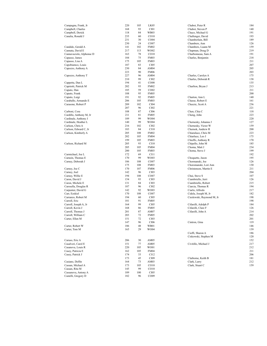| Campagna, Frank, Jr      | 220 | 105 | LK05              | Chabot, Peter R           | 184 |
|--------------------------|-----|-----|-------------------|---------------------------|-----|
| Campbell, Charles        | 168 | 93  | CI01              | Chabot, Steven P          | 140 |
| Campbell, Derick         | 118 | 84  | <b>WB03</b>       | Chaco, Michael G          | 191 |
| Canalia, Ronald J        | 235 | 60  | CO10              | Challenger, David         | 193 |
|                          | 231 | 30  |                   | Chamberlain, Bill         | 189 |
|                          |     |     | CO <sub>04</sub>  |                           |     |
|                          | 230 | 24  | CO07              | Chambers, Ann             | 126 |
| Candido, Gerald A        | 141 | 102 | <b>FM02</b>       | Chambers, Luann M         | 159 |
| Cannata, David E         | 217 | 113 | WO02              | Chapman, Doug D           | 219 |
| Cannavaciolo, Alphonse D | 163 | 78  | CO10              | Charbonneau, Sam A        | 191 |
| Capasso, James           | 184 | 75  | <b>FM03</b>       | Charles, Benjamin         | 218 |
| Capasso, Lisa A          | 175 | 105 | <b>FM03</b>       |                           | 211 |
| Capobiamco, Louis        | 187 | 83  | CI05              |                           | 207 |
| Capozzo, Anthony A       | 230 | 84  | AM <sub>04</sub>  |                           | 205 |
|                          | 223 | 90  | <b>FM06</b>       |                           | 203 |
|                          |     |     |                   |                           |     |
| Capozzo, Anthony T       | 227 | 96  | AM04              | Charles, Carolyn A        | 175 |
|                          | 210 | 99  | CI02              | Charles, Deborah R        | 138 |
| Cappetta, Dan L          | 194 | 41  | CO08              |                           | 135 |
| Capriotti, Patrick M     | 202 | 93  | FM02              | Charlton, Bryan J         | 213 |
| Caputo, Dan              | 185 | 59  | CO <sub>02</sub>  |                           | 211 |
| Caputo, Frank            | 188 | 95  | <b>FM05</b>       |                           | 200 |
| Caputo, Luigi            | 191 | 92  | <b>FM05</b>       | Charton, Ann L            | 140 |
| Caraballo, Armando E     | 206 | 105 | <b>FM03</b>       | Chasse, Robert E          | 161 |
| Carasone, Robert P       | 209 | 102 | CI04              | Cheezic, Scott A          | 236 |
|                          | 207 |     |                   |                           | 221 |
|                          |     | 96  | CI02              |                           |     |
| Carboni, Cora            | 108 | 87  | CI06              | Chen, Chia C              | 118 |
| Cardillo, Anthony M, Jr  | 211 | 81  | <b>FM05</b>       | Cheng, John               | 223 |
| Cardinale, Anthony J     | 189 | 99  | WO04              |                           | 220 |
| Cardinale, Heather L     | 140 | 99  | WO04              | Chernesky, Johanna J      | 127 |
| Carlson, Chris A         | 216 | 102 | CI02              | Chernesky, Victor W       | 159 |
| Carlson, Edward C, Jr    | 183 | 84  | C <sub>I</sub> 10 | Chernok, Andrew R         | 200 |
| Carlson, Kimberly A      | 205 | 108 | <b>FM02</b>       | Chiaraluce, Chris M       | 223 |
|                          | 202 | 105 | <b>FM04</b>       | Chiarluce, Leo J          | 175 |
|                          | 199 |     |                   | Chieffo, Anthony R        | 170 |
|                          |     | 105 | <b>FM03</b>       |                           |     |
| Carlson, Richard M       | 205 | 93  | CI10              | Chipello, John M          | 185 |
|                          | 205 | 105 | <b>FM04</b>       | Choma, Matt J             | 234 |
|                          | 200 | 105 | <b>FM03</b>       | Choma, Steve J            | 199 |
| Carmichael, Joe L        | 172 | 69  | CI11              |                           | 192 |
| Carnein, Thomas E        | 170 | 99  | WO03              | Choquette, Jason          | 195 |
| Carney, Deborah J        | 186 | 108 | CO07              | Chormanski, Joe           | 126 |
|                          | 175 | 108 | <b>FM03</b>       | Choromanski, Lori Ann     | 130 |
| Carney, Joe C            | 170 | 107 | <b>FM06</b>       | Christenson, Martin E     | 211 |
| Carney, Joel             | 142 | 96  | CI03              |                           | 204 |
|                          |     |     |                   |                           |     |
| Carney, Willie E         | 194 | 108 | CO07              | Chui, Steve S             | 107 |
| Caron, David J           | 154 | 93  | CI03              | Ciambriello, Jerri        | 126 |
| Caron, Michele E         | 131 | 84  | CI03              | Ciambriello, Robert       | 215 |
| Carosella, Douglas R     | 187 | 96  | CI02              | Ciarcia, Thomas R         | 194 |
| Carpenter, David G       | 142 | 92  | WO03              | Ciarlo, Alfredo           | 217 |
| Carr, Ezekiel            | 170 | 108 | CO07              | Cidela, Joseph M, Jr      | 182 |
| Carranzo, Robert M       | 194 | 60  | CI05              | Cieslewski, Raymond M, Jr | 198 |
| Carroll, Eric            | 181 | 91  | <b>FM05</b>       |                           | 198 |
|                          | 164 | 99  | CI05              |                           | 184 |
| Carroll, Joseph A, Jr    |     |     |                   | Cifarelli, Adolph P       |     |
| Carroll, Kevin J         | 168 | 86  | <b>FM05</b>       | Cifarelli, Clare F        | 126 |
| Carroll, Thomas J        | 201 | 87  | AM07              | Cifarelli, John A         | 214 |
| Carroll, William C       | 203 | 72  | <b>FM05</b>       |                           | 202 |
| Carter, Ellen M          | 151 | 72  | CI03              |                           | 201 |
|                          | 147 | 96  | CI06              | Cintron, Gina             | 119 |
| Carter, Robert W         | 186 | 48  | <b>WB01</b>       |                           | 146 |
| Carter, Tom M            | 165 | 29  | WO04              |                           | 139 |
|                          |     |     |                   | Cioffi, Sharon A          | 186 |
|                          |     |     |                   | Ciskowski, Stephen M      | 120 |
|                          |     |     |                   |                           |     |
| Caruso, Eric A           | 206 | 30  | AM05              |                           | 152 |
| Casalveri, Carol E       | 151 | 77  | AM05              | Civitillo, Michael J      | 217 |
| Casanova, Louis R        | 220 | 105 | WO01              |                           | 212 |
| Casey, Patricia E        | 162 | 105 | <b>FM04</b>       |                           | 211 |
| Casey, Patrick J         | 174 | 33  | CI12              |                           | 206 |
|                          | 173 | 45  | CI09              | Claiborne, Keith B        | 181 |
| Casiano, Delfin          | 164 | 73  | AM03              | Clark, Larry              | 212 |
| Cassan, Michael A        | 173 | 105 | CO10              | Clark, Stuart C           | 159 |
|                          |     |     |                   |                           |     |
| Cassan, Rita M           | 145 | 99  | CO10              |                           |     |
| Cassanova, Antony A      | 189 | 100 | CI05              |                           |     |
| Castelli, Gregory D      | 182 | 96  | CO09              |                           |     |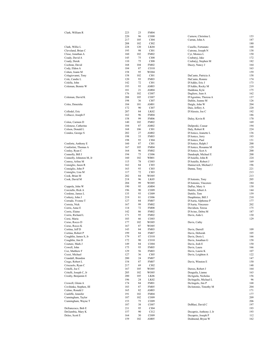| Clark, William R         | 223 | 23  | <b>FM04</b>      |                         |     |
|--------------------------|-----|-----|------------------|-------------------------|-----|
|                          | 220 | 96  | CO08             | Curnow, Christina L     | 153 |
|                          | 217 | 105 | CI04             | Curran, John A          | 187 |
|                          |     |     |                  |                         |     |
|                          | 208 | 102 | CI02             |                         | 180 |
| Clark, Willie L          | 228 | 120 | LK04             | Cusello, Fortunato      | 168 |
| Cleveland, Brian C       | 195 | 98  | CI <sub>01</sub> | Cutrone, Joseph N       | 138 |
| Close, Jonathan A        | 160 | 102 | FM02             | Cyr, Monica L           | 150 |
| Coady, David A           | 145 | 75  | <b>CI08</b>      | Czubatyj, Jake          | 172 |
| Coady, Derek             | 110 | 75  | <b>CI08</b>      | Czubatyj, Stephen M     | 182 |
| Cochran, David           | 168 | 104 | FM02             | Dacey, Nancy J          | 164 |
| Cody, Eldon A            | 184 | 87  | CO10             |                         | 163 |
| Cohen, Joann M           | 158 | 95  | WO04             |                         | 159 |
|                          |     |     |                  |                         |     |
| Colagiovanni, Tony       | 158 | 102 | CI <sub>01</sub> | DaCunto, Patricia A     | 158 |
| Cole, Candie L           | 120 | 93  | <b>FM03</b>      | DaCunto, Ronnie         | 174 |
| Colella, John            | 142 | 72  | CI <sub>01</sub> | D'Addio, Eric J         | 173 |
| Coleman, Bennie W        | 193 | 93  | AM03             | D'Addio, Rocky M        | 219 |
|                          | 181 | 21  | AM <sub>04</sub> | Daddona, Kyle           | 175 |
|                          | 176 | 102 | CO07             | Dagliere, Jean A        | 162 |
| Coleman, David K         | 208 | 105 | CO07             | D'Agostino, Theresa A   | 137 |
|                          | 198 | 36  | CI07             | Dahlin, Jeanne M        | 126 |
|                          |     |     |                  |                         | 204 |
| Coles, Deneisha          | 184 | 101 | AM01             | Daigle, John W          |     |
|                          | 172 | 90  | CI07             | Dais, Jeffery A         | 220 |
| Collodel, Eric           | 207 | 84  | LK02             | D'Alessio, Joe C        | 192 |
| Collucci, Joseph F       | 162 | 96  | <b>FM04</b>      |                         | 186 |
|                          | 158 | 99  | <b>FM06</b>      | Daley, Kevin R          | 170 |
| Colon, Carmen D          | 140 | 102 | <b>FM02</b>      |                         | 169 |
| Colonese, Catherine      | 184 | 87  | AM <sub>02</sub> | Daliposki, Ceasar       | 194 |
| Colson, Donald L         | 168 | 106 | CI01             | Daly, Robert R          | 224 |
|                          | 202 |     |                  |                         | 136 |
| Condos, George S         |     | 27  | AM <sub>02</sub> | D'Amico, Jeanette L     |     |
|                          | 198 | 33  | <b>FM03</b>      | D'Amico, Jerry          | 193 |
|                          | 198 | 93  | <b>CI04</b>      | D'Amico, Paul           | 131 |
| Conforte, Anthony E      | 160 | 87  | CI01             | D'Amico, Ralph J        | 200 |
| Confortini, Thomas A     | 167 | 105 | <b>FM04</b>      | D'Amico, Rosanna M      | 129 |
| Conley, Ryan C           | 164 | 96  | <b>FM02</b>      | D'Amico, Scot A         | 200 |
| Connolly, Bill J         | 194 | 75  | CO06             | Dandorph, Michael E     | 200 |
| Connolly, Johnston M, Jr | 160 | 102 | <b>WB01</b>      | D'Aniello, John R       | 224 |
|                          | 115 | 78  | CO <sub>03</sub> |                         | 169 |
| Conroy, Arline M         |     |     |                  | D'Aniello, Robert J     |     |
| Consiglio, Jason R       | 162 | 84  | CI03             | Danisevich, Michael J   | 196 |
| Consiglio, John P        | 163 | 93  | CI03             | Danna, Tony             | 221 |
| Consiglio, Lisa M        | 117 | 72  | CI03             |                         | 213 |
| Cook, Brian M            | 202 | 84  | WO05             |                         | 213 |
| Cook, David M            | 218 | 96  | LK05             | D'Antonio, Tony         | 205 |
|                          | 204 | 99  | WO05             | D'Antonio, Vincenzo     | 184 |
| Coppola, John W          | 190 | 95  | AM04             | DaPaz, Mary A           | 130 |
| Corciullo, Rick A        | 196 | 90  | CO09             | Dattilo, Albert A       | 144 |
|                          |     | 93  |                  |                         | 159 |
| Cordone, James L         | 135 |     | CO09             | Dattilo, Tom            |     |
| Corkery, John J          | 219 | 81  | CO06             | Dauphinias, Bill J      | 210 |
| Corrado, Yvonne T        | 127 | 84  | <b>FM07</b>      | D'Auria, Alphonse P     | 177 |
| Correia, Nick            | 167 | 99  | <b>FM02</b>      | D'Auria, Vincenzo       | 202 |
| Corris, Anne E           | 114 | 72  | <b>FM08</b>      | Davidson, Teresa        | 175 |
| Corris, Elaine           | 142 | 86  | <b>FM02</b>      | D'Avino, Debra M        | 187 |
| Corris, Richard L        | 171 | 95  | <b>FM02</b>      | Davis, Aida L           | 130 |
| Corsi, Maria             | 103 | 66  | CO <sub>03</sub> |                         | 129 |
| Corso, Rocco D           | 177 | 102 | WO05             | Davis, Cathy            |     |
| Corso, Rocco K           |     |     |                  |                         |     |
|                          | 167 | 87  | WO05             |                         |     |
| Cortina, Jeff D          | 143 | 84  | <b>FM03</b>      | Davis, Darrell          | 109 |
| Cortina, Robert P        | 199 | 84  | FM07             | Davis, Deborah          | 105 |
| Coughlin, James S, Jr    | 179 | 87  | CO10             | Davis, Doris L          | 166 |
| Coughlin, Jim D          | 172 | 90  | CO10             | Davis, Jonathan G       | 158 |
| Couture, Mark J          | 149 | 84  | CO04             | Davis, Josh E           | 150 |
| Cowell, John             | 175 | 93  | FM05             | Davis, Laura            | 166 |
| Coz, Matthew F           | 129 | 56  | <b>FM03</b>      | Davis, Laurie K         | 107 |
| Cozzi, Michael           | 127 | 36  | CI05             | Davis, Leighton A       | 122 |
| Crandall, Brandon        | 200 | 24  |                  |                         | 147 |
|                          |     |     | FM07             |                         |     |
| Crego, Robert L          | 154 | 87  | <b>FM07</b>      | Davis, Winston E        | 150 |
| Criscuolo, Ryan C        | 217 | 69  | CI02             |                         | 148 |
| Critelli, Joe C          | 167 | 105 | WO05             | Dawes, Robert J         | 164 |
| Critelli, Joseph C, Jr   | 205 | 102 | WO05             | Deaguila, Lianne        | 163 |
| Crosby, Benjamin E       | 200 | 105 | LK06             | DeAguila, Nicholas      | 156 |
|                          | 196 | 24  | LK02             | DeAngelis, Michael L    | 96  |
| Crowell, Glenn A         | 174 | 84  | FM01             | DeAngelo, Jim P         | 168 |
| Csvihinka, Stephen, III  |     | 87  |                  | DeAntonio, Timothy M    | 204 |
|                          | 183 |     | <b>FM05</b>      |                         |     |
| Culmo, Ronald J          | 165 | 82  | AM03             |                         | 171 |
| Cunliffe, Jennifer       | 191 | 102 | <b>FM04</b>      |                         | 177 |
| Cunningham, Taylor       | 187 | 102 | CO09             |                         | 209 |
| Cunningham, Wayne T      | 153 | 75  | CO09             |                         | 206 |
|                          | 187 | 38  | CO07             | DeBlasi, David C        | 197 |
| Defrancesco, Bob E       | 211 | 95  | CI04             |                         | 193 |
| DeGumbia, Mary K         | 157 | 90  | CI12             | Decaprio, Anthony J, Jr | 193 |
| Deleo, Scott E           | 164 | 30  | CO09             | Decaprio, Joseph P      | 112 |
|                          |     |     |                  |                         |     |
|                          | 159 | 102 | AM05             | Dedmond, Bryan W        | 162 |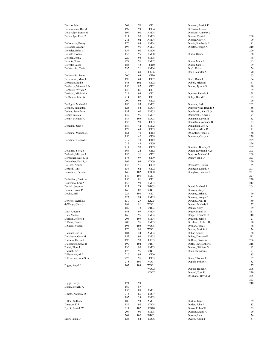| Delizio, John          | 204 | 70  | CI01              | Dinneen, Patrick F      |     |
|------------------------|-----|-----|-------------------|-------------------------|-----|
| Dellamonica, David     | 197 | 99  | CI04              | DiNuzzo, Linda J        |     |
| Dellavolpe, Daniel G   | 199 | 90  | AM04              | Dionizio, Anthony J     |     |
| Dellavolpe, Peter P    | 217 | 90  | AM03              | Dionne, Daniel          | 200 |
|                        | 211 | 92  | AM04              | Dionne, Gary R          | 199 |
| DeLorenzo, Rocky       | 176 | 99  | AM04              | Diorio, Kimberly A      | 181 |
| DeLozier, Adam J       | 198 | 95  | AM03              | Dipetto, Joseph A       | 210 |
| Delozier, Erica L      | 157 | 90  | <b>FM06</b>       |                         | 200 |
| Delsole, Donna L       | 152 | 95  | <b>FM08</b>       | Dixon, Henry            | 168 |
| Delsole, John J        | 220 | 96  | <b>FM08</b>       |                         | 148 |
| Delucia, Tony          | 227 | 96  | <b>FM02</b>       | Dixon, Mark P           | 193 |
| Delvalle, Jason        | 184 | 42  | CI10              | Dixon, Sara R           | 169 |
| DelVecchio, Chris      | 235 | 21  | AM04              | Doak, Erika             | 154 |
|                        | 218 | 60  | LK <sub>06</sub>  | Doak, Jennifer A        | 170 |
|                        | 200 | 63  | CI10              |                         | 163 |
| DelVecchio, James      |     |     |                   |                         |     |
| Delvecchio, Mike L     | 198 | 69  | CI02              | Doak, Rachel            | 154 |
| DeMarzo, Eddie         | 143 | 102 | CI02              | Dobek, Michael          | 167 |
| DeMarzo, Vincent J, Jr | 150 | 87  | CI02              | Doctor, Tyrone S        | 190 |
| DeMarzo, Wenda A       | 148 | 81  | CI01              |                         | 189 |
| DeMayo, Michael A      | 219 | 99  | C <sub>I</sub> 01 | Doerner, Pamela P       | 128 |
| DeMunda, John W        | 214 | 87  | CI01              | Dolny, David E          | 195 |
|                        | 209 | 96  | CI02              |                         | 179 |
| DeNigris, Michael A    | 186 | 95  | AM02              | Domack, Josh            | 202 |
| Dennett, Samantha      | 123 | 84  | CO <sub>04</sub>  | Dombkowski, Brenda J    | 156 |
| Dennis, Jennifer A     | 133 | 60  | <b>FM05</b>       | Dombroski, Karl S, Jr   | 199 |
| Denny, Jessica         | 137 | 96  | <b>FM07</b>       | Dombroski, Kevin J      | 174 |
| Denny, Michael A       | 187 | 105 | CO <sub>03</sub>  | Donahue, Dawn M         | 132 |
|                        | 136 | 90  | CI03              | Donaldson, Amanda B     | 133 |
| Depalma, John F        | 187 | 42  | <b>FM02</b>       | Donaldson, Jeff A       | 131 |
|                        | 179 | 48  | CI03              | Donofrio, Alton R       | 171 |
| Depalma, Michelle L    | 161 | 40  | CI12              | D'Onofrio, Francis T    | 150 |
|                        |     |     |                   |                         |     |
|                        | 156 | 42  | CI09              | Donovan, Garry A        | 229 |
| Depalma, Richard D     | 219 | 30  | CI12              |                         | 229 |
|                        | 217 | 48  | CI09              |                         | 226 |
|                        | 217 | 90  | CI09              | Doolittle, Bradley T    | 207 |
| DePalma, Steve J       | 164 | 24  | CI12              | Doran, Raymond F, Jr    | 203 |
| DePaolo, Michael L     | 180 | 51  | CI02              | Dorazio, Michael J      | 209 |
| Derbacher, Karl F, Sr  | 175 | 97  | CI09              | Dorsey, Olin D          | 223 |
| Derbacher, Karl J, Jr  | 199 | 96  | CO09              |                         | 220 |
| DeRosa, Norma          | 132 | 51  | CI02              | Dossantos, Donna        | 155 |
| DeSarli, Tony          | 154 | 62  | CI02              | Doucette, Dennis J      | 201 |
| Desautels, Christine D | 148 | 102 | CO08              | Douglass, Lamont E      | 231 |
|                        | 147 | 105 | <b>FM01</b>       |                         | 227 |
| DeStefano, David A     | 156 | 81  | CI01              |                         | 220 |
| Destefano, Lori A      | 152 | 99  | <b>FM03</b>       |                         | 212 |
| Detrick, Joyce A       | 123 | 78  | WB03              | Dowd, Michael J         | 204 |
|                        | 160 | 87  |                   |                         | 101 |
| Devine, Susan P        |     |     | WB01              | Downey, Amy L           |     |
| Devito, Erik           | 227 | 108 | CI01              | Downey, Brian D         | 190 |
|                        | 222 | 99  | AM05              | Downey, Joseph B        | 151 |
| DeVries, Gerrit M      | 130 | 27  | LK05              | Downey, Paul H          | 180 |
| deWarga, Chris J       | 194 | 81  | WO01              | Downs, Michele P        | 177 |
|                        | 187 | 78  | WB03              | Dozier, Kelly           | 189 |
| Dias, Antonio          | 143 | 99  | AM04              | Drago, Mandi M          | 111 |
| Dias, Manuel           | 160 | 96  | <b>FM04</b>       | Draper, Kenneth C       | 118 |
| DiBlasi, Jeffrey T     | 206 | 105 | <b>FM04</b>       | Draughn, James          | 121 |
| DiBona, Frank          | 208 | 96  | FM03              | Drechsler, Robert H, Jr | 190 |
| DiCarlo, Vincent       | 194 | 102 | WO05              | Drohan, John E          | 188 |
|                        | 176 | 96  | WO01              | Duarte, Patricia A      | 174 |
| Dichiara, Joe G        | 184 | 24  | AM04              | Dubar, Ann H            | 168 |
| Dickinson, Gary M      | 152 | 96  | <b>FM05</b>       | Dubey, Dwayne R         | 211 |
| Dickson, Kevin S       | 195 | 90  | LK03              | DuBois, David A         | 206 |
| Dicostanzo, Steve B    | 192 | 104 | WB01              | Duffy, Christopher E    | 216 |
|                        |     | 90  | AM03              | Dunlop, William S       | 182 |
| Dielsi, Flora L        | 136 |     |                   |                         |     |
| Dietrich, Art          | 176 | 96  | WB01              | Dunn, Bernadine         | 191 |
| DiFederico, Al A       | 216 | 99  | CI06              |                         | 183 |
| DiFederico, John S, Jr | 226 | 96  | CI05              | Dunn, Thomas J          | 157 |
|                        | 218 | 108 | WO01              | Dupuis, Philip H        | 182 |
| Diggs, Angel L         | 162 | 108 | WO01              |                         | 177 |
|                        |     |     | WO02              | Dupuis, Roger A         | 206 |
|                        |     |     | CO07              | Durand, Tom R           | 230 |
|                        |     |     |                   | D'Urbano, David M       | 225 |
|                        |     |     |                   |                         | 222 |
| Diggs, Barry J         | 171 | 99  |                   |                         | 210 |
| Diggs, Beverly A       | 160 | 87  |                   |                         |     |
|                        | 156 | 85  | AM01              |                         |     |
| Dilieto, Anthony D     | 214 | 65  | CO07              |                         |     |
|                        | 195 | 39  | <b>FM03</b>       |                         |     |
| Dillon, William E      | 188 | 93  | AM01              | Durkin, Ken J           | 169 |
| Dineson, DJ            | 189 | 92  | CO <sub>04</sub>  | Durley, John J          | 183 |
| Dyrek, Patrick W       | 211 | 102 | CO10              | Durso, Robin W          | 155 |
|                        |     |     |                   |                         |     |
|                        | 207 | 90  | <b>FM08</b>       | Dussan, Diego A         | 179 |
|                        | 204 | 102 | WB02              | Dussan, Luis            | 176 |
| Early, Paula D         | 124 | 84  | CO <sub>06</sub>  | Dydyn, Kevin F          | 157 |
|                        |     |     |                   |                         |     |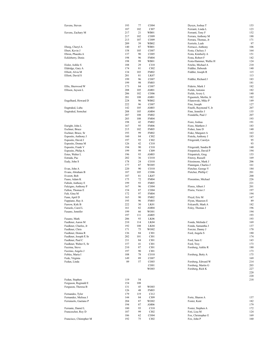| Eavens, Steven                                | 193        | 77         | CO <sub>04</sub>         | Dyoyn, Joshua T                            | 153        |
|-----------------------------------------------|------------|------------|--------------------------|--------------------------------------------|------------|
|                                               | 187        | 102        | CI07                     | Ferranti, Linda L                          | 123        |
| Eavens, Zachary M                             | 217<br>217 | 21<br>102  | WB01<br>CO <sub>09</sub> | Ferranti, Tony F<br>Ferrara, Anthony M     | 152<br>188 |
|                                               | 213        | 107        | CO <sub>09</sub>         | Ferrara, Thomas, Jr                        | 171        |
|                                               | 209        | 39         | WB02                     | Ferriolo, Leah                             | 97         |
| Eberg, Cheryl A                               | 140        | 87         | WB01                     | Ferrucci, Anthony                          | 106        |
| Ebert, Kevin J                                | 158        | 105        | CO07                     | Festa, Chelsey J                           | 164        |
| Ebron, Phaedra A                              | 137        | 90         | CO <sub>05</sub>         | Festa, Kimberly A                          | 151        |
| Eckleberry, Denis                             | 198        | 96         | <b>FM04</b>              | Festa, Robert F                            | 142        |
|                                               | 198        | 99         | WB01                     | Festa-Hammer, Wallie H                     | 124        |
| Eisler, Ashlie S                              | 188        | 29         | CI10                     | Fetcho, Michael A                          | 210        |
| Eldridge, Gary A                              | 174        | 81         | CI02                     | Fiddler, Deborah                           | 140        |
| Elliott, Alvia M                              | 134        | 103        | <b>FM02</b>              | Fiddler, Joseph R                          | 115        |
| Elliott, David S                              | 201        | 81         | LK07                     |                                            | 113        |
|                                               | 199        | 96         | CO07                     | Fiddler, Richard J                         | 183        |
|                                               | 199        | 98         | <b>FM03</b>              |                                            | 181        |
| Ellis, Sherwood W                             | 173        | 84         | CO07                     | Fiderio, Mark J                            | 182        |
| Ellison, Jayson L                             | 208        | 105        | AM01                     | Fields, Antonio                            | 182        |
|                                               | 206        | 102        | CO06                     | Fields, Avery L                            | 140        |
|                                               | 201        | 108        | AM01                     | Figuenick, Merlin, Jr                      | 182        |
| Engelhard, Howard D                           | 228        | 96         | WB02                     | Filanowski, Mike P                         | 149        |
|                                               | 222<br>142 | 96         | CO07<br>AM03             | Fine, Joseph                               | 127<br>207 |
| Engtrakul, Luba                               | 208        | 105<br>105 | AM04                     | Finelli, Raymond V, Jr<br>Finn, Jennifer J | 135        |
| Engtrakul, Somchai                            | 207        | 108        | <b>FM02</b>              | Fiondella, Paul J                          | 207        |
|                                               | 203        | 108        | <b>FM04</b>              |                                            | 193        |
|                                               | 198        | 42         | <b>FM02</b>              | Fiore, Joshua                              | 191        |
| Enright, John L                               | 167        | 95         | <b>FM06</b>              | Fiore, Matthew J                           | 183        |
| Eschner, Bruce                                | 215        | 102        | <b>FM05</b>              | Fisher, June D                             | 140        |
| Eschner, Bruce, Sr                            | 193        | 99         | <b>FM02</b>              | Fiske, Margaret A                          | 163        |
| Esposito, Anthony J                           | 160        | 84         | CI02                     | Fistola, Anthony J                         | 183        |
| Esposito, David J                             | 197        | 93         | CI02                     | Fitzgerald, Carolyn                        | 95         |
| Esposito, Donna M                             | 126        | 42         | CI10                     |                                            | 93         |
| Esposito, Frank V                             | 194        | 90         | C <sub>I</sub> 10        | Fitzgerald, Sandra B                       | 140        |
| Esposito, Philip A                            | 199        | 99         | CI09                     | Fitzpatrick, David P                       | 194        |
| Estes, Walter L                               | 196        | 93         | AM03                     | Fitzpatrick, Greg                          | 153        |
| Estrada, Pac                                  | 202        | 36         | CO10                     | Fitzroy, Russell                           | 169        |
| Eudy, John S                                  | 178        | 24         | CO10                     | Fitzsimons, Mark J                         | 206        |
|                                               | 177        | 87         | WO05                     | Flannigan, Charles J                       | 161        |
| Evan, John A                                  | 220        | 90         | CO10                     | Fletcher, George V                         | 184        |
| Evans, Abraham B                              | 187        | 105        | CO06                     | Fletcher, Phillip C                        | 201        |
| Everett, Bob                                  | 187        | 81         | LK07                     |                                            | 200        |
| Faass, Adam K                                 | 175        | 72         | <b>FM04</b>              | Florentino, Michael                        | 226        |
| Fabish, Anthony E                             | 199        | 93         | <b>FM05</b>              |                                            | 221        |
| Falcigno, Anthony P                           | 167        | 96         | CO <sub>04</sub>         | Flores, Albert J                           | 201        |
| Fallon, Thomas E                              | 154        | 87         | CO <sub>04</sub>         | Florio, Victor J                           | 197        |
| Falt, Gina M                                  | 172        | 97         | <b>FM04</b>              |                                            | 194        |
| Fann, April D                                 | 163        | 90         | <b>FM02</b>              | Floyd, Eric M                              | 147        |
| Fappiano, Ray A                               | 195        | 96         | <b>FM03</b>              | Flynn, Maureen E                           | 89         |
| Farrow, Kirk B<br>Faruolo, Carol L            | 222<br>161 | 30<br>82   | LK01<br>AM04             | Folcarelli, Mark A<br>Foley, Thomas J      | 182<br>196 |
| Fasano, Jennifer                              | 199        | 66         | WO01                     |                                            | 194        |
|                                               | 197        | 111        | AM05                     |                                            | 193        |
| Fasano, Mark                                  | 206        | 93         | LK <sub>06</sub>         |                                            | 193        |
| Faulkner, Aaron M                             | 210        | 114        | LK04                     | Fonda, Melinda C                           | 169        |
| Faulkner, Charles, Jr                         | 192        | 108        | LK04                     | Fonda, Samantha J                          | 137        |
| Faulkner, Chris                               | 171        | 75         | WO02                     | Forcier, Danny J                           | 170        |
| Faulkner, Donna R                             | 136        | 84         | CI01                     | Ford, Angela S                             | 180        |
| Faulkner, Joseph P, Sr                        | 202        | 101        | CI01                     |                                            | 174        |
| Faulkner, Paul C                              | 211        | 84         | CI01                     | Ford, Sara U                               | 143        |
| Faulkner, Walter E, Sr                        | 157        | 41         | CI01                     | Ford, Troy                                 | 173        |
| Fazzina, Steve                                | 210        | 87         | CI01                     | Forsberg, Ashlie R                         | 180        |
| Fazzino, Angelo J                             | 197        | 90         | CI01                     |                                            | 173        |
| Febles, Maria I                               | 108        | 78         | CO <sub>10</sub>         | Forsberg, Betty A                          | 175        |
| Fede, Virginia                                | 149        | 89         | CO <sub>07</sub>         |                                            | 169        |
| Fedun, Linda                                  | 89         | 57         | CO <sub>03</sub>         | Forsberg, Edward W                         | 214        |
|                                               |            |            | CO <sub>01</sub>         | Forsberg, Martin G                         | 203        |
|                                               |            |            | WO03                     | Forsberg, Rich K                           | 227        |
|                                               |            |            |                          |                                            | 220        |
|                                               |            |            |                          |                                            | 220        |
| Fedun, Stephen                                | 119        | 54         |                          |                                            | 218        |
| Ferguson, Reginald E                          | 154        | 108        |                          |                                            |            |
| Ferguson, Theresa B                           | 131        | 45         | WO03                     |                                            |            |
|                                               | 126        | 48         | <b>FM03</b>              |                                            |            |
| Fernandes, Tyler                              | 179        | 119        | C112                     |                                            |            |
| Fernandez, Melissa J<br>Ferraiuolo, Gaetano P | 144<br>204 | 84<br>87   | CI09<br>WO02             | Forte, Sharon A<br>Foster, Kent            | 137<br>182 |
|                                               | 194        | 87         | AM06                     |                                            | 179        |
| Ferrante, Daniel L                            | 180        | 93         | C110                     | Foster, Stephen A                          | 172        |
| Franceschet, Roy D                            | 187        | 99         | CI02                     | Foti, Lisa M                               | 124        |
|                                               | 186        | 62         | CO04                     | Fox, Christopher E                         | 169        |
|                                               |            |            |                          |                                            |            |
| Francisco, Chistopher M                       | 192        | 75         | CI02                     | Fox, John P                                | 160        |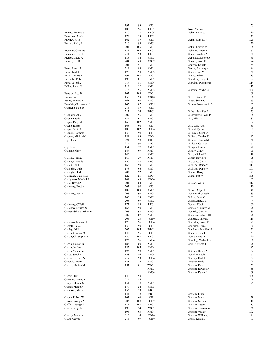|                         | 192 | 93  | CI01              |                        | 155 |
|-------------------------|-----|-----|-------------------|------------------------|-----|
|                         | 186 | 96  | LK03              | Foxx, Melissa          | 81  |
|                         |     |     |                   |                        |     |
| Franco, Antonio S       | 180 | 78  | LK <sub>06</sub>  | Gehm, Brian W          | 230 |
| Francoeur, Mark         | 178 | 99  | LK02              |                        | 225 |
| Frawley, Rich           | 162 | 87  | CI <sub>05</sub>  | Gehm, John P, Jr       | 225 |
|                         |     |     |                   |                        |     |
| Frazier, Ricky R        | 210 | 99  | AM03              |                        | 220 |
|                         | 204 | 105 | <b>FM01</b>       | Gehm, Kaitlyn M        | 128 |
| Freeman, Caroline       | 131 | 105 | LK02              | Geltman, Andy E        | 162 |
|                         |     |     |                   |                        |     |
| Freeman, Everett T      | 211 | 93  | LK01              | Gentile, Andrea M      | 138 |
| French, David A         | 186 | 84  | <b>FM03</b>       | Gentile, Salvatore A   | 165 |
| French, Jeff R          | 204 | 48  | CO09              |                        | 174 |
|                         |     |     |                   | Gerardi, Scott K       |     |
|                         | 201 | 51  | <b>FM07</b>       | German, Donald         | 154 |
| Fresa, Joseph L         | 219 | 99  | AM01              | Germe, Anthony A       | 186 |
|                         | 176 | 90  | AM02              |                        | 168 |
| Frese, Paul R           |     |     |                   | Giamo, Lou M           |     |
| Frith, Thomas M         | 193 | 102 | CI02              | Giamo, Mike            | 213 |
| Fritzsche, Robert T     | 196 | 81  | <b>FM07</b>       | Gianakos, Jerry O      | 192 |
|                         | 117 | 81  | <b>FM06</b>       |                        | 214 |
| Fucci, Joseph J         |     |     |                   | Giardina, Dominic E    |     |
| Fuller, Shane M         | 219 | 92  | AM05              |                        | 212 |
|                         | 215 | 96  | AM02              | Giardina, Michelle L   | 220 |
|                         | 162 | 108 | CO08              |                        | 208 |
| Funston, Bob B          |     |     |                   |                        |     |
| Furino, Joe             | 155 | 98  | CO10              | Gibbs, Daniel T        | 186 |
| Fusco, Edward J         | 165 | 69  | <b>FM02</b>       | Gibbs, Suzanne         | 163 |
|                         |     |     |                   |                        | 203 |
| Futschik, Christopher J | 143 | 87  | CI05              | Gibson, Jonathan A, Sr |     |
| Gabrielle, Noel R       | 214 | 87  | CI <sub>05</sub>  |                        | 198 |
|                         | 212 | 24  | <b>WB03</b>       | Gilbert, Jennifer A    | 125 |
|                         | 207 |     |                   |                        |     |
| Gagliardi, Al V         |     | 96  | <b>FM01</b>       | Gildersleeve, John P   | 188 |
| Gagne, Laurie           | 137 | 61  | AM07              | Gill, Ellis M          | 182 |
| Gagne, Patty M          | 168 | 102 | AM <sub>04</sub>  |                        | 182 |
|                         |     |     |                   |                        |     |
| Gagne, Roger J          | 168 | 90  | C <sub>I</sub> 01 | Gill, Sally Ann        | 133 |
| Gagne, Scott A          | 180 | 102 | CI06              | Gillard, Tyrone        | 189 |
| Gagnon, Carmela E       | 132 | 99  | CI01              | Gillespie, Stephen     | 169 |
|                         |     |     |                   |                        |     |
| Gagnon, Michael G       | 181 | 93  | CO04              | Gilliard, Charles E    | 192 |
| Gaj, Daniel             | 221 | 99  | CO <sub>05</sub>  | Gilliard, Sharon M     | 160 |
|                         | 215 | 90  | CO <sub>05</sub>  | Gilligan, Gary W       | 174 |
|                         |     |     |                   |                        |     |
| Gaj, Lisa               | 154 | 57  | AM03              | Gilligan, Laurie J     | 128 |
| Galgano, Gary           | 147 | 99  | AM01              | Gimler, Cindy          | 175 |
|                         |     |     |                   |                        |     |
|                         | 146 | 51  | AM03              | Ginn, Michael E        | 218 |
| Galich, Joseph J        | 166 | 39  | AM <sub>04</sub>  | Ginter, David M        | 175 |
| Galich, Michelle L      | 150 | 87  | AM <sub>02</sub>  | Giordano, Chris        | 173 |
|                         |     |     |                   |                        |     |
| Galich, Todd L          | 168 | 90  | <b>FM01</b>       | Giuliano, Dante V      | 213 |
| Gallagher, Dale         | 178 | 96  | <b>FM01</b>       | Giuliano, Dante V      | 201 |
| Gallagher, Ted          | 202 | 92  | <b>FM01</b>       | Gladue, Barry          | 127 |
|                         |     |     |                   |                        |     |
| Gallicano, Dakota M     | 122 | 55  | CO <sub>08</sub>  | Glenn, Bob W           | 205 |
| Gallignano, Mitchell L  | 161 | 63  | CO <sub>04</sub>  |                        | 203 |
| Gallo, David A          | 201 | 84  | <b>FM01</b>       | Glisson, Willie        | 212 |
|                         |     |     |                   |                        |     |
| Galloway, Bobby         | 203 | 90  | CI01              |                        | 210 |
|                         | 188 | 108 | AM03              | Glover, Adger L        | 140 |
| Galloway, Earl E        | 208 | 99  | AM <sub>05</sub>  | Goclowski, Joseph      | 183 |
|                         |     |     |                   |                        |     |
|                         | 206 | 99  | <b>FM02</b>       | Goldin, Scott C        | 201 |
|                         | 206 | 99  | <b>FM02</b>       | Golias, Angela C       | 144 |
| Galloway, O'Neil        | 172 | 88  | LK01              | Gomes, Edwin           | 160 |
|                         |     |     |                   |                        |     |
| Galloway, Shirley S     | 165 | 90  | <b>FM03</b>       | Gomes, Silvester M     | 196 |
| Gambardella, Stephen M  | 208 | 93  | AM05              | Goncalo, Gary M        | 189 |
|                         | 207 |     |                   | Gontarek, John F, III  | 196 |
|                         |     | 87  | AM05              |                        |     |
|                         | 204 | 33  | CI10              | Gonzales, Theresa      | 119 |
| Gambino, Michael J      | 125 | 96  | CI04              | Gonzalez, Javier E     | 179 |
|                         |     |     |                   |                        |     |
| Gamelli, Sara J         | 136 | 90  | CI05              | Gonzalez, Juan J       | 130 |
| Ganley, Ed K            | 205 | 105 | WB03              | Goodness, Jennifer N   | 121 |
| Garcia, Carmen M        | 145 | 96  | CI04              | Gookin, Daniel C       | 144 |
| Garcia, Christopher J   | 186 | 102 | LK05              | Gorman, Paul J         | 220 |
|                         |     |     |                   |                        |     |
|                         | 173 | 96  | <b>FM04</b>       | Gormley, Michael D     | 186 |
| Garcia, Hector, Jr      | 185 | 60  | AM <sub>04</sub>  | Goss, Kenneth J        | 196 |
|                         |     |     |                   |                        |     |
| Garcia, Jordan          | 185 | 105 | <b>FM04</b>       |                        | 187 |
| Garcia, Yasmarie        | 123 | 99  | AM07              | Gottlieb, Robin A      | 132 |
| Garde, Sandi J          | 138 | 84  | <b>FM04</b>       | Gould, Meredith        | 174 |
|                         |     | 93  |                   |                        | 132 |
| Gardner, Robert W       | 217 |     | CI04              | Gourley, Karl J        |     |
| Garofalo, Frank         | 175 | 75  | <b>FM07</b>       | Grabber, Ernie         | 194 |
| Garrett, Marion M       | 157 | 81  | WO01              | Graham, Dave           | 131 |
|                         |     |     |                   |                        |     |
|                         |     |     | AM03              | Graham, Edward R       | 158 |
|                         |     |     | AM06              | Graham, Kevin J        | 209 |
| Garrett, Teri           | 146 | 93  |                   |                        | 206 |
|                         |     |     |                   |                        |     |
| Garrison, Wayne T       | 212 | 84  |                   |                        | 196 |
| Gaspar, Marcia M        | 151 | 48  | AM03              |                        | 195 |
| Gaspar, Marco P         | 179 | 54  | <b>FM05</b>       |                        |     |
|                         |     |     |                   |                        |     |
| Gaudioso, Michael J     | 153 | 33  | <b>WB01</b>       |                        |     |
|                         | 144 | 48  | <b>WB01</b>       | Graham, Linda L        | 161 |
| Gayda, Robert W         | 163 | 66  | CI12              | Graham, Mark           | 129 |
|                         |     |     |                   |                        |     |
| Gaydos, Joseph A        | 203 | 108 | CI09              | Graham, Norma          | 118 |
| Geffert, George A       | 172 | 102 | AM07              | Graham, Susan J        | 115 |
|                         | 196 | 24  |                   | Graham, Thomas W       | 166 |
| Grande, Angelo          |     |     | WO02              |                        |     |
|                         | 194 | 93  | AM <sub>04</sub>  | Graham, Walter         | 202 |
| Grandy, Marissa         | 116 | 54  | CO10              | Graham, William, Jr    | 194 |
| Grant, Gary S           | 215 | 99  | CI10              | Grahn, Karen L         | 163 |
|                         |     |     |                   |                        |     |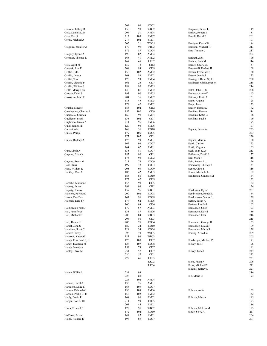|                                             | 204        | 96         | CO02                       |                                             |            |
|---------------------------------------------|------------|------------|----------------------------|---------------------------------------------|------------|
| Grasson, Jeffrey R                          | 150        | 90         | WB02                       | Hargrove, James L                           | 149        |
| Gray, Daniel E, Sr                          | 206        | 51         | AM04                       | Harlow, Robert B                            | 181        |
| Gray, Eric R                                | 212        | 105        | <b>FM07</b>                | Harrell, David B                            | 201<br>191 |
| Greco, Michael A                            | 217<br>205 | 102<br>21  | <b>FM01</b><br>WO05        | Harrigan, Kevin W                           | 184        |
| Gregoire, Jennifer A                        | 177        | 99         | WB02                       | Harrison, Michael R                         | 213        |
|                                             | 172        | 87         | CO <sub>04</sub>           | Hart, Timothy J                             | 217        |
| Gregory, Lynne A                            | 190        | 82         | AM04                       |                                             | 204        |
| Grennan, Thomas E                           | 168        | 41         | AM02                       | Hartnett, Jack                              | 176        |
|                                             | 167        | 45         | LK07                       | Hartsoe, Lois M                             | 114        |
| Grey, April M<br>Greytak, Ron F             | 132<br>208 | 78<br>99   | CI12<br>CI09               | Harvey, Charles L<br>Hasankolli, Reshat, II | 157<br>168 |
| Griffin, Bill J                             | 150        | 102        | AM02                       | Hassan, Frederick N                         | 160        |
| Griffin, Jaret A                            | 168        | 86         | <b>FM02</b>                | Hassan, Jennie L                            | 133        |
| Griffin, Tom                                | 170        | 93         | <b>FM04</b>                | Hassinger, Brent W, Jr                      | 208        |
| Griffin, Victoria P                         | 161        | 26         | CI07                       | Hassinger, Christopher M                    | 218        |
| Griffin, William J                          | 188        | 90         | <b>FM05</b>                |                                             | 214        |
| Grillo, Marry-Lou                           | 140        | 81         | <b>FM02</b>                | Hatch, John R, Jr                           | 208        |
| Grogan, Keith J<br>Grossjean, John R        | 193<br>204 | 90<br>36   | <b>FM05</b><br><b>FM07</b> | Hathway, Annie D<br>Hathway, Keith A        | 143<br>161 |
|                                             | 183        | 45         | <b>FM05</b>                | Haupt, Angela                               | 128        |
|                                             | 179        | 42         | AM02                       | Haupt, Peter                                | 133        |
| Grubka, Maggie                              | 188        | 102        | CI12                       | Hauser, Barbara J                           | 142        |
| Guadagnino, Charles A                       | 155        | 102        | CI09                       | Hawkins, Denise                             | 114        |
| Guarascio, Carmen                           | 160        | 99         | <b>FM04</b>                | Hawkins, Katie G                            | 138        |
| Gugliemo, Frank                             | 155        | 102        | C101                       | Hawkins, Paul S                             | 176        |
| Gugliemo, James P<br>Guiel, James M         | 211<br>129 | 96<br>96   | <b>FM06</b><br><b>FM06</b> |                                             | 175<br>171 |
| Guliani, Abel                               | 168        | 36         | CO10                       | Haynes, Jaison A                            | 233        |
| Gulley, Philip                              | 179        | 105        | CO <sub>05</sub>           |                                             | 223        |
|                                             | 177        | 107        | CI01                       |                                             | 220        |
| Gulley, Rodney A                            | 176        | 99         | AM01                       | Haynes, Marvin                              | 188        |
|                                             | 165        | 96         | CO07                       | Heath, Carlton                              | 153        |
|                                             | 164        | 62         | AM01                       | Heath, Virginia                             | 153        |
| Gura, Linda A                               | 133        | 81         | CO07                       | Heck, John K, Jr                            | 213        |
| Guyette, Brian K                            | 183<br>173 | 90<br>93   | CI11<br><b>FM02</b>        | Heffernan, David L<br>Heil, Mark F          | 177<br>116 |
| Guyette, Tracy M                            | 213        | 78         | CO09                       | Hein, Robert E                              | 156        |
| Haas, Russ                                  | 199        | 78         | CO <sub>04</sub>           | Hemenway, Shelley J                         | 144        |
| Haas, William R                             | 205        | 93         | CO09                       | Hench, Chris S                              | 116        |
| Hackley, Cara A                             | 186        | 42         | AM03                       | Hench, Michelle L                           | 102        |
|                                             | 183        | 86         | CO10                       | Henderson, Candace M                        | 134        |
|                                             | 172        | 42         | CI09                       |                                             | 132        |
| Haesche, Marianne E<br>Hagerty, James       | 153<br>199 | 99<br>96   | CI05<br>CI12               |                                             | 132<br>126 |
| Hagerty, Jimmy                              | 157        | 96         | WB01                       | Henderson, Dyran                            | 201        |
| Hairston, Raymond                           | 200        | 102        | CO08                       | Hendrickson, Ronda L                        | 154        |
| Hakun, Dee Dee                              | 147        | 96         | CO08                       | Hendrickson, Venus L                        | 139        |
| Halchak, Dan, Sr                            | 177        | 62         | <b>FM06</b>                | Herbst, Susan A                             | 148        |
|                                             | 166        | 93         | CI06                       | Herkner, Laszlo I                           | 162        |
| Halibozek, Frank J                          | 172        | 57         | AM03                       | Hernandez, Chris                            | 193<br>186 |
| Hall, Jennifer A<br>Hall, Michael B         | 133<br>208 | 87<br>84   | <b>FM06</b><br>WB03        | Hernandez, David<br>Hernandez, Eliu         | 216        |
|                                             | 204        | $80\,$     | CI03                       |                                             | 215        |
| Hall, Thomas J                              | 206        | 75         | CO <sub>04</sub>           | Hernandez, George D                         | 165        |
| Hamel, John S                               | 189        | 24         | CO10                       | Hernandez, Lucas J                          | 109        |
| Hamilton, Scott C                           | 128        | 34         | CO04                       | Hernandez, Maria R                          | 138        |
| Hamlett, Betty D                            | 96         | 79         | WO05                       | Herring, Alfred W                           | 209        |
| Hancock, Karen G                            | 183        | 96         | WB03                       |                                             | 205        |
| Handy, Courtland F, Jr<br>Handy, Everlena M | 176<br>128 | 100<br>107 | CI07<br>CO08               | Hessberger, Michael P<br>Hickey, Joe N      | 171<br>196 |
| Handy, Jonathan                             | 159        | 78         | CI07                       |                                             | 191        |
| Hanley, Dave M                              | 231        | 57         | CI07                       | Hickey, Lydell                              | 247        |
|                                             | 230        | 57         | CI01                       |                                             | 232        |
|                                             | 229        | 66         | LK05                       |                                             | 231        |
|                                             |            |            | LK02                       | Hicks, Jason R                              | 206        |
|                                             |            |            | LK <sub>06</sub>           | Hicks, Michael P                            | 211        |
|                                             |            | 99         |                            | Higgins, Jeffrey L                          | 221        |
| Hanna, Willie J                             | 231<br>228 | 69         |                            | Hill, Marie C                               | 216<br>173 |
|                                             | 226        | 102        | AM04                       |                                             |            |
| Hannon, Carol A                             | 135        | 76         | AM01                       |                                             |            |
| Hanscom, Mike E                             | 168        | 105        | CO07                       |                                             |            |
| Hansen, Deborah C                           | 136        | 108        | AM06                       | Hillman, Anita                              | 152        |
| Hanson, Philip B, Jr                        | 156        | 102        | <b>FM02</b>                |                                             | 152        |
| Hardy, David P                              | 168        | 96         | <b>FM02</b>                | Hillman, Martin                             | 195        |
| Harger, Don L, III                          | 214<br>203 | 99         | CO <sub>05</sub>           |                                             | 193        |
| Hines, Edward E                             | 178        | 45<br>96   | FM01<br>WB02               | Hillman, Melissa M                          | 186<br>193 |
|                                             | 172        | 102        | CO10                       | Hinde, Steve A                              | 211        |
| Hoffman, Brian                              | 144        | 87         | AM01                       |                                             | 206        |
| Holda, Richard E                            | 198        | 69         | CO <sub>07</sub>           |                                             | 201        |
|                                             |            |            |                            |                                             |            |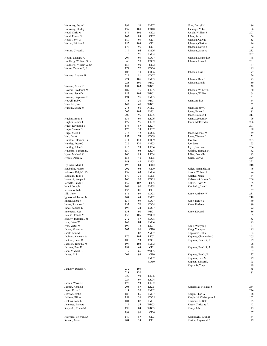| Holloway, Jason L       | 194 | 56  | <b>FM07</b>       | Hine, Darryl H           | 186 |
|-------------------------|-----|-----|-------------------|--------------------------|-----|
|                         | 137 | 108 | CO10              | Jennings, Mike J         | 156 |
| Holloway, Shirley       |     |     |                   |                          |     |
| Hood, Chris M           | 174 | 102 | CI02              | Jockle, William J        | 207 |
| Hood, Renee G           | 162 | 89  | CI07              | Johns, Susan             | 156 |
| Hood, Terry W           | 189 | 93  | C <sub>I</sub> 01 | Johnson, Calvin          | 153 |
| Horner, William L       | 185 | 108 | C <sub>I</sub> 01 | Johnson, Clark A         | 196 |
|                         | 176 | 96  | C <sub>I</sub> 01 | Johnson, David J         | 162 |
|                         |     |     |                   |                          |     |
| Horton, Crystal L       | 119 | 94  | <b>FM06</b>       | Johnson, Jason A         | 232 |
|                         | 116 | 91  | <b>FM04</b>       |                          | 227 |
| Hottin, Leonard A       | 207 | 93  | CO07              | Johnson, Kenneth R       | 148 |
| Houlberg, William G, Jr | 60  | 90  | CO <sub>09</sub>  | Johnson, Leon J          | 201 |
| Houlberg, William G, Sr | 156 | 90  | CI02              |                          | 187 |
|                         |     |     |                   |                          |     |
| House, Thomas E, Jr     | 174 | 72  | CO06              |                          | 185 |
|                         | 106 | 39  | CO06              | Johnson, Lisa L          | 177 |
| Howard, Andrew B        | 229 | 81  | CO <sub>07</sub>  |                          | 176 |
|                         | 224 | 106 | <b>FM03</b>       | Johnson, Ron E           | 173 |
|                         | 223 | 108 | WB03              | Johnson, Shelly          | 150 |
|                         |     |     |                   |                          |     |
| Howard, Brian H         | 181 | 105 | WB01              |                          | 138 |
| Howard, Frederick W     | 187 | 76  | LK05              | Johnson, Wilbert L       | 160 |
| Howard, Jennifer        | 187 | 104 | WB01              | Johnson, William         | 164 |
| Howard, Stephanie E     | 194 | 96  | FM05              |                          | 161 |
| Howell, Bob O           | 115 | 30  | WB01              | Jones, Beth A            | 164 |
| Hreschak, Joe           | 149 | 66  | WB01              |                          | 162 |
|                         |     |     |                   |                          |     |
| Hubeny, Shane M         | 215 | 60  | AM03              | Jones, Bobby G           | 195 |
|                         | 205 | 105 | <b>FM01</b>       | Jones, Enico J           | 181 |
|                         | 202 | 96  | LK05              | Jones, Eustace T         | 213 |
| Hughes, Betty S         | 134 | 93  | LK <sub>06</sub>  | Jones, Leonard P         | 196 |
| Hughes, James T         | 177 | 96  | LK <sub>02</sub>  | Jones, McClendon         | 206 |
|                         |     |     |                   |                          |     |
| Hugo, Raymond T         | 178 | 87  | LK07              |                          | 201 |
| Hugo, Sharon D          | 176 | 33  | LK07              |                          | 188 |
| Hugo, Steve T           | 215 | 42  | CO06              | Jones, Michael W         | 159 |
| Hull, Frank             | 153 | 74  | CO <sub>09</sub>  | Jones, Theresa L         | 151 |
| Humbles, Derrick, Sr    | 211 | 120 | CO <sub>09</sub>  | Joo, Jae                 | 203 |
| Huntley, Jason O        | 226 | 120 | AM03              |                          | 173 |
|                         |     |     |                   | Joo, Jane                |     |
| Huntley, John O         | 215 | 93  | LK04              | Joyce, Norman            | 204 |
| Hutchins, Benjamin J    | 159 | 96  | LK04              | Judkins, Theresa M       | 162 |
| Hyatt, Michael K        | 160 | 88  | LK04              | Julian, Danielle         | 183 |
| Hyder, Debra A          | 154 | 40  | CI <sub>05</sub>  | Julian, Guy A            | 229 |
|                         | 148 | 48  | <b>FM08</b>       |                          | 221 |
|                         |     |     |                   |                          |     |
| Hylinski, Mike J        | 196 | 84  | CI12              |                          | 218 |
| Iacobellis, Joseph      | 202 | 96  | CI09              | Julien, Hannible, III    | 146 |
| Iadorola, Ralph T, IV   | 137 | 63  | <b>FM04</b>       | Kaiser, William F        | 174 |
| Ianniello, Tony J       | 177 | 36  | <b>FM05</b>       | Kalafus, Noah            | 134 |
| Iannucci, Joseph R      | 160 | 90  | CO <sub>05</sub>  | Kalkowski, James G       | 206 |
|                         |     |     |                   |                          |     |
| Iazzetta, Linda J       | 157 | 102 | CI <sub>05</sub>  | Kallen, Dawn M           | 125 |
| Ieraci, Joseph          | 164 | 90  | <b>FM08</b>       | Kaminsky, Lou L          | 171 |
| Ieronimo, Judi          | 133 | 81  | CI <sub>01</sub>  |                          | 167 |
| Ifill, Tony             | 176 | 93  | CO <sub>08</sub>  | Kane, Anthony W          | 231 |
| Ignoto, Alphonse, Jr    | 204 | 69  | <b>FM02</b>       |                          | 218 |
|                         |     |     |                   |                          |     |
| Imme, Michael           | 137 | 95  | CO07              | Kane, Daniel J           | 160 |
| Imme, Shannon L         | 137 | 70  | CO <sub>04</sub>  | Kane, Darlene            | 180 |
| Innes, Sabrina E        | 198 | 24  | CO07              |                          | 172 |
| Innocenzi, Ken          | 138 | 90  | WB01              | Kane, Edward             | 186 |
| Ireland, Jeanne M       | 152 | 105 | WO02              |                          | 185 |
| Irizarry, Damian I, Sr  | 212 | 87  |                   |                          | 183 |
|                         |     |     | CO <sub>08</sub>  |                          |     |
| Ives, Brian W           | 162 | 84  | <b>FM04</b>       |                          | 173 |
| Ives, Victor W          | 196 | 78  | LK01              | Kang, Wonyong            | 181 |
| Jabarr, Akeem A         | 202 | 96  | CI10              | Kang, Youngae            | 145 |
| Jacek, Ann M            | 110 | 87  | AM07              | Kapavitch, John          | 184 |
| Jackson, Kenneth W      | 176 | 105 | LK <sub>02</sub>  | Kapinos, Christopher J   | 205 |
|                         |     |     |                   |                          |     |
| Jackson, Leon O         | 180 | 93  | CO <sub>01</sub>  | Kapinos, Frank R, III    | 199 |
| Jackson, Timothy M      | 198 | 102 | <b>FM02</b>       |                          | 198 |
| Jacques, Paul E         | 194 | 63  | CI11              | Kapinos, Frank R, Jr     | 189 |
| Jahn, Michael E         | 117 | 66  | WO05              |                          | 187 |
| James, Al J             | 201 | 99  | C <sub>I</sub> 10 | Kapinos, Frank, Sr       | 137 |
|                         |     |     |                   |                          |     |
|                         |     |     | <b>FM07</b>       | Kapinos, Lois M          | 129 |
|                         |     |     | CO10              | Kapitan, Edward J        | 195 |
|                         |     |     |                   | Kapsanis, Tony           | 189 |
| Jannetty, Donald A      | 232 | 105 |                   |                          | 185 |
|                         | 228 | 120 |                   |                          | 181 |
|                         | 227 | 93  | LK <sub>06</sub>  |                          |     |
|                         |     |     |                   |                          |     |
|                         | 227 | 99  | LK04              |                          |     |
| Jansen, Wayne J         | 172 | 93  | LK <sub>02</sub>  |                          |     |
| Jasmin, Kenneth         | 205 | 87  | LK05              | Karasinski, Michael J    | 234 |
| Jayne, Erika S          | 114 | 90  | <b>FM02</b>       |                          | 224 |
| Jeffreys, Justin        | 188 | 86  | <b>FM07</b>       | Kargle, Shari A          | 138 |
|                         |     |     |                   |                          |     |
| Jellison, Bill A        | 154 | 36  | CO <sub>05</sub>  | Karpinski, Christopher R | 162 |
| Jenkins, John L         | 184 | 87  | <b>FM01</b>       | Karsmarski, Beth         | 135 |
| Jennings, Barbara       | 114 | 54  | WB03              | Kasey, Christine A       | 142 |
| Katynski, Kevin M       | 198 | 84  | <b>WB03</b>       | Kasey, John              | 175 |
|                         |     |     |                   |                          |     |
|                         | 198 | 96  | CI06              |                          | 167 |
| Katynski, Peter E, Sr   | 149 | 87  | CI03              | Kasprzycki, Ryan R       | 164 |
| Kearse, Aaron           | 204 | 39  | CI01              | Kasten, Raymond, Sr      | 179 |
|                         |     |     |                   |                          |     |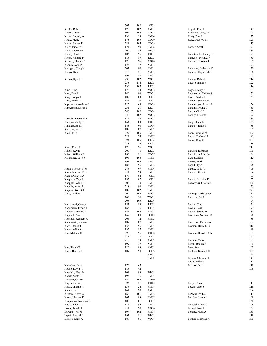|                                     | 202        | 102      | CI03              |                       |            |
|-------------------------------------|------------|----------|-------------------|-----------------------|------------|
|                                     | 170        | 102      | AM01              | Kupsik, Fran A        | 147        |
| Keeler, Robert                      |            |          |                   |                       |            |
| Keena, Cathy                        | 102        | 102      | CO07              | Kurensky, Gary, Jr    | 223        |
| Keena, Melody A                     | 138        | 99       | <b>FM04</b>       | Kurty, Paul J         | 227        |
| Keese, Fred J                       | 175        | 105      | CO09              | Kyle, Dave W, III     | 223        |
| Keiser, Steven R                    | 221        | 105      | CO09              |                       | 213        |
|                                     |            |          |                   |                       |            |
| Kelly, James W                      | 174        | 90       | <b>FM06</b>       | Labacz, Scott E       | 197        |
| Kelly, Thomas F                     | 209        | 54       | WB01              |                       | 189        |
| Kelvey, Jim E                       | 183        | 96       | CO <sub>04</sub>  | Labertrandie, Emery J | 191        |
|                                     | 188        | 87       | LK02              | Labiento, Michael J   | 180        |
| Kemp, Richard P                     |            |          |                   |                       |            |
| Kennelly, James F                   | 176        | 96       | CO10              | Labonte, Thomas J     | 195        |
| Kenney, John P                      | 175        | 72       | AM07              |                       | 193        |
| Kerrigan, Craig N                   | 203        | 90       | <b>FM05</b>       | Lackman, Catherine C  | 130        |
|                                     |            |          |                   |                       |            |
| Kerski, Ken                         | 215        | 21       | AM04              | Lafarier, Raymond J   | 156        |
|                                     | 197        | 87       | <b>FM05</b>       |                       | 153        |
| Kerski, Kyle D                      | 235        | 102      | WO01              | Lafleur, Robert J     | 214        |
|                                     | 233        | 114      | LK05              |                       | 222        |
|                                     |            |          |                   | Lagace, James F       |            |
|                                     | 230        | 105      | LK05              |                       | 214        |
| Kinell, Carl                        | 178        | 24       | WO02              | Lagace, Jerry F       | 181        |
| King, Dan R                         | 146        | 96       | WO01              | Lagerstrom, Shirley S | 171        |
|                                     |            |          |                   |                       |            |
| King, Joseph J                      | 189        | 83       | CI <sub>01</sub>  | Lake, Charles K       | 161        |
| King, Robin L                       | 151        | 39       | CI04              | Lamontagne, Laurie    | 172        |
| Kipperman, Andrew S                 | 223        | 68       | CO <sub>08</sub>  | Lamontagne, Renee A   | 154        |
| Kipperman, David L                  | 251        | 21       | LK07              | Landino, Frank C      | 150        |
|                                     |            |          |                   |                       |            |
|                                     | 246        | 102      | CO <sub>04</sub>  | Lando, Chad E         | 167        |
|                                     | 240        | 102      | WO02              | Landry, Timothy       | 192        |
| Kirstein, Thomas M                  | 184        | 87       | WO01              |                       | 184        |
|                                     |            |          |                   |                       |            |
| Klatzkin, Andy T                    | 164        | 84       | CO <sub>04</sub>  | Lang, Diane L         | 139        |
| Klatzkin, Ed M                      | 143        | 90       | CO06              | Langley, Eddie F      | 188        |
| Klatzkin, Joe C                     | 188        | 87       | <b>FM07</b>       |                       | 185        |
|                                     | 227        | 105      |                   |                       | 202        |
| Klein, Matt                         |            |          | <b>FM07</b>       | Lanza, Charles W      |            |
|                                     | 224        | 74       | <b>FM07</b>       | Lanza, Chelsea M      | 185        |
|                                     | 224        | 105      | LK06              | Lanza, Cory C         | 221        |
|                                     | 218        | 78       | LK02              |                       | 219        |
|                                     |            |          |                   |                       |            |
| Kline, Cheri A                      | 175        | 96       | WO01              |                       | 212        |
| Klisus, Kevin                       | 200        | 78       | LK05              | Lanzara, Robert E     | 205        |
| Klisus, William F                   | 196        | 81       | CO07              | Lanzillotta, MaryJo   | 106        |
|                                     |            |          |                   |                       |            |
| Kloeppner, Leon J                   | 195        | 108      | <b>FM05</b>       | Lapolt, Alexa         | 112        |
|                                     | 193        | 108      | <b>FM05</b>       | LaPolt, Mark          | 172        |
|                                     | 188        | 96       | <b>FM02</b>       | Lapolt, Ryan          | 96         |
| Kluth, Michael T, Jr                | 216        | 99       | <b>FM06</b>       | Larese, Todd A        | 178        |
|                                     |            |          |                   |                       |            |
| Kluth, Michael T, Sr                | 211        | 99       | <b>FM05</b>       | Larson, Glenn O       | 194        |
| Knapp, Charles A                    | 178        | 84       | CI02              |                       | 193        |
| Knapp, Jeffrey A                    | 192        | 87       | CI02              | Larson, Lorraine D    | 137        |
|                                     |            |          |                   |                       |            |
| Knepple, John J, III                | 208        | 33       | <b>FM01</b>       | Laskowski, Charlie J  | 230        |
| Kogelis, Aaron R                    | 218        | 96       | <b>FM01</b>       |                       | 225        |
| Kogelis, Robert J                   | 188        | 102      | <b>FM05</b>       |                       | 223        |
|                                     |            |          |                   |                       |            |
| Kolo, William                       | 209        | 105      | WO02              | Lathrop, Christopher  | 132        |
|                                     | 208        | 96       | WO02              | Laudano, Sal J        | 196        |
|                                     | 208        | 105      | LK06              |                       | 194        |
| Komoroski, George                   | 182        | 89       | LK02              | Lavoie, Cindy         | 134        |
|                                     |            |          |                   |                       |            |
| Koopmann, Ernest J                  | 163        | 36       | LK05              | Lavoie, Paul          | 179        |
| Koorse, Christine A                 | 141        | 102      | FM05              | Lavoie, Spring D      | 180        |
| Kopchak, Alan R                     | 167        | 80       | C <sub>I</sub> 10 | Lawrence, Norman C    | 196        |
|                                     |            |          |                   |                       |            |
| Kopchak, Kenneth A                  | 204        | 72       | <b>FM02</b>       |                       | 188        |
| Kopchinski, Richard                 | 187        | 87       | FM05              | Lawrence, Patricia A  | 132        |
| Korb, Steven J                      | 135        | 96       | FM05              | Lawson, Barry E, Jr   | 210        |
| Koret, Judith K                     | 135        | 87       | <b>FM01</b>       |                       | 198        |
|                                     |            |          |                   |                       |            |
|                                     |            | 96       | CO08              | Lawson, Donald C, Jr  | 181        |
| Kos, Mathew R                       | 220        |          |                   |                       |            |
|                                     | 217        | 27       | CI01              |                       | 174        |
|                                     |            |          |                   |                       |            |
|                                     | 215        | 39       | AM02              | Lawson, Vicki L       | 151        |
|                                     | 199        | 27       | AM04              | Leach, Dennis N       | 160        |
| Kos, Shawn T                        | 126        | 93       | AM03              | Leak, Sean            | 203        |
|                                     |            |          |                   |                       |            |
| Kosa, Thomas J                      | 189        | 90       | CI02              | Leblanc, Kenneth E    | 239        |
|                                     |            |          | AM02              |                       | 226        |
|                                     |            |          | FM08              | Lebron, Chrisann L    | 141        |
|                                     |            |          |                   | Lecza, Mike F         | 212        |
|                                     |            |          |                   |                       |            |
| Kourabas, John                      | 170        | 65       |                   | Lee, Joocheol         | 218        |
| Kovac, David K                      | 186        | 42       |                   |                       | 208        |
| Kovalsky, Paul B                    | 161        | 93       | WB03              |                       |            |
|                                     |            |          |                   |                       |            |
| Kozak, Scott B                      | 193        | 36       | FM05              |                       |            |
| Kraemer, Coleen                     | 159        | 105      | CO10              |                       |            |
| Krajak, Carrie                      | 93         | 21       | CO10              | Leeper, Joan          | 114        |
|                                     |            |          |                   |                       |            |
| Kraus, Michael T                    | 136        | 24       | <b>FM04</b>       | Legere, Glen S        | 216        |
| Kresen, Earl                        | 161        | 90       | AM05              |                       | 204        |
| Kristant, Kathy A                   | 168        | 101      | <b>FM02</b>       | LeMoult, Mike J       | 113        |
| Kross, Michael F                    | 167        | 93       | FM07              | Lenches, Laura L      | 168        |
|                                     |            |          |                   |                       |            |
| Krupienski, Jonathan E              | 186        | 81       | CI01              |                       | 160        |
| Kubic, Robert L                     | 129        | 93       | FM01              | Lengyel, Mark C       | 169        |
| Leoni, Ronald J                     | 211        | 90       | CO <sub>06</sub>  | Leniart, John J       | 162        |
|                                     |            |          |                   |                       |            |
| LePage, Troy G                      | 197        | 102      | FM01              | Lentine, Mark A       | 233        |
| Lepak, Ronald J<br>Lepisto, Larry A | 193<br>189 | 81<br>86 | WB01<br>WO01      | Lentini, Jonathan A   | 218<br>200 |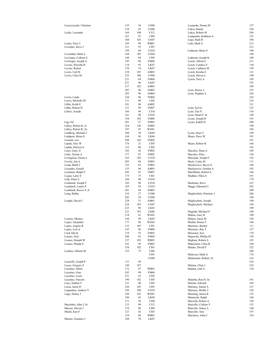| Lesczczynski, Christine              | 155        | 36        | CO06                | Leonardo, Donna M                           | 157        |
|--------------------------------------|------------|-----------|---------------------|---------------------------------------------|------------|
|                                      | 138        | 45        | CO <sub>06</sub>    | Lukos, Randy                                | 194<br>209 |
| Leslie, Lawanda                      | 164<br>161 | 100<br>97 | CI12<br>CI09        | Lukos, Robert M<br>Lumpinski, Kathleen A    | 155        |
|                                      | 160        | 103       | CO07                | Lupo, Ruth R                                | 196        |
| Lester, Terry L                      | 169        | 96        | WB01                | Luth, Mark S                                | 212        |
| Levatino, Steve J                    | 211        | 93        | CI <sub>07</sub>    |                                             | 212        |
|                                      | 199        | 84        | CO10                | Lutheran, Brian S                           | 190        |
| Leventhal, Mark A                    | 169        | 105       | CO <sub>04</sub>    |                                             | 188        |
| Levesque, Colleen E                  | 148        | 84        | CI <sub>05</sub>    | Lutheran, Joseph K                          | 108        |
| LeVesque, Joseph A                   | 195        | 96        | <b>FM06</b>         | Lynch, Alfred G                             | 211        |
| Levine, Priscilla B                  | 114        | 93        | LK07                | Lynch, Candice E                            | 130        |
| Levine, Robert                       | 170        | 74        | LK07                | Lynch, Cathleen M                           | 150        |
| Lewis, Carl D                        | 138        | 105       | AM03                | Lynch, Keisha E                             | 121        |
| Lewis, Chris M                       | 225        | 108       | CO <sub>04</sub>    | Lynch, Steven L                             | 198        |
|                                      | 221        | 69        | <b>FM04</b>         | Lynch, Terry A                              | 199        |
|                                      | 221        | 96        | LK05                |                                             | 193        |
|                                      | 217        | 102       | AM03                |                                             | 189        |
|                                      | 207        | 96        | AM02                | Lynn, Stacey L                              | 152        |
|                                      | 203        | 96        | AM04                | Lynn, Stephen A                             | 226        |
| Lewis, Linda<br>Lewis, Michelle M    | 144<br>131 | 96<br>90  | <b>FM04</b><br>CI02 |                                             | 224<br>218 |
| Libby, Keith E                       | 181        | 96        | AM02                |                                             | 211        |
| Libby, Robert D                      | 211        | 99        | <b>FM07</b>         | Lynn, Sylvia                                | 123        |
| Libero, Joseph                       | 166        | 96        | CI10                | Lynn, Yan N                                 | 136        |
|                                      | 161        | 98        | CO10                | Lyon, Stuart F, Sr                          | 149        |
|                                      | 158        | 102       | <b>FM06</b>         | Lyons, Joseph R                             | 193        |
| Ligi, Ed                             | 201        | 27        | <b>FM03</b>         | Lyons, Kahlil H                             | 209        |
| Likley, Robert K, Jr                 | 224        | 120       | <b>FM02</b>         |                                             | 198        |
| Likley, Robert K, Sr                 | 197        | 93        | WO01                |                                             | 196        |
| Lindberg, Michael J                  | 204        | 30        | LK04                | Lyons, Sean T                               | 189        |
| Lindgren, Brian G                    | 168        | 96        | LK04                | Maars, Dave W                               | 191        |
| Lionetti, Leo                        | 208        | 102       | <b>FM02</b>         |                                             | 191        |
| Liptak, Alex W                       | 176        | 21        | CI05                | Maars, Robert R                             | 164        |
| Liptak, Patricia A                   | 112        | 96        | CI02                |                                             | 162        |
| Liseo, Gary, Jr                      | 105        | 42        | <b>FM02</b>         | Macchio, Dean A                             | 189        |
| Little, Tyrone A                     | 177        | 87        | <b>FM02</b>         | Macchio, Elisa                              | 156        |
| Livingston, Gloria L                 | 163        | 105       | CO10                | Maciejak, Joseph F                          | 162        |
| Livolsi, Jon A                       | 203        | 84        | <b>FM03</b>         | Mack, Curtis M                              | 171        |
| Lizak, Barbi J                       | 125        | 63        | <b>FM03</b>         | Mackiewicz, Bryce G                         | 188<br>193 |
| Lizondro, Gerald<br>Lockman, Ralph P | 133<br>205 | 96<br>93  | AM03<br><b>FM07</b> | Mackiewicz, Gordon A<br>MacMillen, Robert S | 166        |
| Logan, Larry E                       | 175        | 75        | CI01                | Madden, Nikia S                             | 191        |
| Lohr, Peter A                        | 184        | 90        | CO10                |                                             | 179        |
| Lombardi, Joseph F                   | 182        | 96        | CO10                | Madonna, Steve                              | 167        |
| Lombardi, Laurie P                   | 169        | 93        | CO10                | Maggi, Edmond G                             | 202        |
| Lombardi, Rocco V, Jr                | 201        | 84        | AM03                |                                             | 200        |
| Long, Bobby                          | 216        | 27        | CO08                | Magliochetti, Dominic J                     | 206        |
|                                      | 202        | 93        | CO <sub>04</sub>    |                                             | 196        |
| Longhi, David J                      | 228        | 51        | AM01                | Magliochetti, Joseph                        | 190        |
|                                      | 224        | 105       | CO07                | Magliochetti, Michael                       | 194        |
|                                      | 223        | 96        | LK <sub>02</sub>    |                                             | 190        |
|                                      | 221        | 102       | LK <sub>06</sub>    | Magrath, Michael E                          | 188        |
|                                      | 218        | 81        | WO01                | Maheu, Gary R                               | 190        |
| Loomis, Monica                       | 144        | 99        | LK05                | Mahon, Jason M                              | 228        |
| Lopez, Alejandro                     | 177        | 96        | WO02                | Maillet, Renee F                            | 148        |
| Lopez, Angelo R                      | 133        | 105       | CI01                | Maiorino, Rachel                            | 111        |
| Lopez, Luis A                        | 143        | 96        | <b>FM08</b>         | Maiorino, Ray T                             | 157        |
| Lord, David                          | 119        | 55        | <b>FM03</b>         | Maisonet, Jose                              | 170        |
| Lorenz, Neil<br>Losnes, Donald W     | 208<br>127 | 81<br>102 | <b>FM04</b><br>WB03 | Majewski, Phillip M<br>Majkner, Robert A    | 158<br>185 |
| Losnes, Wanda S                      | 161        | 99        | <b>FM02</b>         | Maksymiw, Chris B                           | 184        |
|                                      | 158        | 102       | CI01                | Malaro, David P                             | 222        |
| Loubier, Alberta M                   | 152        | 75        | CI06                |                                             | 208        |
|                                      |            |           | C <sub>I</sub> 01   | Malavasi, Mark A                            | 176        |
|                                      |            |           | $_{\rm CO08}$       | Maldonado, Robert, Sr                       | 216        |
| Lucarelli, Joseph P                  | 111        | 69        |                     |                                             | 210        |
| Lucas, Gregory S                     | 149        | 107       |                     | Malena, Chris J                             | 219        |
| Lucatino, Albert                     | 172        | 97        | WB03                | Malena, Gail A                              | 134        |
| Lucatino, Gino                       | 183        | 99        | <b>FM06</b>         |                                             |            |
| Lucatino, Louis                      | 151        | 63        | CI <sub>05</sub>    |                                             |            |
| Lucatino, Vincent                    | 190        | 102       | CI <sub>05</sub>    | Malerba, Ron D, Sr                          | 191        |
| Luce, Nathan T                       | 211        | 90        | CI <sub>05</sub>    | Malone, Edward                              | 169        |
| Lucia, Jason D                       | 220        | 105       | CI <sub>05</sub>    | Maloney, Juleen A                           | 127        |
| Lugauskas, Andrew V                  | 226        | 108       | CO10                | Maloney, Shelby L                           | 120        |
| Lugo, Danny J                        | 188        | 102       | WO01                | Manning, James K                            | 135        |
|                                      | 186        | 42        | LK04                | Mannochi, Ralph                             | 146        |
|                                      | 171        | 36        | CI04                | Marcella, Robert A                          | 150        |
| Marchitto, John J, Sr                | 113        | 90        | C112                | Marcello, Colleen V                         | 133        |
| Marcus, Steven J                     | 179        | 96        | CI09                | Marcello, Nancy L                           | 160        |
| Marek, Ken F                         | 127        | 42        | CI03                | Marcello, Tom                               | 197        |
|                                      | 124        | 84        | WB03                | Marchese, John C                            | 154        |
| Marino, Gennaro J                    | 168        | 78        | LK07                |                                             |            |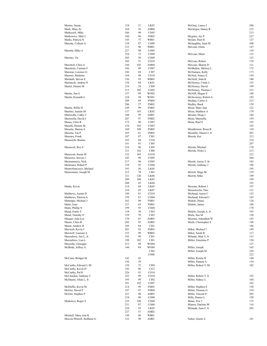| Marino, Susan               | 118 | 51  | LK03              | McGray, Lance J        | 206 |
|-----------------------------|-----|-----|-------------------|------------------------|-----|
| Mark, Mary-Jo               | 164 | 36  | AM <sub>04</sub>  | McGregor, Danny R      | 215 |
|                             |     |     |                   |                        |     |
| Markesich, Mike             | 186 | 90  | CO <sub>03</sub>  |                        | 213 |
| Markowicz, Matt L           | 160 | 96  | <b>FM02</b>       | Mcguire, Jay P         | 227 |
| Marks, Patricia N           | 145 | 75  | WB01              | Mclain, Paul H         | 127 |
| Marotta, Colleen A          | 154 | 87  | CO <sub>09</sub>  | Mclaughlin, Sean M     | 200 |
|                             | 153 | 96  | WB01              | McLean, Elena          | 147 |
|                             |     |     |                   |                        |     |
| Marotta, Mike A             | 227 | 98  | CO <sub>03</sub>  |                        | 139 |
|                             | 224 | 72  | CO <sub>09</sub>  | McLean, Marie          | 133 |
| Marotto, Vic                | 203 | 30  | CO <sub>09</sub>  |                        | 123 |
|                             | 202 | 21  | CO <sub>10</sub>  | McLean, Robert         | 170 |
|                             |     |     |                   |                        |     |
| Marottoli, Chris A          | 144 | 105 | AM <sub>04</sub>  | McLean, Sharon D       | 111 |
| Marottolo, Carmen F         | 166 | 99  | CO07              | McMullen, Melissa L    | 172 |
| Marozas, Lorenzo G          | 186 | 69  | CI07              | McNamara, Kelly        | 173 |
| Marrero, Modesto            | 164 | 48  | CO <sub>10</sub>  | McNeil, Nancy E        | 154 |
|                             |     |     |                   |                        |     |
| Marshall, Steven E          | 156 | 93  | WB03              | McNeill, John K        | 180 |
| Martancik, Andrea N         | 138 | 84  | LK01              | McNerney, Cindy L      | 155 |
| Martel, Dennis M            | 216 | 24  | CI04              | McNerney, David        | 199 |
|                             | 215 | 105 | CO <sub>03</sub>  | McNerney, Thomas J     | 215 |
|                             |     |     |                   |                        |     |
| Martin, Jim A               | 157 | 99  | WO02              | McNiff, Megan E        | 148 |
| Martin, Kenneth L           | 210 | 30  | WO01              | McSweeney, Robert A    | 182 |
|                             | 209 | 69  | FM04              | Medina, Carlos A       | 215 |
|                             | 206 | 27  | <b>FM03</b>       | Medley, Buck           | 159 |
|                             |     |     |                   |                        |     |
| Martin, Willie D            | 149 | 99  | <b>FM02</b>       | Meier, Mary Ann        | 122 |
| Martino, Juanita M          | 137 | 105 | LK <sub>02</sub>  | Meier, Matthew A       | 179 |
| Martorella, Cathy C         | 188 | 99  | AM01              | Meister, Doug J        | 184 |
| Martorella, David J         | 207 | 97  | <b>FM02</b>       | Mena, Marinella        | 159 |
|                             |     |     |                   |                        |     |
| Masas, Chris R              | 175 | 90  | CO07              | Mena, Raul E           | 192 |
| Maselli, Dorene M           | 154 | 105 | CO07              |                        | 192 |
| Masotta, Sharon A           | 160 | 108 | <b>FM05</b>       | Mendlestein, Rissa R   | 110 |
| Masotta, Vin P              | 165 | 81  | <b>FM02</b>       | Mennillo, Daniel J, Jr | 201 |
|                             |     |     | CI01              |                        | 213 |
| Massaro, Frank              | 187 | 87  |                   | Merola, Kai            |     |
| Masserelli, Bonnie          | 165 | 84  | C <sub>I</sub> 10 |                        | 210 |
|                             | 161 | 93  | CI05              |                        | 207 |
| Massicott, Roy S            | 216 | 96  | CI03              | Merola, Michael        | 170 |
|                             | 211 | 102 | <b>CI06</b>       | Merola, Nicky L        | 213 |
|                             |     |     |                   |                        |     |
| Massicott, Susan M          | 132 | 105 | CO10              |                        | 212 |
| Massores, Steven J          | 142 | 99  | CO <sub>05</sub>  |                        | 204 |
| Mastranunzio, Nick          | 217 | 96  | CO <sub>05</sub>  | Merritt, Aaron T, Sr   | 183 |
| Mastriano, Robert P         | 158 | 95  | CO <sub>04</sub>  | Merritt, Anthony J     | 196 |
|                             |     |     |                   |                        |     |
| Mastrofrancesco, Michael    | 193 | 56  | LK05              |                        | 195 |
| Mastroianni, Joseph M       | 215 | 78  | CI <sub>01</sub>  | Merritt, Mage M        | 159 |
|                             | 211 | 120 | LK <sub>06</sub>  | Merritt, Mike          | 199 |
|                             | 209 | 108 | LK03              |                        | 199 |
|                             |     |     |                   |                        | 193 |
|                             | 208 | 45  | LK04              |                        |     |
| Mathe, Kevin                | 214 | 84  | LK05              | Messina, Robert J      | 197 |
|                             | 210 | 45  | LK07              | Messolocitis, Tino     | 121 |
| Matthews, Austin D          | 149 | 81  | CO <sub>10</sub>  | Michaud, Aaron C       | 155 |
| Matthews, Patricia A        | 159 | 81  | CO <sub>04</sub>  | Michaud, Edward J      | 145 |
|                             |     |     |                   |                        |     |
| Mattingly, Michael J        | 162 | 90  | <b>FM01</b>       | Midolo, Diane          | 126 |
| Matts, Joan                 | 127 | 63  | <b>FM01</b>       | Midolo, James          | 186 |
| Matts, Phillip N            | 199 | 93  | CO <sub>04</sub>  |                        | 178 |
| Maud, Emily E               | 118 | 38  | CI03              | Midolo, Joseph A, Jr   | 195 |
|                             |     |     |                   |                        |     |
| Maud, Timothy P             | 129 | 70  | CI03              | Miele, Sue M           | 130 |
| Mauger, Jodi-Lyn            | 170 | 83  | AM03              | Miessau, Johnathan W   | 183 |
| Mauro, Chris B              | 202 | 93  | AM03              | Mieth, Christopher S   | 196 |
| Maust, Andrew R             | 105 | 84  | CI01              |                        | 196 |
| Maxwell, Kevin J            | 201 | 92  | <b>FM05</b>       |                        | 149 |
|                             |     |     |                   | Miket, Michael J       |     |
| Maxwell, Laureen A          | 152 | 99  | WB03              | Miket, Sarah B         | 117 |
| Mazzaferro, Jim L, Jr       | 192 | 99  | CI01              | Milardo, Matt V, Jr    | 153 |
| Mazzaferro, Lisa L          | 198 | 102 | C <sub>I</sub> 01 | Miller, Ernestine P    | 130 |
| Mazzella, Giuseppe          |     | 99  |                   |                        | 127 |
|                             | 212 |     | WO04              |                        |     |
| McBride, Jeffrey A          | 144 | 84  | WO04              | Miller, Joseph         | 165 |
|                             |     |     | CI02              | Miller, Joseph M       | 226 |
|                             |     |     | CO06              |                        | 222 |
| McCann, Bridget M           | 142 | 42  |                   | Miller, Kristie R      | 140 |
|                             |     |     |                   |                        |     |
|                             | 136 | 39  |                   | Miller, Pamela A       | 134 |
| McCarthy, Edward J, III     | 139 | 72  | CI09              | Miller, Robert T, III  | 182 |
| McCarthy, Kevin D           | 142 | 96  | CI12              |                        |     |
| McCarthy, Pat R             | 226 | 93  | CO10              |                        |     |
|                             |     |     |                   |                        |     |
| McClendon, Anthony C        | 183 | 99  | CO10              | Miller, Robert T, Jr   | 192 |
| McDaniel, Allan L, Jr       | 195 | 99  | CI02              | Miller, Sidney L       | 164 |
|                             | 181 | 102 | CO07              |                        | 162 |
| McDuffie, Kevin M           | 214 | 99  | <b>FM03</b>       | Miller, Stephen E      | 158 |
|                             |     |     |                   |                        |     |
| McGirr, David P             | 197 | 87  | <b>FM04</b>       | Miller, Thomas G       | 210 |
| McGirr, Stephen P           | 221 | 90  | AM03              | Miller, Vincent P      | 203 |
|                             | 218 | 96  | CO <sub>08</sub>  | Mills, Denise L        | 150 |
| Miskolczi, Roger S          | 235 | 108 | CO04              | Miner, Eric J          | 175 |
|                             |     |     |                   |                        |     |
|                             | 231 | 87  | CO <sub>08</sub>  | Minore, Darlene M      | 116 |
|                             | 229 | 93  | LK05              | Miranda, Juan F, Jr    | 202 |
|                             | 227 | 51  | AM <sub>02</sub>  |                        |     |
| Mitchell, Mary Ann K        | 130 | 66  | WB01              |                        |     |
| Moccia-Worrell, Steffanie G |     | 90  |                   | Naber, Gisele A        |     |
|                             | 132 |     | AM01              |                        | 161 |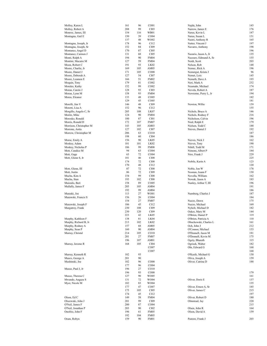| Molloy, Karen L         | 161 | 96  | CO <sub>01</sub> | Najda, John           | 143 |
|-------------------------|-----|-----|------------------|-----------------------|-----|
| Molloy, Robert A        | 208 | 99  | CI03             | Narrow, James E       | 176 |
| Monroe, James, III      | 154 | 116 | WB01             | Narus, Kevin L        | 187 |
| Montagna, Gail E        | 150 | 39  | CO <sub>04</sub> | Narus, Susan L        | 151 |
|                         | 137 | 48  | WO02             | Nastri, Anthony R     | 165 |
|                         |     |     |                  |                       |     |
| Montagna, Joseph, Jr    | 178 | 96  | CI12             | Natter, Vincent J     | 197 |
| Montagna, Joseph, Sr    | 152 | 84  | CI09             | Navarro, Anthony      | 198 |
| Montanez, Angel D       | 170 | 87  | CI05             |                       | 196 |
| Montanez, Carmen J      | 131 | 68  | CI05             | Nazario, Jason A, Jr  | 135 |
| Monti, Ralph A          | 194 | 90  | <b>FM04</b>      | Nazzaro, Edmund A, Sr | 155 |
| Montini, Macaire M      | 127 | 59  | <b>FM04</b>      | Neidt, Scott          | 203 |
| Moon, Robert C          | 191 | 93  | LK <sub>02</sub> | Nelson, Rob           | 148 |
|                         |     |     |                  |                       |     |
| Moore, Charlie, Jr      | 169 | 105 | AM <sub>05</sub> | Nemec, Rick A         | 196 |
| Moore, Daniel J         | 171 | 105 | CO <sub>08</sub> | Nemergut, Krista J    | 96  |
| Moore, Deborah A        | 127 | 54  | CI <sub>07</sub> | Nemet, Lois           | 145 |
| Moore, Leamon E         | 166 | 51  | <b>FM02</b>      | Nemeth, Dave A        | 193 |
| Moquin, Tony            | 179 | 81  | CO <sub>02</sub> | Neri, Mark A          | 232 |
| Morales, Kathy          | 152 | 99  | CO <sub>02</sub> | Neumahr, Michael      | 174 |
|                         |     |     |                  |                       |     |
| Moran, Carole J         | 128 | 93  | CI03             | Nevola, Robert A      | 187 |
| Moran, Lynn M           | 158 | 93  | <b>FM04</b>      | Newsome, Perry L, Jr  | 194 |
| Moras, Eleanor          | 133 | 48  | CO <sub>05</sub> |                       | 182 |
|                         | 129 | 45  | CO <sub>05</sub> |                       | 181 |
| Morelli, Jim V          | 146 | 48  | CI09             | Newton, Willie        | 159 |
| Moretti, Lisa A         | 152 | 96  | CI12             |                       | 155 |
|                         |     |     |                  |                       |     |
| Morgillo, Angelo C, Sr  | 205 | 108 | LK07             | Nichols, Bruce A      | 146 |
| Moritz, Mike            | 124 | 90  | <b>FM04</b>      | Nichols, Rodney F     | 216 |
| Morosko, Ronald         | 180 | 87  | CI <sub>01</sub> | Nicholson, Calvin     | 196 |
| Morris, Ronald D        | 172 | 107 | <b>FM07</b>      | Nied, Ralph E         | 179 |
| Morrison, Christopher M | 143 | 105 | AM03             | Nielsen, Todd C       | 188 |
|                         |     |     |                  |                       |     |
| Morrone, Anita          | 127 | 102 | <b>CI07</b>      | Nieves, Daniel J      | 192 |
| Morrow, Christopher M   | 206 | 63  | CO10             |                       | 187 |
|                         | 198 | 60  | CI04             |                       | 186 |
| Morse, Emily A          | 156 | 90  | LK05             | Nieves, Nick J        | 162 |
| Moskey, Adam            | 181 | 101 | LK <sub>02</sub> | Nieves, Tony          | 190 |
| Moskey, Nicholas P      | 186 | 99  | <b>FM08</b>      | Nihill, Todd M        | 171 |
|                         |     |     |                  |                       |     |
| Mott, Candice M         | 94  | 63  | CO <sub>04</sub> | Nimons, Albert P      | 184 |
| Mott, Gage              | 63  | 72  | CO <sub>04</sub> | Niro, Frank J         | 229 |
| Mott, Glenn S, Jr       | 181 | 46  | <b>CI08</b>      |                       | 225 |
|                         | 174 | 72  | <b>CI08</b>      | Nobile, Karin A       | 123 |
|                         | 170 | 48  | C112             |                       | 120 |
| Mott, Glenn, III        | 87  | 72  | <b>CI08</b>      | Noble, Jon W          | 178 |
| Mott, Justin            | 86  | 72  | CI09             | Noonan, Joann F       | 130 |
|                         |     |     |                  |                       |     |
| Mucha, Kim A            | 154 | 99  | <b>CI08</b>      | Novella, William      | 162 |
| Mucha, Stan             | 193 | 102 | <b>CI08</b>      | Nowak, Jason A        | 183 |
| Muizulis, Bert          | 158 | 89  | CO <sub>05</sub> | Nunley, Arthur T, III | 196 |
| Mullally, James F       | 205 | 105 | AM <sub>04</sub> |                       | 191 |
|                         | 192 | 99  | AM <sub>04</sub> |                       | 186 |
| Muraski, Joe            | 113 | 27  | WO01             | Nurnberg, Charles J   | 187 |
|                         |     |     |                  |                       |     |
| Murawski, Francis S     | 156 | 26  | CO <sub>04</sub> |                       | 184 |
|                         | 154 | 27  | <b>FM07</b>      | Nuzzo, Dawn           | 175 |
| Murawski, Joseph F      | 186 | 45  | C112             | Nuzzo, Michael        | 169 |
| Murgatroy, Frank        | 230 | 108 | CI09             | Nyholt, Michael D     | 182 |
|                         | 230 | 120 | CI09             | Oakes, Mary M         | 144 |
|                         | 223 | 42  |                  |                       | 119 |
|                         |     |     | LK05             | O'Brien, Daniel P     |     |
| Murphy, Kathleen F      | 138 | 81  | LK04             | O'Brien, Patricia A   | 110 |
| Murphy, Richard B, Jr   | 213 | 102 | LK02             | Obuchowski, Charles L | 161 |
| Murphy, Rodney A        | 157 | 68  | AM05             | Och, John J           | 212 |
| Murphy, Sean P          | 160 | 90  | AM04             | O'Connor, Michael     | 153 |
| Murray, Christal        | 214 | 105 | CO10             | O'Donnell, Jason M    | 181 |
|                         | 201 | 27  | <b>FM07</b>      | O'Donnell, Kevin M    | 175 |
|                         |     |     |                  |                       |     |
|                         | 196 | 107 | AM01             | Ogety, Bharath        | 115 |
| Murray, Jerome R        | 168 | 105 | CI04             | Ogrisek, Walter       | 182 |
|                         |     |     | CO07             | Ohr, Edward G         | 168 |
|                         |     |     | CO07             |                       | 168 |
| Murray, Kenneth R       | 182 | 93  |                  | O'Keefe, Michael G    | 130 |
| Musco, George A         |     | 90  |                  |                       | 159 |
|                         | 201 |     |                  | Oliva, Joseph A       |     |
| Mushinski, Joe          | 182 | 96  | CO <sub>08</sub> | Oliver, Catrina D     | 188 |
|                         | 177 | 96  | CO <sub>04</sub> |                       |     |
| Musso, Paul J, Jr       | 196 | 27  | CO10             |                       |     |
|                         | 196 | 93  | CO <sub>08</sub> |                       | 179 |
| Musso, Theresa C        | 127 | 90  | WO05             |                       | 161 |
| Mwando, Angaza S        |     |     |                  |                       |     |
|                         | 131 | 72  | WO04             | Oliver, Doris E       | 137 |
| Myer, Nicole M          | 182 | 83  | WO04             |                       | 135 |
|                         | 177 | 47  | CO07             | Oliver, Ernest A, Sr  | 185 |
|                         | 175 | 105 | CI <sub>05</sub> | Oliver, James C       | 215 |
|                         | 174 | 45  | C112             |                       | 197 |
| Olson, Ed C             | 149 | 58  | <b>FM04</b>      | Oliver, Robert D      | 180 |
|                         |     |     |                  |                       |     |
| Olszewski, John J       | 201 | 99  | CI09             | Olmstead, Jay         | 220 |
| O'Neil, James F         | 200 | 87  | CO <sub>04</sub> |                       | 215 |
| O'Neil, Jonathan P      | 203 | 90  | CI02             | Olsen, John R         | 164 |
| Onofrio, John F         | 196 | 61  | FM <sub>05</sub> | Olson, David A        | 159 |
|                         | 192 | 104 | FM <sub>05</sub> |                       |     |
| Oram, Robyn             | 159 | 90  | <b>FM01</b>      | Pastore, Frank J      | 203 |
|                         |     |     |                  |                       |     |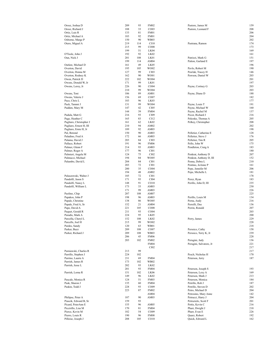| Orosz, Joshua D                       |            | 93        | <b>FM02</b>         | Pastore, James M                 |            |
|---------------------------------------|------------|-----------|---------------------|----------------------------------|------------|
|                                       | 209        |           |                     |                                  | 159        |
| Orosz, Richard J                      | 188        | 33        | CO <sub>03</sub>    | Pastore, Leonard F               | 208        |
| Ortiz, Luis R                         | 133        | 81        | <b>FM01</b>         |                                  | 206        |
| Ortiz, Michael A                      | 183        | 92        | <b>FM01</b>         |                                  | 204        |
| Osborne, Marge P                      | 150        | 90        | <b>WB03</b>         |                                  | 202        |
|                                       |            |           |                     |                                  |            |
| Otero, Miguel A                       | 219        | 114       | CI10                | Pastrana, Ramon                  | 174        |
|                                       | 215        | 99        | CO08                |                                  | 173        |
|                                       | 199        | 51        | LK04                |                                  | 169        |
| O'Toole, John J                       | 192        | 92        | LK <sub>02</sub>    |                                  | 161        |
| Oun, Nick J                           | 201        | 108       | LK01                | Patrizzi, Mark G                 | 151        |
|                                       |            |           |                     |                                  |            |
|                                       | 199        | 114       | AM04                | Patton, Garland E                | 197        |
| Outlaw, Michael D                     | 161        | 49        | LK05                |                                  | 196        |
| Overton, David                        | 195        | 105       | WO02                | Pavlo, Robert M                  | 190        |
| Overton, Donna M                      | 127        | 99        | CI03                | Pawlak, Tracey H                 | 146        |
|                                       |            |           | WO01                |                                  | 203        |
| Overton, Rodney K                     | 162        | 90        |                     | Pawson, Daniel W                 |            |
| Owen, Patrick D                       | 222        | 102       | WO04                |                                  | 201        |
| Owens, Donald W, Jr                   | 171        | 99        | LK01                |                                  | 197        |
| Owens, Leroy, Jr                      | 226        | 90        | CO <sub>04</sub>    | Payne, Cortney G                 | 203        |
|                                       | 210        | 99        | WO04                |                                  | 203        |
|                                       |            |           |                     |                                  |            |
| Owens, Toni                           | 106        | 89        | AM01                | Payne, Diane D                   | 188        |
| Owens, Valerie J                      | 156        | 69        | CO07                |                                  | 182        |
| Pace, Chris L                         | 183        | 96        | LK03                |                                  | 177        |
| Pack, Tammi J                         | 131        | 99        | WO04                | Payne, Louis T                   | 191        |
|                                       | 147        |           |                     |                                  | 160        |
| Padden, Mary M                        |            | 42        | CI <sub>05</sub>    | Payne, Michael W                 |            |
|                                       | 144        | 39        | <b>FM04</b>         | Payne, Rachel M                  | 137        |
| Padula, Matt G                        | 216        | 93        | CI09                | Pecor, Richard J                 | 216        |
| Page, Heather C                       | 165        | 83        | CI12                | Pekoske, Thomas A                | 205        |
| Pagliaro, Christopher J               | 161        | 62        | LK <sub>02</sub>    | Pelkey, Christopher              | 208        |
|                                       |            |           |                     |                                  |            |
| Pagliaro, Ernest H, III               | 210        | 94        | AM02                |                                  | 202        |
| Pagliaro, Ernie H, Jr                 | 189        | 92        | AM03                |                                  | 198        |
| Pal, Botond                           | 150        | 90        | AM03                | Pelletier, Catherine E           | 128        |
| Paladino, Fred A                      | 172        | 66        | AM03                | Pelletier, Steve J               | 176        |
|                                       |            |           |                     |                                  |            |
| Palama, David J                       | 203        | 84        | CI03                | Pelletier, Tim R                 | 205        |
| Pallace, Robert                       | 191        | 96        | <b>FM06</b>         | Pello, John W                    | 175        |
| Palmer, Glenn F                       | 214        | 93        | AM03                | Pendleton, Craig A               | 183        |
| Palmer, Roger A                       | 177        | 96        | CI01                |                                  | 180        |
| Palmieri, Angela M                    | 124        | 75        | CI02                | Penkrat, Anthony D               | 207        |
|                                       |            |           |                     |                                  |            |
| Palmucci, Michael                     | 194        | 84        | WO05                | Penkrat, Anthony D, III          | 152        |
| Palumbo, David L                      | 204        | 84        | C <sub>I</sub> 01   | Penna, Debra L                   | 210        |
|                                       | 203        | 72        | CI01                | Pentino, JoAnne P                | 161        |
|                                       | 200        | 35        | CO04                | Pepe, Jennifer M                 | 206        |
|                                       |            |           |                     |                                  |            |
|                                       | 194        | 48        | AM02                | Pepe, Michelle L                 | 181        |
| Paluszewski, Walter J                 | 185        | 72        | CI01                |                                  | 178        |
| Pandolfi, Jason S                     | 171        | 93        | CI04                | Perez, Ryan                      | 183        |
| Pandolfi, Nancy L                     | 148        | 91        | CO10                | Perillo, John D, III             | 235        |
| Pandolfi, William L                   | 173        | 33        | AM03                |                                  | 230        |
|                                       |            |           |                     |                                  |            |
|                                       | 171        | 99        | AM03                |                                  | 226        |
| Paolino, Chip                         | 207        | 108       | AM07                |                                  | 225        |
| Papakos, John P                       | 198        | 96        | AM03                | Perillo, Louis M                 | 134        |
| Papale, Christine                     | 138        | 86        | WO05                | Perna, Andy                      | 216        |
| Papale, Fred A, Sr                    | 152        |           | AM04                |                                  | 136        |
|                                       |            | 21        |                     | Perrelli, Dee                    |            |
| Pape, David A                         | 221        | 105       | CO08                | Perrin, Ronald                   | 207        |
| Paquet, Gerald R                      | 211        | 93        | CO <sub>04</sub>    |                                  | 203        |
| Paradis, Mark A                       | 224        | 95        | LK05                |                                  | 200        |
|                                       |            | 108       |                     |                                  |            |
|                                       |            |           |                     |                                  |            |
| Parcella, Cheryl L                    | 152        |           | LK02                | Perry, James                     | 229        |
| Parcells, Joel H                      | 215        | 99        | WO02                |                                  | 228        |
| Pardes, Sandy                         | 120        | 63        | WB01                |                                  | 218        |
|                                       |            |           |                     | Perssico, Cathy                  |            |
| Parker, Buzz                          | 209        | 108       | CO07                |                                  | 158        |
| Parker, Richard J                     | 209        | 108       | WB03                | Perssico, Terry K, Jr            | 239        |
|                                       | 206        | 45        | <b>FM06</b>         |                                  | 228        |
|                                       | 203        | 102       | <b>FM02</b>         | Perugini, Judy                   | 136        |
|                                       |            |           | <b>FM04</b>         | Perugini, Salvatore, Jr          | 221        |
|                                       |            |           |                     |                                  |            |
|                                       |            |           | CI02                |                                  | 217        |
| Parniawski, Charles R                 | 213        | 99        |                     |                                  | 217        |
| Parrillo, Stephen J                   | 224        | 102       |                     | Pesch, Nicholas H                | 170        |
| Parrino, Laurie A                     | 211        | 69        | FM04                | Peterson, Jerry                  | 187        |
| Parrish, James R                      | 173        | 102       | WB02                |                                  |            |
|                                       |            |           |                     |                                  |            |
| Parrish, Jesse L                      | 202        | 93        | LK02                |                                  |            |
|                                       | 201        | 93        | <b>FM04</b>         | Peterson, Joseph S               | 193        |
| Parrish, Lorna R                      | 151        | 102       | LK <sub>06</sub>    | Peterson, Lexy A                 | 169        |
|                                       | 149        | 96        | LK02                | Peterson, Mark J                 | 213        |
|                                       |            |           |                     |                                  |            |
| Pascale, Monica R                     | 124        | 51        | <b>FM03</b>         | Peterson, Monica                 | 184        |
| Pask, Sharon J                        | 135        | 60        | <b>FM04</b>         | Petrillo, Rob J                  | 187        |
| Paskin, Todd J                        | 228        | 93        | CO09                | Petrillo, Steven D               | 202        |
|                                       | 223        | 87        | <b>FM02</b>         | Petro, Michael D                 | 204        |
|                                       |            |           |                     |                                  |            |
|                                       |            |           | AM04                | Petrosino, Mary Anne             | 142        |
| Philipse, Peter A                     | 187        | 90        | AM03                | Petrucci, Harry J                | 204        |
| Piascik, Edward B, Sr                 | 159        | 93        |                     | Petruzielo, Scott F              | 201        |
| Picard, PeterAnn E                    | 155        | 96        | AM05                | Pettis, Kevin C                  | 216        |
|                                       |            |           |                     |                                  |            |
| Piccirillo, Lisa M                    | 170        | 81        | <b>FM04</b>         | Pharr, Dwight J                  | 218        |
| Pierce, Kevin M                       | 182        | 54        | CO09                | Pharr, Evan E                    | 226        |
| Pierro, Louis R<br>Pilloise, Joseph J | 190<br>208 | 96<br>105 | <b>FM08</b><br>CO10 | Quarz, Robert<br>Quick, Edward L | 192<br>162 |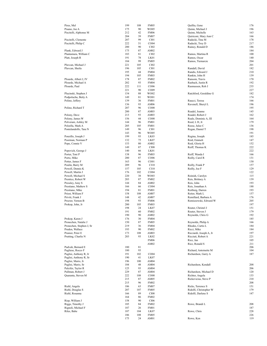| Pires, Mel                               | 199        | 108       | FM <sub>05</sub>    | Quillia, Gene                          | 176        |
|------------------------------------------|------------|-----------|---------------------|----------------------------------------|------------|
| Pisano, Joe A                            | 175        | 90        | WO05                | Quinn, Michael J                       | 196        |
| Piscitelli, Alphonse M                   | 212        | 42        | <b>FM06</b>         | Quinn, Michelle                        | 163        |
|                                          | 204        | 39        | <b>FM07</b>         | Quiriconi, Mary Ann C                  | 166        |
| Piscitelli, Clemente                     | 207        | 99        | CI01                | Radecki, Tina M                        | 178        |
| Piscitelli, Philip C                     | 222        | 51        | CO <sub>04</sub>    | Radecki, Troy D                        | 217        |
|                                          | 200        | 90        | CI02                | Rainey, Ronald D                       | 186        |
| Plank, Edward J                          | 175        | 87        | AM02                | Ramos, Martina R                       | 184        |
| Plantamura, William C<br>Platt, Joseph R | 183<br>191 | 81<br>78  | CI02<br>LK01        | Ramos, Oscar                           | 100<br>140 |
|                                          | 184        | 99        | <b>FM05</b>         | Ramos, Tiemarcie                       | 204        |
| Plavcan, Michael J                       | 221        | 105       | CI02                |                                        | 201        |
| Plavcan, Sheila                          | 196        | 105       | CI01                | Randall, David                         | 182        |
|                                          | 195        | 44        | <b>FM04</b>         | Randis, Edward J                       | 210        |
|                                          | 194        | 105       | <b>FM03</b>         | Rankin, John H                         | 139        |
| Plourde, Albert J, IV                    | 178        | 87        | <b>FM02</b>         | Ransom, Travis                         | 170        |
| Plourde, Michael A                       | 202        | 93        | <b>FM04</b>         | Rasbach, Justin R                      | 192        |
| Plourde, Paul                            | 222        | 111       | CO06                | Rasmussen, Rob J                       | 235        |
|                                          | 221        | 90        | CO <sub>09</sub>    |                                        | 227        |
| Plucinski, Stephen J                     | 154        | 88        | WO02                | Ratchford, Geraldine G                 | 182        |
| Podpolucha, Betty A                      | 149        | 81        | WO01                |                                        | 174        |
| Polino, Jeffery                          | 139        | 36        | FM01                | Raucci, Teresa                         | 166        |
|                                          | 136        | 93        | AM06                | Ravenell, Sheryl L                     | 196        |
| Polino, Richard T                        | 207        | 96        | CO <sub>08</sub>    |                                        | 195        |
|                                          | 200        | 87        | AM03                | Readel, Joanne                         | 145        |
| Polony, Dave                             | 213        | 93        | AM03                | Readel, Robert J                       | 162        |
| Polony, James W                          | 156        | 44        | CO08                | Reale, Dominic A, III                  | 164        |
| Polverani, Ashley M                      | 144        | 96        | FM01                | Reed, L H, Jr                          | 179        |
| Polzella, Mark A                         | 205        | 105       | <b>FM01</b>         | Reese, Julee C                         | 136        |
| Pontelandolfo, Tara N                    | 149        | 96        | CI <sub>01</sub>    | Regan, Daniel T                        | 198        |
|                                          | 143        | 96        | <b>WO05</b>         |                                        | 191        |
| Ponzillo, Joseph J                       | 199        | 93        | LK03                | Regina, Joseph                         | 185        |
| Poorman, Norman P                        | 132        | 75        | LK07                | Reid, Emmett                           | 147        |
| Pope, Connie V                           | 153        | 80        | AM02                | Reid, Gloria H                         | 152        |
|                                          | 149        | 87        | <b>CI08</b>         | Reiff, Thomas K                        | 222        |
| Popovich, George J                       | 140        | 66        | LK01                |                                        | 222        |
| Porter, Toni P                           | 138        | 96        | <b>FM03</b>         | Reiff, Wanda I                         | 166        |
| Porto, Mike                              | 200        | 87        | CO <sub>06</sub>    | Reilly, Carol R                        | 131        |
| Potter, James F                          | 163        | 96        | CO <sub>01</sub>    |                                        | 130        |
| Poulin, Barry M                          | 209        | 96        | C <sub>I</sub> 10   | Reilly, Frank P                        | 157        |
| Powell, Dennis K                         | 157        | 105       | CI10                | Reilly, Joe F                          | 129        |
| Powell, Martin J                         | 176        | 102       | CO <sub>04</sub>    |                                        | 122        |
| Powell, Michael S                        | 220        | 38        | WO03                | Reinish, Carolyn                       | 115        |
| Prentice, Robert W                       | 203        | 87        | <b>FM02</b>         | Reis, Brittney A                       | 139        |
| Pressley, Amy S                          | 144        | 84        | AM02                | Reis, John                             | 193        |
| Prestiano, Mathew S                      | 166        | 66        | CO <sub>04</sub>    | Reis, Jonathan A                       | 188        |
| Prestiano, Mike                          | 194        | 81        | FM01                | Reitberg, Darren                       | 193        |
| Priest, William F                        | 158        | 108       | AM07                | Reiter, Mark L                         | 157        |
| Priviti, Frank J                         | 148        | 42        | AM07                | Remillard, Barbara A                   | 176        |
| Proctor, Vernon B                        | 198        | 93        | <b>FM06</b>         | Remiszewski, Edward W                  | 205<br>197 |
| Prokop, John, Jr                         | 200<br>198 | 105<br>24 | <b>FM03</b>         |                                        | 151        |
|                                          | 191        |           | LK07<br><b>FM02</b> | Reuter, Christel J<br>Reuter, Steven J | 179        |
|                                          | 190        | 60<br>90  | AM02                |                                        | 192        |
| Prokop, Karen J                          | 176        | 30        | <b>FM04</b>         | Reynolds, Chris G                      | 185        |
| Pronechen, Natalie J                     | 150        | 87        | FM <sub>05</sub>    | Reynolds, Philip A                     | 166        |
| Pronechen, Stephen J, Sr                 | 219        | 36        | <b>FM04</b>         | Rhodes, Curtis L                       | 184        |
| Pruden, Wallace                          | 193        | 90        | <b>FM02</b>         | Ricci, Mike                            | 184        |
| Prunier, Peter E                         | 173        | 108       | AM03                | Ricciardi, Joseph A, Jr                | 197        |
| Prutting, Charlie N                      | 203        | 93        | LK <sub>02</sub>    | Ricciuti, Robert A                     | 221        |
|                                          |            |           | <b>FM06</b>         | Rice, Jan                              | 105        |
|                                          |            |           | AM02                | Rice, Ronald S                         | 211        |
| Pudvah, Bernard E                        | 180        | 81        |                     |                                        | 206        |
| Pugliese, Rocco F                        | 180        | 93        |                     | Richard, Antoinette M                  | 104        |
| Puglisi, Anthony R, Jr                   | 191        | 102       | CO <sub>04</sub>    | Richardson, Garry A                    | 187        |
| Puglisi, Anthony R, Sr                   | 190        | 41        | LK07                |                                        |            |
| Puglisi, Mario, Jr                       | 196        | 100       | AM04                |                                        |            |
| Puglisi, Mario, Sr                       | 184        | 48        | AM04                | Richardson, Kendall                    | 208        |
| Pulcifer, Taylor R                       | 125        | 93        | AM04                |                                        | 206        |
| Pullman, Robert J                        | 229        | 87        | AM04                | Richardson, Michael D                  | 120        |
| Quaranta, Steven M                       | 222        | 108       | CO <sub>08</sub>    | Richter, Angela                        | 133        |
|                                          | 215        | 87        | AM <sub>05</sub>    | Rickevicius, Steve P                   | 210        |
|                                          | 215        | 96        | <b>FM02</b>         |                                        | 208        |
| Riehl, Angela                            | 186        | 63        | <b>FM07</b>         | Ricks, Terrence S                      | 151        |
| Riehl, Douglas S                         | 207        | 107       | <b>FM05</b>         | Ridolfi, Christopher W                 | 179        |
| Riehl, Rosanna                           | 166        | 89        | <b>CI08</b>         | Ridolfi, Darlene S                     | 147        |
|                                          | 164        | 86        | <b>FM02</b>         |                                        |            |
| Riep, William J                          | 158        | 90        | CI06                |                                        |            |
| Riggs, Timothy J                         | 185        | 84        | <b>FM02</b>         | Rowe, Brandi L                         | 208        |
| Rignoli, Michael F                       | 187        | 26        | FM01                |                                        | 187        |
| Riles, Babe                              | 187        | 104       | LK07                | Rowe, Chris                            | 228        |
|                                          | 186        | 108       | FM05                |                                        | 226        |
|                                          | 175        | 24        | AM01                | Rowe, Ken                              | 119        |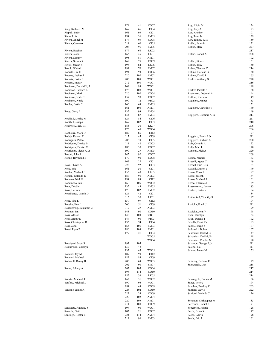|                         | 174 | 41  | CO07             | Roy, Alicia M           | 124 |
|-------------------------|-----|-----|------------------|-------------------------|-----|
| Ring, Kathleen M        | 167 | 66  | CI04             | Roy, Judy A             | 123 |
|                         |     |     |                  |                         |     |
| Rispoli, Babe           | 161 | 93  | CI01             | Roy, Kristine           | 101 |
| Rivas, Luis             | 194 | 36  | AM05             | Roy, Tom, Jr            | 139 |
| Rivera, Angel M         | 177 | 93  | CO <sub>08</sub> | Roy, Tommy P, III       | 159 |
| Rivera, Carmelo         | 211 | 60  | CI05             | Rubbo, Jennifer         | 121 |
|                         |     |     |                  |                         |     |
|                         | 208 | 96  | <b>FM05</b>      | Rubbo, Marc             | 227 |
| Rivera, Esteban         | 179 | 68  | LK02             |                         | 217 |
| Rivera, Jason           | 163 | 45  | LK01             | Rubbo, Robert A         | 208 |
| Rivera, Sammy           | 195 | 81  | AM01             |                         | 192 |
| Rivera, Steven R        | 169 | 75  | CO09             | Rubbo, Steven           | 161 |
|                         | 193 |     |                  |                         |     |
| Rivoli, Jordan S        |     | 84  | LK <sub>06</sub> | Rubbo, Tony             | 150 |
| Roach, O'Neal           | 191 | 70  | <b>FM07</b>      | Ruben, Thomas C         | 214 |
| Roberts, Jim E          | 194 | 93  | CO06             | Rubino, Darlene G       | 150 |
| Roberts, Joshua J       | 220 | 102 | AM <sub>02</sub> | Rubino, David J         | 165 |
| Roberts, Justin E       | 205 | 108 | WO01             | Rucker, Anthony S       | 220 |
| Roberts, Matt F         | 212 | 108 | WO01             |                         | 216 |
|                         |     |     |                  |                         |     |
| Robinson, Donald H, Jr  | 169 | 99  | WO01             |                         | 198 |
| Robinson, Edward L      | 176 | 108 | WO01             | Rucker, Pamela S        | 168 |
| Robinson, Mark          | 220 | 102 | CO <sub>04</sub> | Ruderman, Deborah A     | 144 |
| Robinson, Nick C        | 157 | 90  | CO07             | Ruffoni, Karen A        | 149 |
| Robinson, Noble         | 190 | 72  | WB02             | Ruggiero, Amber         | 153 |
|                         |     |     |                  |                         |     |
| Robles, Justin C        | 166 | 69  | <b>FM05</b>      |                         | 151 |
|                         | 161 | 108 | AM01             | Ruggiero, Christine V   | 160 |
| Roby, Gerry L           | 135 | 93  | <b>FM04</b>      |                         | 149 |
|                         | 134 | 87  | <b>FM03</b>      | Ruggiero, Dominic A, Jr | 213 |
| Rockhill, Denise M      | 127 | 84  | CI06             |                         | 211 |
|                         |     |     |                  |                         |     |
| Rockhill, Joseph E      | 167 | 102 | CI03             |                         | 210 |
| Rockwell, Jack, III     | 183 | 30  | LK07             |                         | 206 |
|                         | 175 | 45  | WO04             |                         | 206 |
| Rodbourn, Mark D        | 182 | 85  | CI12             |                         | 197 |
| Roddy, Doreen T         | 117 | 45  | CI09             | Ruggiero, Frank J, Jr   | 211 |
|                         |     |     |                  |                         |     |
| Rodrigues, Pablo        | 206 | 39  | CI <sub>05</sub> | Ruggiero, Richard A     | 200 |
| Rodriguez, Denise B     | 111 | 42  | CO <sub>03</sub> | Ruiz, Cynthia A         | 152 |
| Rodriguez, Denise M     | 186 | 30  | CO07             | Rully, Matt L           | 170 |
| Rodriquez, Victor A, Jr | 190 | 27  | AM05             | Runions, Rich A         | 220 |
| Roedel, John R          | 145 | 92  | CO07             |                         | 209 |
|                         |     |     |                  |                         |     |
| Rohne, Raymond E        | 170 | 90  | CO <sub>08</sub> | Rusate, Miguel          | 163 |
|                         | 165 | 27  | CI01             | Russell, Agnes C        | 149 |
| Roka, Shawn A           | 222 | 92  | CI03             | Russell, Eric S, Sr     | 184 |
| Roke, Eric              | 161 | 50  | CI01             | Russell, Sharon L       | 149 |
| Roldan, Michael P       | 153 | 40  | LK05             | Russo, Chris J          | 197 |
|                         |     |     |                  |                         |     |
| Roman, Rolando R        | 187 | 96  | AM03             | Russo, Joseph           | 184 |
| Romano, Nick E          | 194 | 89  | CI12             | Russo, Michael J        | 161 |
| Rondinello, Jan L       | 160 | 105 | WO02             | Russo, Theresa A        | 139 |
| Rosa, Debbie            | 135 | 48  | <b>FM05</b>      | Russomanno, JoAnn       | 183 |
| Rosa, Hermes            | 170 | 102 | <b>FM02</b>      | Rustico, Erika N        | 184 |
|                         |     |     |                  |                         |     |
| Rosabianca, Laurie D    | 124 | 42  | CI01             |                         | 184 |
|                         | 115 | 30  | LK01             | Rutherford, Timothy R   | 197 |
| Rose, Tina L            | 159 | 99  | CI12             |                         | 194 |
| Rosello, Ken L          | 206 | 51  | CI09             | Ruzicka, Frank J        | 211 |
| Rosenzweig, Benjamin C  | 112 | 27  | AM03             |                         | 199 |
|                         |     |     |                  |                         | 198 |
| Rosman, Ian             | 143 | 90  | CO10             | Ruzicka, John V         |     |
| Ross, Allison           | 148 | 103 | WB01             | Ryan, Carolyn           | 164 |
| Ross, Arthur D          | 147 | 90  | WB03             | Ryan, Donald T          | 172 |
| Ross, Christopher D     | 133 | 74  | CI04             | Sabella, Daniel V       | 185 |
| Ross, John              | 165 | 105 | <b>FM03</b>      | Sabol, Joseph J         | 167 |
| Rossi, Ryan P           | 180 | 108 | <b>FM01</b>      | Sadowski, Bob A         | 167 |
|                         |     |     |                  |                         |     |
|                         | 177 | 21  | CI04             | Sakowicz, Carl M, Jr    | 147 |
|                         |     |     | WO05             | Sakowicz, Carl M, Sr    | 198 |
|                         |     |     | WO04             | Sakowicz, Charles M     | 190 |
| Rossignol, Scott S      | 193 | 105 |                  | Salamon, George P, Jr   | 211 |
| Rostkowski, Carolyn     | 137 | 48  |                  | Salcito, Flo            | 111 |
|                         |     |     |                  |                         |     |
|                         | 132 | 45  | WO05             | Salemi, James M         | 155 |
| Rotatori, Jay M         | 187 | 99  | CI12             |                         |     |
| Rotatori, Michael       | 182 | 84  | CI09             |                         |     |
| Rothwell, Danny B       | 205 | 69  | WO05             | Salinsky, Barbara R     | 129 |
|                         | 202 | 90  | <b>FM07</b>      | SanAngelo, Dan          | 218 |
|                         |     |     |                  |                         |     |
| Roure, Johnny A         | 202 | 105 | CO04             |                         | 217 |
|                         | 198 | 114 | CO10             |                         | 214 |
|                         | 185 | 36  | LK05             |                         | 214 |
| Rourke, Michael T       | 162 | 51  | WO02             | SanAngelo, Donna M      | 156 |
| Sanford, Michael D      | 190 | 96  | WO01             | Sanca, Peter J          | 194 |
|                         |     |     |                  |                         | 203 |
|                         | 184 | 49  | CO09             | Sanchez, Bradley K      |     |
| Sansone, James A        | 228 | 102 | CO10             | Sanford, Guy E          | 222 |
|                         | 222 | 24  | CO09             | Sanford, Melinda C      | 136 |
|                         | 220 | 102 | AM04             |                         |     |
|                         | 220 | 105 | AM01             | Scranton, Christopher M | 183 |
|                         |     |     |                  |                         |     |
|                         | 211 | 108 | CO09             | Scrivines, Daniel J     | 191 |
| Santagata, Anthony J    | 197 | 90  | WO01             | Sebestyen, Kristie      | 128 |
| Santelle, Gail          | 103 | 21  | CO07             | Seeds, Brian K          | 177 |
| Santiago, Hector L      | 224 | 114 | AM04             | Seeds, Edwin            | 78  |
|                         | 219 | 96  | <b>FM03</b>      | Seeds, Eric J           | 161 |
|                         |     |     |                  |                         |     |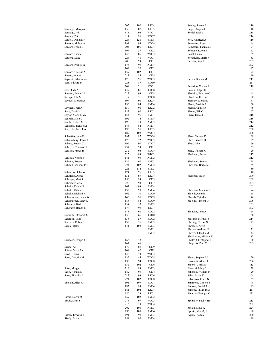|                         | 205 | 102 | LK04             | Seeley, Steven A      | 210 |
|-------------------------|-----|-----|------------------|-----------------------|-----|
|                         |     |     |                  |                       |     |
| Santiago, Marquis       | 158 | 87  | LK05             | Segui, Angelo L       | 140 |
| Santiago, Will          | 175 | 96  | WO01             | Seidel, Rick J        | 218 |
| Santino, Pete           | 114 | 96  | CO07             |                       | 216 |
|                         |     |     |                  |                       |     |
| Santoli, Douglas J      | 224 | 120 | <b>FM08</b>      | Self, Kathleen A      | 119 |
| Santore, Alphonse       | 191 | 99  | CO <sub>04</sub> | Semeraro, Rose        | 144 |
| Santore, Frank D        | 204 | 105 | LK04             | Semeraro, Thomas E    | 197 |
|                         |     |     |                  |                       |     |
|                         | 196 | 57  | CI02             | Semonich, John M      | 162 |
| Santore, Linda          | 145 | 86  | WO03             | Senel, Cemal          | 169 |
| Santore, Luke           | 224 | 48  | WO01             | Serapiglia, Marla J   | 133 |
|                         |     |     |                  |                       |     |
|                         | 208 | 99  | CI01             | Serkins, Ray J        | 205 |
| Santore, Phillip, Jr    | 173 | 99  | AM04             |                       | 202 |
|                         | 169 | 30  | CI02             |                       | 197 |
|                         |     |     |                  |                       |     |
| Santore, Theresa A      | 139 | 102 | CI01             |                       | 192 |
| Santos, John A          | 213 | 84  | CI04             |                       | 190 |
|                         |     |     | WO03             |                       | 215 |
| Sapiente, Marquerite    | 120 | 96  |                  | Server, Shawn M       |     |
| Sass, Edward P          | 223 | 87  | CO10             |                       | 211 |
|                         | 208 | 21  | CO <sub>01</sub> | Severino, Vincent L   | 219 |
|                         |     |     |                  |                       |     |
| Sass, Judy A            | 147 | 81  | CO08             | Sevilla, Edgar D      | 167 |
| Saturno, Edward F       | 212 | 93  | CI04             | Shandro, Beatrice C   | 144 |
| Savage, Ella M          | 117 | 51  | CO08             | Shanklin, Kevin O     | 188 |
|                         |     |     |                  |                       |     |
| Savage, Richard A       | 197 | 90  | LK04             | Shanley, Richard J    | 167 |
|                         | 196 | 84  | AM06             | Shara, Patricia A     | 160 |
| Savinelli, Jeff A       | 159 | 90  | LK02             |                       | 146 |
|                         |     |     |                  | Sharik, Cathie R      |     |
| Savo, David A           | 182 | 90  | LK01             | Shatas, Bill C        | 167 |
| Saylor, Mary-Ellen      | 154 | 96  | <b>FM01</b>      | Shaw, Harold E        | 218 |
|                         | 192 | 74  | <b>FM04</b>      |                       | 216 |
| Scaccia, Sisto C        |     |     |                  |                       |     |
| Scaife, Robert M, Sr    | 195 | 39  | AM03             |                       | 214 |
| Scarzella, Denise M     | 146 | 84  | AM07             |                       | 212 |
|                         |     |     |                  |                       |     |
| Scarzella, Joseph A     | 190 | 96  | LK03             |                       | 208 |
|                         | 187 | 108 | WO04             |                       | 206 |
| Schaeffer, Julie R      | 197 | 87  | WO04             | Shaw, Samuel K        | 168 |
|                         |     |     |                  |                       |     |
| Schaumburg, Jason J     | 175 | 72  | WO05             | Shea, Frances D       | 139 |
| Scherb, Robert C        | 196 | 90  | CO07             | Shea, John            | 169 |
| Scherrer, Thomas H      | 237 | 99  | CI <sub>01</sub> |                       | 165 |
|                         |     |     |                  |                       |     |
| Schiffer, James B       | 232 | 96  | CO <sub>04</sub> | Shea, William C       | 120 |
|                         | 225 | 99  | WB02             | Sheltman, James       | 217 |
|                         |     |     |                  |                       |     |
| Schiffer, Norma J       | 141 | 93  | AM02             |                       | 212 |
| Schmitt, Robert         | 136 | 60  | AM03             | Sheltman, Sonny       | 198 |
| Schmitt, William P, III | 224 | 102 | AM <sub>02</sub> | Sherman, Barbara J    | 155 |
|                         |     |     |                  |                       |     |
|                         | 221 | 114 | <b>FM03</b>      |                       | 150 |
| Schnitzke, John W       | 174 | 96  | LK05             |                       | 148 |
| Schofield, Agnes        | 131 | 69  | LK04             | Sherman, Jason        | 209 |
|                         |     |     |                  |                       |     |
| Schreyer, Matt R        | 150 | 99  | CI03             |                       | 209 |
| Schroeder, Zeke         | 222 | 93  | CI07             |                       | 207 |
| Schultz, Daniel S       | 163 | 93  | <b>FM04</b>      |                       | 201 |
|                         |     |     |                  |                       |     |
| Schultz, Debbie         | 132 | 90  | AM04             | Sherman, Mathew R     | 174 |
| Schultz, Richard K      | 162 | 70  | CO <sub>09</sub> | Shields, Connie       | 168 |
| Schumacher, James W     | 140 | 96  | CO09             | Shields, Tyiesha      | 146 |
|                         |     |     |                  |                       |     |
| Schumacher, Stacy L     | 186 | 84  | CO09             | Shields, Vincent G    | 206 |
| Schwartz, Beth          | 138 | 57  | <b>FM03</b>      |                       | 205 |
|                         |     |     |                  |                       |     |
| Schwartz, Randy C       | 178 | 99  | LK07             |                       | 202 |
|                         | 175 | 60  | CO <sub>02</sub> | Shinglar, John A      | 168 |
| Sciaraffa, Deborah M    | 130 | 66  | CO10             |                       | 160 |
|                         |     |     |                  |                       |     |
| Sciaraffa, Paul         | 138 | 57  | CO <sub>02</sub> | Shirling, Michael J   | 214 |
| Scioscia, Robin E       | 139 | 36  | FM03             | Shirling, Teresa N    | 123 |
| Scipio, Betty P         | 141 | 108 | <b>FM03</b>      | Shreders, Alvin       | 161 |
|                         |     |     |                  |                       |     |
|                         |     |     | <b>FM01</b>      | Shriver, Andrew H     | 121 |
|                         |     |     | <b>FM03</b>      | Shriver, Claudia M    | 144 |
|                         |     |     |                  | Shuckerow, Michael R  | 187 |
|                         |     |     |                  |                       |     |
| Scirocco, Joseph J      | 165 | 48  |                  | Shultz, Christopher J | 130 |
|                         | 161 | 45  |                  | Shupenis, Paul V, Sr  | 205 |
| Sciuto, Al              | 177 | 69  | CI09             |                       |     |
|                         |     |     |                  |                       |     |
| Sciuto, Mary Ann        | 108 | 42  | C112             |                       |     |
| Scott, Donna L          | 146 | 73  | WO04             |                       |     |
| Scott, Dorothy M        | 135 | 45  | WO04             | Shura, Stephen M      | 170 |
|                         |     |     |                  |                       |     |
|                         | 135 | 94  | CO08             | Siconolfi, Albert J   | 206 |
|                         | 132 | 102 | CI06             | Sideris, Christos     | 115 |
| Scott, Morgan           | 219 | 93  | <b>FM03</b>      | Sieracki, Mary S      | 138 |
|                         |     |     |                  |                       |     |
| Scott, Ronald S         | 182 | 93  | CI04             | Sikorski, William M   | 129 |
| Scott, Timothy E        | 222 | 93  | LK06             | Silva, Bruce D        | 204 |
|                         | 221 | 102 | CO <sub>08</sub> | Silvestros, Louis N   | 167 |
|                         |     |     |                  |                       |     |
| Sinclair, Allen O       | 191 | 107 | CO08             | Simmons, Clinton S    | 148 |
|                         | 183 | 99  | <b>FM04</b>      | Simone, Daniel J      | 193 |
|                         | 181 | 104 | LK04             | Simone, Philip D, Jr  | 211 |
|                         |     |     |                  |                       |     |
|                         | 180 | 33  | LK01             | Sims, WaEuniqua C     | 211 |
| Sirois, Dawn M          | 169 | 102 | <b>FM02</b>      |                       |     |
|                         |     |     |                  |                       |     |
| Sirois, Dean J          | 216 | 99  | WO05             | Spinnato, Paul J, III | 215 |
|                         | 213 | 39  | WO04             |                       | 202 |
|                         | 202 | 108 | AM03             | Splain, Steve A       | 224 |
|                         |     |     |                  |                       |     |
|                         | 195 | 105 | AM04             | Spruill, Van M, Jr    | 188 |
| Sisson, Edward R        | 191 | 99  | <b>FM03</b>      | Square, Samuel        | 200 |
| Skelly, Brian           | 184 | 90  | <b>FM04</b>      |                       | 198 |
|                         |     |     |                  |                       |     |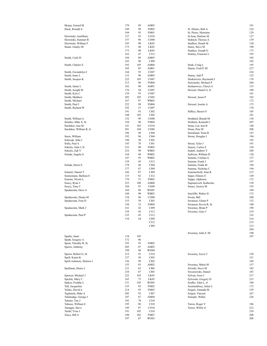| Skurja, Gerard M         | 179 | 89  | AM03             |                        | 191 |
|--------------------------|-----|-----|------------------|------------------------|-----|
| Slack, Ronald A          | 189 | 99  | <b>FM05</b>      | St. Hilaire, Bob A     | 216 |
|                          | 184 | 93  | <b>FM01</b>      | St. Pierre, Henriette  | 129 |
| Slowinski, AnnMarie      | 127 | 93  | CO10             | St.Jean, Darlene M     | 127 |
|                          |     |     |                  |                        |     |
| Slowinski, Summer R      | 157 | 96  | CO08             | Stabach, Theresa A     | 139 |
| Slowinski, William F     | 195 | 90  | LK03             | Staffieri, Dondi M     | 120 |
| Smart, Gladys M          | 175 | 48  | LK03             | Stairs, Steve M        | 190 |
|                          | 173 | 90  | LK03             | Stankus, Joseph G      | 173 |
|                          |     |     |                  |                        |     |
|                          | 162 | 47  | CI12             | Stanley, Francine L    | 195 |
| Smith, Carla D           | 184 | 89  | AM05             |                        | 185 |
|                          | 183 | 96  | CI09             |                        | 182 |
| Smith, Charles E         | 192 | 105 | AM04             | Stark, Craig L         | 195 |
|                          |     |     |                  |                        |     |
|                          | 185 | 85  | AM01             | Starno, Fred P, III    | 227 |
| Smith, Gwendolyn I       | 164 | 95  | CO07             |                        | 224 |
| Smith, Irene L           | 133 | 98  | AM05             | Starno, Judi P         | 125 |
| Smith, Jacques K         | 222 | 105 | CO07             | Staskiewiez, Raymond J | 176 |
|                          |     |     |                  |                        |     |
|                          | 215 | 96  | <b>FM04</b>      | Stawiarski, Michael P  | 204 |
| Smith, Jaime L           | 182 | 90  | AM01             | Stefanowicz, Cheryl A  | 133 |
| Smith, Joseph M          | 176 | 54  | CO07             | Stewart, Daniel G, Jr  | 188 |
| Smith, Kyle C            | 139 | 93  | CO07             |                        | 181 |
| Smith, Matthew           | 203 | 105 | CO <sub>02</sub> | Stewart, Jason P       | 182 |
|                          |     |     |                  |                        |     |
| Smith, Michael           | 167 | 87  | WB03             |                        | 172 |
| Smith, Paul J            | 222 | 99  | <b>FM04</b>      | Stewart, Josette A     | 175 |
| Smith, Richard W         | 192 | 27  | CO07             |                        | 170 |
|                          | 191 | 93  | CI02             | Stilkey, Hazen O       | 185 |
|                          | 188 |     | CI02             |                        |     |
|                          |     | 105 |                  |                        | 181 |
| Smith, William A         | 152 | 99  | CO08             | Stoddard, Brandt M     | 138 |
| Smutko, Mike S, Sr       | 194 | 90  | <b>FM04</b>      | Stollmer, Kenneth L    | 207 |
| Snedeker, Ana M          | 141 | 105 | CO10             | Stone, Lee Ann R       | 148 |
| Snedeker, William R, Jr  | 201 | 104 | CO06             | Stone, Pete M          | 208 |
|                          |     |     |                  |                        |     |
|                          | 196 | 98  | CI04             | Strickland, Trina R    | 147 |
| Snow, William            | 192 | 96  | CI04             | Strout, Douglas J      | 194 |
| Sobczak, John J          | 190 | 30  | CI02             |                        | 192 |
| Sofia, Paul A            | 145 | 78  | CI01             | Strout, Tyler J        | 191 |
|                          |     |     |                  |                        |     |
| Sokolis, John J, II      | 233 | 90  | <b>FM05</b>      | Suarez, Carlos E       | 156 |
| Sokolis, Zak V           | 232 | 99  | WB03             | Sudell, Andrew T       | 209 |
| Solada, Angela G         | 164 | 48  | WB02             | Sullivan, William D    | 138 |
|                          | 147 | 93  | WB02             | Summa, Cristina A      | 127 |
|                          | 139 | 45  | CI12             | Summa, Frank J         | 197 |
|                          |     |     |                  |                        |     |
| Solada, Dawn E           | 178 | 46  | CI04             | Summa, Frank M         | 194 |
|                          | 177 | 47  | CI09             | Summa, Nicholas C      | 194 |
| Solustri, Daniel T       | 166 | 87  | CI09             | Summerfield, Alan K    | 215 |
| Sonnemann, Barbara E     | 133 | 82  | C112             | Super, Elinore E       | 149 |
| Sonsini, Nicole L        | 170 | 51  | <b>FM02</b>      | Suppa, Alphonse        | 172 |
|                          |     |     |                  |                        |     |
| Soucy, Ryan J            | 223 | 108 | AM06             | Supranovich, Katherine | 158 |
| Soucy, Tony C            | 184 | 87  | CO09             | Suraci, Jessica M      | 193 |
| Spadacenta, Dave A       | 169 | 96  | WO01             |                        | 188 |
|                          | 160 | 90  | WB03             | Sutcliffe, Walter H    | 172 |
| Spadacenta, Deana M      | 154 | 96  | CO <sub>08</sub> | Swain, Bill            | 200 |
|                          |     |     |                  |                        |     |
| Spadacenta, Fran D       | 155 | 39  | CI03             | Swanson, Glenn P       | 152 |
|                          | 150 | 33  | <b>FM04</b>      | Swanson, Kevin R, Sr   | 180 |
| Spadacenta, Mark J       | 161 | 42  | CI09             | Sweeney, Brian P       | 198 |
|                          | 159 | 45  | CI12             | Sweeney, Gary J        | 219 |
|                          |     |     |                  |                        |     |
| Spadacenta, Paul P       | 135 | 45  | CI12             |                        | 216 |
|                          | 134 | 24  | C <sub>109</sub> |                        | 216 |
|                          |     |     | C112             |                        | 215 |
|                          |     |     | CI09             |                        | 212 |
|                          |     |     |                  |                        | 204 |
|                          |     |     |                  |                        |     |
|                          |     |     |                  | Sweeney, John F, III   | 190 |
| Sparks, Janet            | 134 | 105 |                  |                        | 187 |
| Spath, Gregory A         | 172 | 96  |                  |                        |     |
| Spear, Timothy R, Sr     | 193 | 93  | <b>FM02</b>      |                        |     |
| Speers, Anthony          | 205 | 87  | AM03             |                        |     |
|                          |     |     |                  |                        |     |
|                          | 198 | 96  | WO04             |                        |     |
| Speers, Robert G, Sr     | 215 | 93  | C <sub>I10</sub> | Sweeney, Joyce C       | 158 |
| Spell, Kunta K           | 127 | 36  | CI02             |                        | 151 |
| Spell-Ashmore, Delores I | 136 | 99  | CI02             |                        | 149 |
|                          | 135 | 93  | AM02             | Sweeney, Maria M       | 157 |
|                          |     |     |                  |                        |     |
| Spellman, Henry L        | 211 | 63  | CI06             | Swirski, Steve M       | 182 |
|                          | 210 | 87  | CI03             | Swoszowski, Daniel     | 183 |
| Spencer, Michael J       | 222 | 105 | LK03             | Sylvan, Aron J         | 217 |
| Spickle, Mary C          | 165 | 75  | LK05             | Sylvester, Gregory D   | 215 |
| Spikes, Freddie L        | 151 | 105 | WO05             | Szafko, John L, Jr     | 180 |
|                          |     |     |                  |                        |     |
| Taft, Jacqueline         | 155 | 93  | <b>FM02</b>      | Szentmiklosy, Julius L | 173 |
| Tafuto, David A          | 214 | 93  | <b>FM03</b>      | Szigeti, Amanda M      | 159 |
| Tagliatela, Mike A       | 205 | 93  | CI07             | Szigeti, Vincent       | 167 |
| Talamadge, George J      | 187 | 87  | AM04             | Szmajlo, Walter        | 226 |
| Talento, Tim J           | 192 | 78  | CI10             |                        |     |
|                          |     |     |                  |                        |     |
| Talnose, William E       | 195 | 96  | CI10             | Torres, Roger V        | 186 |
| Tamagni, Steve           | 149 | 87  | CO10             | Torres, Wilfor G       | 212 |
| Tardif, Yvan J           | 191 | 105 | C110             |                        | 210 |
| Tasco, Bill A            | 198 | 102 | <b>FM07</b>      |                        | 208 |
|                          | 197 | 87  | WO03             |                        | 208 |
|                          |     |     |                  |                        |     |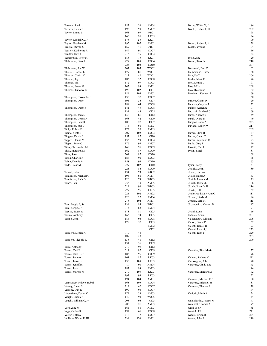| Tassmer, Paul            | 182 | 36  | AM04             | Torres, Wilfor X, Jr    | 186        |
|--------------------------|-----|-----|------------------|-------------------------|------------|
| Tavares, Edward          | 196 | 98  | AM07             | Tosetti, Robert J, III  | 202        |
| Taylor, Emma L           | 163 | 99  | WB01             |                         | 198        |
|                          | 160 | 96  | LK05             |                         | 194        |
| Taylor, Randall C, Jr    | 178 | 55  | LK01             |                         | 190        |
| Taylor, Ursalene M       | 195 | 107 | <b>FM02</b>      | Tosetti, Robert J, Jr   | 178        |
| Teague, Steven S         | 169 | 41  | WB01             | Tosetti, Yvonne         | 164        |
| Teasley, Katherine R     | 149 | 91  | CO07             |                         | 156        |
| Tendler, David E         | 213 | 75  | CO <sub>04</sub> |                         | 154        |
| Testagrossa, Peter M     | 188 | 75  | LK01             | Tosto, Jane             | 120        |
| Thibodeau, Dave L        | 227 | 108 | CO <sub>04</sub> | Toucet, Tino, Jr        | 210        |
|                          | 223 | 102 | CO10             |                         | 207        |
| Thibodeau, Joe W         | 207 | 105 | WO02             | Townsend, Don C         | 162        |
| Thissell, Rachel L       | 179 | 81  | WO01             | Tramontano, Harry P     | 168        |
| Thomas, Christi C        | 113 | 42  | WO01             | Tran, Ky T              | 206        |
| Thomas, Jay              | 183 | 32  | CO <sub>08</sub> | Trisko, Mark R          | 176        |
| Thomas, Phil             | 172 | 99  | CO <sub>03</sub> | Troy, Denise L          | 191        |
| Thomas, Susan G          | 143 | 93  | AM01             | Troy, Mike              | 208        |
| Thomas, Timothy E        | 192 | 102 | CI <sub>01</sub> | Troy, Roseanne          | 122        |
|                          | 184 | 108 | <b>FM02</b>      | Trueheart, Kenneth L    | 169        |
| Thompson, Cassandra S    | 135 | 57  | CO07             |                         | 168        |
|                          | 191 | 36  | CI07             | Tuazon, Glenn D         | 20         |
| Thompson, Dave           |     |     |                  |                         | 132        |
|                          | 188 | 64  | CO <sub>08</sub> | Tubman, Graylon L       | 107        |
| Thompson, Debbie         | 141 | 45  | CO08             | Tufano, Adrienne        |            |
|                          | 131 | 48  | CI05             | Tuozzoli, Michael C     | 169        |
| Thompson, Joan S         | 136 | 81  | CI12             | Turek, Andrew J         | 159        |
| Thompson, Leona N        | 168 | 42  | CI09             | Turek, Diane D          | 149        |
| Thompson, Paul R         | 105 | 27  | CI07             | Turgeon, John P         | 233        |
| Thompson, Sue C          | 114 | 60  | <b>FM03</b>      | Turiano, Robert W       | 217        |
| Tichy, Robert F          | 172 | 90  | AM05             |                         | 209        |
| Ticino, Scott E          | 209 | 102 | CO <sub>03</sub> | Turner, Elma B          | 137        |
| Tingley, Kevin E         | 157 | 87  | CI10             | Turner, Glenn T         | 161        |
| Tippett, Donna M         | 133 | 99  | CO <sub>04</sub> | Turner, Raymond C       | 193        |
| Tippett, Terry C         | 176 | 99  | AM07             | Tuttle, Gary P          | 190        |
| Titus, Christopher M     | 168 | 96  | CO <sub>09</sub> | Twohill, Carol          | 122        |
| Titus, Margaret M        | 162 | 87  | CO <sub>09</sub> | Tyson, Ethel            | 181        |
| Titus, Scott             | 201 | 87  | CO10             |                         | 168        |
| Tobin, Charles R         | 186 | 90  | CO <sub>03</sub> |                         | 165        |
| Tobin, Dennis M          | 158 | 96  | CO10             |                         | 163        |
| Todd, Brent M            | 229 | 102 | CI10             | Tyson, Terry            | 151        |
|                          | 223 | 86  | CO09             | Uhelsky, John           | 180        |
| Toland, John E           | 134 | 93  | WB02             | Uliano, Barbara J       | 151        |
| Tomlinson, Michael C     | 194 | 60  | AM01             | Uliase, Hazel A         | 133        |
| Tomlinson, Rich D        | 120 | 78  | WB03             | Ullrich, Lauren M       | 125        |
| Tones, Lou E             | 233 | 30  | AM05             | Ullrich, Richard J      | 166        |
|                          | 229 | 96  | WB03             | Ulrich, Scott D, II     | 216        |
|                          | 227 | 96  | LK05             | Uluski, Bill            | 162        |
|                          | 225 | 102 | AM02             | Underwood, Kay-Ann C    | 117        |
|                          | 220 | 27  | AM04             | Urbano, Linda M         | 86         |
|                          | 218 | 104 | AM01             | Urbano, Sara M          | 115        |
| Toni, Sergio F, Sr       | 134 | 84  | WB01             | Urbanowicz, Vincent D   | 197        |
|                          | 115 | 68  | <b>FM04</b>      |                         | 191        |
| Toni, Sergio, Jr         | 178 | 81  | CI05             |                         | 166        |
| Topliff, Stuart W        | 163 | 74  | CI <sub>05</sub> | Ursini, Louis           | 201        |
| Torino, Anthony          |     |     |                  | Vadnais, Adam           |            |
| Torino, John             | 184 | 96  | $_{\rm CO08}$    | Vaillancourt, William   | 206        |
|                          | 179 | 57  | CI05             | Vaiuso, David P         | 162        |
|                          |     |     | <b>FM02</b>      | Valenti, Daniel R       | 193        |
|                          |     |     | CI02             | Valenti, Peter S, Jr    | 223        |
| Torniero, Denise A       | 110 | 48  |                  | Valenti, Rich P         | 229        |
|                          | 107 | 48  |                  |                         | 223<br>209 |
| Torniero, Vicotria R     | 138 | 48  | CI12             |                         |            |
|                          | 131 | 36  | CI09             |                         |            |
| Torre, Anthony           | 210 | 99  | CI12             |                         |            |
| Torres, Carl E           | 211 | 87  | CI09             | Valentine, Tina-Marie   | 177        |
| Torres, Carl E, Jr       | 182 | 96  | CO09             |                         | 176        |
| Torres, Jacinto          | 163 | 87  | LK03             | Valletta, Richard C     | 211        |
| Torres, Jason L          | 136 | 108 | LK03             | Van Wagner, Albert      | 170        |
| Torres, Jennifer J       | 89  | 90  | AM04             | Vanacore, Cindy Lou     | 145        |
| Torres, Juan             | 187 | 93  | <b>FM03</b>      |                         | 144        |
| Torres, Marcos W         | 210 | 105 | LK03             | Vanacore, Margaret A    | 172        |
|                          | 197 | 99  | LK03             |                         | 172        |
|                          | 194 | 104 | AM01             | Vanacore, Michael F, Sr | 180        |
| VanNockay-Ndoye, Bobbi   | 165 | 105 | CO <sub>04</sub> | Vanacore, Michael, Jr   | 181        |
| Varney, Glenn S          | 219 | 42  | CO07             | Vanacore, Thomas J      | 178        |
| Varrone, Dan R           | 190 | 96  | CO07             |                         | 174        |
| Vaspasiano, Dylan V      | 179 | 39  | AM03             | Vaniotis, Maria A       | 154        |
| Vaught, Lucila N         | 140 | 93  | WO05             |                         | 144        |
| Vaught, William C, Jr    | 208 | 96  | CI05             | Walukiewicz, Joseph M   | 177        |
|                          | 206 | 21  | AM03             | Wambolt, Thomas A       | 179        |
| Vece, Jane M             | 161 | 88  | AM03             | Ward, Joe P             | 185        |
| Vega, Carlos R           | 191 | 66  | CO <sub>08</sub> | Warrick, PJ             | 211        |
| Vegter, Tiffany          | 116 | 77  | CO07             | Waters, Bryan R         | 204        |
| Veillette, Walter E, III | 231 | 120 | FM01             | Waters, John J          | 210        |
|                          |     |     |                  |                         |            |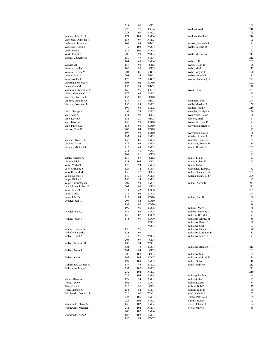|                         |     |     |                                 |                      | 208 |
|-------------------------|-----|-----|---------------------------------|----------------------|-----|
|                         | 228 | 90  | CI01                            |                      |     |
|                         | 225 | 27  | LK04                            | Watkins, Andre B     | 210 |
|                         | 223 | 99  | AM02                            |                      | 198 |
| Vendola, John M, Jr     | 171 | 108 | AM04                            | Watkins, Gordon L    | 214 |
|                         |     |     |                                 |                      |     |
| Verbickas, Domenic R    | 158 | 99  | AM03                            |                      | 195 |
| Verbickas, Jeanne A     | 164 | 93  | WB01                            | Watson, Kenneth R    | 191 |
| Verbickas, Kayla M      | 119 |     | WO04                            | Watts, Barbara D     | 164 |
|                         |     | 102 |                                 |                      |     |
| Verdi, Felicia          | 136 | 102 | WO04                            |                      | 162 |
| Verdi, Joseph J, II     | 202 | 99  | WO04                            | Watts, Michael A     | 217 |
|                         |     |     |                                 |                      |     |
| Vergati, Catherine A    | 150 | 45  | <b>FM04</b>                     |                      | 212 |
|                         | 144 | 40  | <b>FM04</b>                     | Webb, Bill           | 237 |
| Vernale, Al             | 158 | 90  | CI12                            | Webb, Glenn R        | 198 |
|                         |     |     |                                 |                      |     |
| Vernick, Heidi G        | 140 | 90  | CI09                            | Webb, Mark J         | 212 |
| Vernick, Jeffery M      | 204 | 81  | WB03                            | Webb, Wayne T        | 190 |
| Vernon, Brett J         | 208 | 54  | WB01                            | Weber, Joseph R      | 181 |
|                         |     |     |                                 |                      |     |
| Verrastro, Paul         | 126 | 72  | WB02                            | Weeks, Andrew F, Jr  | 223 |
| Verterame, George V     | 198 | 92  | CO10                            |                      | 222 |
| Vetter, Gina M          | 150 | 93  | WB03                            |                      | 220 |
|                         |     |     |                                 |                      |     |
| Vickstrom, Raymond V    | 168 | 96  | LK03                            | Weeks, Kim           | 201 |
| Vieira, Matthew C       | 175 | 69  | <b>FM02</b>                     |                      | 198 |
|                         | 153 | 87  | CI10                            |                      | 195 |
| Vincent, Charlene L     |     |     |                                 |                      |     |
| Vincent, Christine A    | 134 | 81  | WB01                            | Weinman, Erin        | 204 |
| Vincent, Coleman, Jr    | 196 | 99  | <b>FM02</b>                     | Wells, Marshall F    | 158 |
|                         | 190 | 96  | <b>FM02</b>                     | Welton, Todd R       | 219 |
|                         |     |     |                                 |                      |     |
| Vinci, George N         | 99  | 74  | <b>FM03</b>                     | Wengler, Kaitlyn A   | 120 |
| Vine, Alan S            | 141 | 99  | CI03                            | Wentworth, David     | 186 |
| Vine, Kevin A           | 151 | 21  | WB03                            | Weston, Mark         | 167 |
|                         |     |     |                                 |                      |     |
| Vine, Kristina L        | 136 | 90  | CO10                            | Wetowitz, Ryan P     | 177 |
| Vine, Patricia A        | 153 | 96  | CO10                            | Weymouth, Brett W    | 177 |
|                         |     |     |                                 |                      |     |
| Vinston, Tom R          | 205 | 84  | CO10                            |                      | 172 |
|                         | 193 | 93  | CO10                            | Weymouth, Evelia     | 126 |
|                         | 192 | 93  | AM05                            | Whalen, Sandra L     | 125 |
|                         |     |     |                                 |                      |     |
| Violante, Kaaren E      | 146 | 86  | <b>FM04</b>                     | Wheeler, Francis E   | 167 |
| Violette, Brian         | 175 | 93  | AM04                            | Whitaker, Bobbie B   | 188 |
| Violette, Michael R     | 213 | 48  | <b>FM02</b>                     | White, Donald L      | 209 |
|                         |     |     |                                 |                      |     |
|                         | 211 | 48  | WO04                            |                      | 197 |
|                         | 204 | 81  | CI09                            |                      | 195 |
| Vitale, Richard A       |     | 87  |                                 |                      | 173 |
|                         | 157 |     | CI12                            | White, Ella M        |     |
| Vitiello, Nick          | 188 | 105 | CI08                            | White, Robert F      | 162 |
| Voira, Michael          | 176 | 94  | <b>FM02</b>                     | White, Ryan E        | 184 |
|                         | 124 | 72  | <b>FM04</b>                     |                      | 163 |
| Volo, Christine J       |     |     |                                 | Wieczorek, Robert J  |     |
| Volo, Richard M         | 158 | 27  | CI05                            | Wilcox, Henry R, Jr  | 202 |
| Volpe, Michael J        | 140 | 30  | AM05                            | Wilcox, Henry R, Sr  | 209 |
|                         |     |     |                                 |                      |     |
| Volpe, Richard          | 150 | 59  | AM05                            |                      | 189 |
| Volpert, Christopher    | 209 | 93  | <b>FM07</b>                     | Wilder, Aaron D      | 211 |
| Von Allmen, Robert P    | 203 | 96  | CI05                            |                      | 211 |
|                         |     |     |                                 |                      |     |
| Votto, Brian T          | 211 | 42  | CO08                            |                      | 207 |
| Votto, Chris J          | 212 | 96  | <b>FM05</b>                     |                      | 204 |
| Votto, John D           | 213 | 84  | CO10                            | Wilder, Dan D        | 198 |
|                         |     |     |                                 |                      |     |
| Vynalek, Jeff R         | 204 | 84  | CO10                            |                      | 191 |
|                         | 199 | 90  | CO10                            |                      | 189 |
|                         | 199 | 96  | CO <sub>06</sub>                | Wilkins, Mary E      | 148 |
|                         |     |     |                                 |                      |     |
| Vynalek, Stacy L        | 144 | 93  | CO <sub>05</sub>                | Wilkins, Timothy C   | 158 |
|                         | 140 | 87  | CO09                            | Willette, David R    | 173 |
|                         |     |     |                                 |                      |     |
| Waitkus, John P         | 175 | 93  | CO09                            | Williams, Alfred, Sr | 158 |
|                         |     |     | CO <sub>05</sub>                | Williams, Brian T    | 168 |
|                         |     |     | <b>WO04</b>                     | Williams, Carl       | 193 |
| Waitkus, Sandra M       |     | 96  |                                 |                      |     |
|                         | 138 |     |                                 | Williams, Denise H   | 170 |
| Wakefield, Curtiss      | 128 | 93  |                                 | Williams, Lasander D | 182 |
| Walker, Brant A         | 219 | 96  | WO04                            | Williams, Marc C     | 177 |
|                         | 206 | 99  | CI04                            |                      |     |
|                         |     |     |                                 |                      |     |
| Walker, Jameson H       | 185 | 74  | WO01                            |                      |     |
|                         | 181 | 78  | CO04                            | Williams, Richard H  | 212 |
| Walker, Jason R         | 207 | 84  |                                 |                      | 205 |
|                         |     |     | CI03                            |                      |     |
|                         |     | 108 | CI04                            | Williams, Sue        | 152 |
|                         | 206 |     |                                 |                      |     |
|                         |     |     |                                 |                      |     |
| Walker, Keith L         | 197 | 105 | CO07                            | Williamson, Ruth D   | 134 |
|                         | 197 | 108 | <b>FM03</b>                     | Willis, Davon        | 118 |
| Walkinshaw, Debbie A    | 177 | 45  | <b>FM02</b>                     | Willis, Willie R     | 213 |
|                         |     |     |                                 |                      |     |
| Walters, Anthony G      | 232 | 102 | <b>FM03</b>                     |                      | 211 |
|                         | 232 | 102 | AM03                            |                      | 210 |
|                         | 229 | 105 | AM04                            | Willoughby, Mary     | 148 |
|                         |     |     |                                 |                      |     |
| Winus, Diane A          | 177 | 24  | AM01                            | Wilmott, Kim         | 122 |
| Wirkus, Dave            | 162 | 87  | CO07                            | Wilmott, Mark        | 131 |
|                         |     |     |                                 |                      |     |
| Wise, Gary S            | 216 | 96  | CI03                            | Wilson, Bob P        | 177 |
| Wise, Michael C         | 154 | 84  | <b>FM07</b>                     | Wilson, John B       | 160 |
| Wisniewski, David J, Jr | 226 | 60  | WO01                            | Winkle, Craig J      | 167 |
|                         |     |     |                                 |                      |     |
|                         | 223 | 105 | <b>FM07</b>                     | Zuraw, Patricia A    | 169 |
|                         | 221 | 102 | <b>FM03</b>                     | Zurkus, Buddy        | 172 |
|                         | 148 |     | <b>FM04</b>                     |                      | 184 |
| Wisniewski, Dawn M      |     | 102 |                                 | Zyrlis, John V, Jr   |     |
| Wisniewski, Michael J   | 211 | 102 | AM04                            | Zyrlis, Mary E       | 138 |
|                         | 200 | 102 | <b>FM04</b>                     |                      |     |
| Wisniewski, Vera A      | 188 | 108 |                                 |                      |     |
|                         | 180 | 99  | <b>FM04</b><br>CO <sub>07</sub> |                      |     |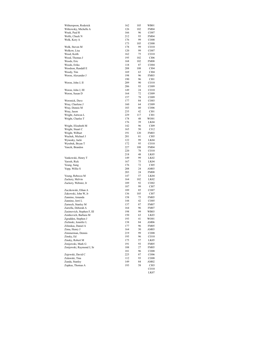| Witherspoon, Roderick      | 162 | 105 | WB01             |
|----------------------------|-----|-----|------------------|
| Witkowsky, Michelle A      | 126 | 102 | <b>FM04</b>      |
| Wnek, Paul R               | 166 | 96  | CO07             |
| Wolfe, Chuck N             | 212 | 93  | <b>FM04</b>      |
| Wolk, Kory A               | 176 | 99  | CO08             |
|                            | 173 | 105 | CO08             |
| Wolk, Steven M             | 178 | 99  | CO10             |
| Wolkow, Lisa               | 120 | 99  | CO07             |
| Wood, Keith                | 162 | 75  | CO10             |
| Wood, Thomas J             | 195 | 102 | CI06             |
| Woods, Eric                | 168 | 102 | <b>FM08</b>      |
| Woods, Erika               | 118 | 87  | CO <sub>04</sub> |
| Woodson, Randall E         | 208 | 108 | CI04             |
| Woody, Tim                 | 169 | 63  | CI04             |
| Woron, Alexander J         | 198 | 96  | FM03             |
|                            | 190 | 96  | CI01             |
| Woron, John J, II          | 209 | 90  | CO10             |
|                            | 206 | 93  | CO09             |
| Woron, John J, III         | 149 | 24  | CO10             |
| Woron, Susan D             | 164 | 72  | CO09             |
|                            | 157 | 78  | CO09             |
| Woronick, Dave             | 177 | 84  | CO <sub>03</sub> |
|                            |     | 64  |                  |
| Wray, Charlene J           | 160 |     | CO09             |
| Wray, Dennis M             | 183 | 60  | CO <sub>06</sub> |
| Wray, Jason                | 235 | 42  | CI01             |
| Wright, Antwon L           | 229 | 117 | CI01             |
| Wright, Charles T          | 178 | 48  | WO01             |
|                            | 176 | 39  | LK04             |
| Wright, Elizabeth M        | 142 | 96  | CI09             |
| Wright, Stuart C           | 165 | 50  | CI12             |
| Wright, Wilburt            | 191 | 120 | <b>FM03</b>      |
| Wuchek, Michael J          | 201 | 81  | CI05             |
| Wynosky, Jacki             | 122 | 99  | LK04             |
| Wyrebek, Bryan T           | 172 | 95  | CO10             |
| Yancik, Brandon            | 227 | 108 | <b>FM04</b>      |
|                            | 220 | 78  | CO10             |
|                            | 218 | 48  | LK05             |
| Yankowski, Henry T         | 149 | 99  | LK02             |
| Yarosh, Rick               | 167 | 75  | LK04             |
| Yeung, Sung                | 176 | 72  | CI05             |
| Yopp, Willie S             | 208 | 24  | AM03             |
|                            | 203 | 24  | <b>FM08</b>      |
| Young, Rebecca M           | 147 | 57  | LK04             |
| Zackery, Melvin            | 164 | 102 | LK02             |
| Zackery, Webster, Jr       | 189 | 92  | CO <sub>02</sub> |
|                            | 187 | 99  | CI07             |
| Zaczkowski, Ethan A        | 189 | 85  | CO07             |
| Zakowski, John W, Jr       | 136 | 105 | CI07             |
| Zannino, Amanda            | 158 | 75  | FM05             |
| Zannino, Jerri L           | 144 | 42  | CO <sub>05</sub> |
| Zarnoch, Stanley M         | 137 | 87  | <b>FM07</b>      |
| Zarrella, Deborah A        | 164 | 96  | <b>FM07</b>      |
| Zasimovich, Stephen F, III | 198 | 99  | WB03             |
| Zentkovich, Barbara M      | 150 | 63  | LK03             |
| Zgradden, Stephen J        | 193 | 41  | WO01             |
| Zielinski, Jennifer L      | 138 | 84  | AM06             |
| Zilinskas, Daniel A        | 177 | 96  | FM05             |
| Zima, Henry J              | 164 | 30  | AM03             |
| Zimmerman, Dennis          | 219 | 99  | CO08             |
| Zinsky, Ed                 | 195 | 96  | CO10             |
| Zinsky, Robert M           | 175 | 57  | LK05             |
|                            |     |     |                  |
| Zmijewski, Mark G          | 191 | 93  | <b>FM05</b>      |
| Zmijewski, Raymond J, Sr   | 188 | 27  | <b>FM05</b>      |
|                            | 181 | 96  | CO08             |
| Zujewski, David C          | 225 | 87  | CO06             |
| Zulawski, Tina             | 112 | 93  | CO08             |
| Zunda, Stanley             | 149 | 84  | AM02             |
| Zupkus, Thomas A           | 193 | 58  | CI03             |
|                            |     |     | CO10             |

LK07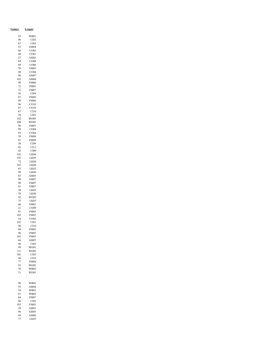| <b>Games</b> | League                          |
|--------------|---------------------------------|
| 93           | WB01                            |
| 96           | CI03                            |
| 67<br>93     | CI05<br>AM04                    |
| 86           | CO <sub>03</sub>                |
| 86           | CO <sub>01</sub>                |
| 27           | AM03                            |
| 84           | CO <sub>08</sub>                |
| 69<br>78     | CO <sub>06</sub><br><b>FM05</b> |
| 98           | CO <sub>04</sub>                |
| 86           | AM07                            |
| 102          | AM04                            |
| 90           | <b>FM06</b>                     |
| 72<br>72     | FM05<br><b>FM07</b>             |
| 36           | CI04                            |
| 87           | <b>FM05</b>                     |
| 99           | <b>FM06</b>                     |
| 96           | CO10                            |
| 87<br>87     | CO10<br>C <sub>I10</sub>        |
| 28           | CI03                            |
| 102          | WO05                            |
| 108          | WO05                            |
| 96           | <b>FM03</b>                     |
| 99<br>83     | CO04<br>CO <sub>04</sub>        |
| 59           | <b>FM08</b>                     |
| 81           | <b>FM08</b>                     |
| 30           | CI09                            |
| 42<br>42     | C112<br>CI09                    |
| 102          | LK06                            |
| 105          | LK05                            |
| 72           | LK04                            |
| 102<br>83    | LK06<br>LK02                    |
| 99           | LK <sub>06</sub>                |
| 87           | AM05                            |
| 90           | FM07                            |
| 90<br>81     | <b>FM07</b><br><b>FM07</b>      |
| 30           | LK <sub>03</sub>                |
| 78           | LK06                            |
| 92<br>75     | WO05<br>LK <sub>05</sub>        |
| 40           | <b>FM01</b>                     |
| 21           | CO09                            |
| 81           | <b>FM05</b>                     |
| 102<br>54    | <b>FM03</b><br>CO <sub>02</sub> |
| 102          | C101                            |
| 90           | C110                            |
| 84           | <b>FM03</b>                     |
| 96           | <b>FM03</b>                     |
| 105<br>66    | <b>FM03</b><br>AM05             |
| 96           | CI03                            |
| 99           | WO01                            |
| 111          | WO02<br>CI05                    |
| 102<br>96    | C110                            |
| 77           | <b>FM04</b>                     |
| 93           | WO02                            |
| 78<br>21     | <b>WB02</b><br>WO01             |
|              |                                 |
|              |                                 |
| 96<br>93     | WB02<br>AM04                    |
| 54           | <b>WB01</b>                     |
| 87           | <b>WB03</b>                     |
| 84           | FM07                            |
| 96<br>105    | CI05<br><b>FM03</b>             |
| 29           | AM01                            |
| 96           | AM03                            |
| 69           | AM06                            |
| 77           | LK03                            |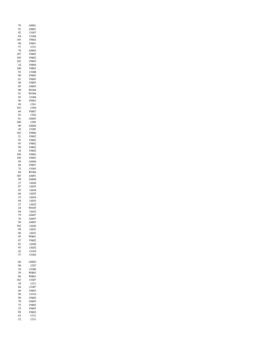| 78              | AM01                            |
|-----------------|---------------------------------|
| 91<br>92        | AM01<br>CO07                    |
| 84              | CO04                            |
| 105             | <b>FM02</b>                     |
| 90<br>57        | <b>FM01</b><br>C <sub>I11</sub> |
| 78              | AM03                            |
| 107             | <b>FM02</b>                     |
| 105             | FM02                            |
| 102<br>24       | <b>FM03</b><br><b>FM04</b>      |
| 108             | FM02                            |
| 93              | CO08                            |
| 90              | FM05                            |
| 81<br>96        | FM05<br><b>FM03</b>             |
| 85              | AM03                            |
| 90              | WO04                            |
| 81<br>83        | WO04<br>CO <sub>04</sub>        |
| 96              | <b>FM02</b>                     |
| 99              | CI01                            |
| 102             | CI04                            |
| 69<br>92        | FM07<br>CI02                    |
| 81              | AM05                            |
| 100             | CI05                            |
| 90<br>29        | AM04<br>CO05                    |
| 105             | <b>FM06</b>                     |
| $\overline{21}$ | <b>FM02</b>                     |
| 93              | <b>FM02</b>                     |
| 93<br>99        | <b>FM02</b><br>FM02             |
| 24              | <b>FM02</b>                     |
| 108             | <b>FM02</b>                     |
| 108             | <b>FM02</b>                     |
| 99<br>84        | AM04<br>FM07                    |
| 75              | CO <sub>03</sub>                |
| 84              | WO04                            |
| 105<br>99       | AM01<br>AM04                    |
| 27              | LK06                            |
| 87              | LK03                            |
| 45              | LK04                            |
| 66<br>33        | LK05<br>LK04                    |
| 84              | LK03                            |
| 27              | LK02                            |
| 24<br>84        | WO05<br>LK03                    |
| 79              | AM07                            |
| 76              | AM07                            |
| 99<br>102       | AM03<br>LK06                    |
| 99              | LK01                            |
| 88              | LK01                            |
| 95              | <b>WB01</b>                     |
| 87<br>93        | <b>FM02</b><br><b>LK06</b>      |
| 93              | LK02                            |
| 42              | CO10                            |
| 57              | CO02                            |
| 66              | AM03                            |
| 90<br>54        | CI07<br>CO06                    |
| 39              | <b>WB03</b>                     |
| 96              | <b>WB01</b>                     |
| 102<br>38       | CO07<br>C <sub>I11</sub>        |
| 84              | CO07                            |
| 89              | <b>FM03</b>                     |
| 96              | CO10                            |
| 90<br>78        | <b>FM05</b><br>AM03             |
| 75              | <b>FM05</b>                     |
| 35              | <b>FM05</b>                     |
| 99<br>63        | <b>FM02</b><br>CI11             |
| 52              | CI11                            |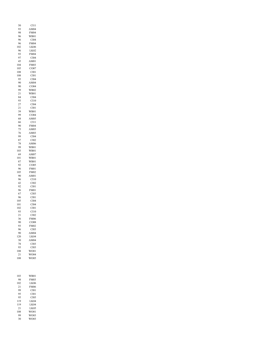| 50              | CI11                    |
|-----------------|-------------------------|
| 93              | AM04                    |
| 98              | FM04                    |
| 96              | WB01                    |
| 96              | CI04                    |
| 96              | <b>FM04</b>             |
| 102             | LK06                    |
| 96              | LK <sub>02</sub>        |
| 93              | <b>FM04</b>             |
| 97              | CI04                    |
| 45              | AM01                    |
| 104             | <b>FM03</b>             |
| 105             | CO07                    |
| 108             | CI01<br>CI01            |
| 108             | CI04                    |
| 95              | AM04                    |
| 90              | CO04                    |
| 90              | WB02                    |
| 99              | WB01                    |
| 21              | CI04                    |
| 84              | C <sub>I10</sub>        |
| 93              | CI04                    |
| 27              | CI01                    |
| 21              | WB01                    |
| 39              | CO04                    |
| 99              | AM05                    |
| 68              | $_{\rm H11}$            |
| 66              | $\mathbf{\mathfrak{c}}$ |
| 90              | FM04                    |
| 75              | AM03                    |
| 76              | AM03                    |
| 99              | CI04                    |
| 87              | CI02                    |
| 78              | AM06                    |
| 99              | WB01                    |
| 103             | WB01                    |
| 69              | AM07                    |
| 101             | WB01                    |
| 87              | WB01                    |
| 92              | CO <sub>05</sub>        |
| 96              | FM01                    |
| 105             | <b>FM02</b>             |
| 90              | AM01                    |
| 96              | C <sub>I10</sub>        |
| 42              | CI02                    |
| 92              | CI01                    |
| 96              | FM01                    |
| 67              | CI03                    |
| 96              | CI01                    |
| 105             | CI <sub>04</sub>        |
| 101             | CI04                    |
| 102             | C101                    |
| 93              | C <sub>I10</sub>        |
| $^{21}$         | CI02                    |
| 36              | FM06                    |
| 90              | CO08                    |
| 93              | <b>FM02</b>             |
| 96              | CI03                    |
| 90              | AM04                    |
| 120             | LK04                    |
| 30              | AM04                    |
| 78              | CI <sub>03</sub>        |
| 93              | CI <sub>03</sub>        |
| 108             | WO01                    |
| $\overline{21}$ | WO04                    |
| 108             | WO05                    |
| 103             | WB01                    |
| 98              | <b>FM03</b>             |
| 102             | LK06                    |
| 21              | <b>FM06</b>             |
| 99              | CIO1                    |
| 95              | CIO1                    |
| 95              | CI05                    |
| 119             | LK04                    |
| 119             | LK04                    |
| $\overline{21}$ | LK05                    |
| 108             | WO01                    |
| 99              | WO03                    |
| 30              | WO03                    |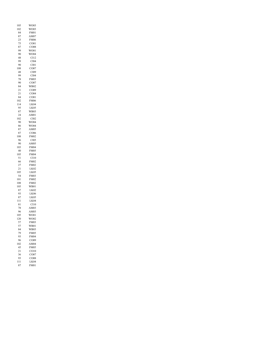| 105             | WO03              |
|-----------------|-------------------|
| 102             | WO03              |
| 84              | FM01              |
| 87              | AM07              |
|                 |                   |
| 23              | <b>FM06</b>       |
| 75              | CO <sub>01</sub>  |
| 87              | CO08              |
| 99              |                   |
|                 | WO01              |
| 90              | WO04              |
| 48              | C112              |
| 99              | CI04              |
|                 |                   |
| 90              | C101              |
| 108             | CO07              |
| 48              | CI09              |
| 99              | CI04              |
|                 |                   |
| 78              | <b>FM03</b>       |
| 90              | CO07              |
| 84              | WB02              |
|                 |                   |
| 21              | CO09              |
| 21              | CO04              |
| 84              | CO <sub>01</sub>  |
| 102             | FM06              |
|                 |                   |
| 114             | LK04              |
| 95              | LK05              |
| 87              | WB03              |
|                 |                   |
| 24              | AM01              |
| 102             | CI02              |
| 90              | WO04              |
| 86              | WO04              |
|                 |                   |
| 87              | AM05              |
| 87              | CO06              |
| 108             | <b>FM02</b>       |
|                 |                   |
| 96              | CI05              |
| 90              | AM05              |
| 103             | <b>FM04</b>       |
| 40              | <b>FM05</b>       |
|                 |                   |
| 105             | <b>FM04</b>       |
| 51              | C <sub>I</sub> 10 |
| 66              | <b>FM02</b>       |
| 27              | FM02              |
|                 |                   |
| $\overline{21}$ | LK <sub>02</sub>  |
| 105             | LK05              |
| 54              | <b>FM03</b>       |
| 101             | <b>FM02</b>       |
|                 |                   |
| 108             | <b>FM02</b>       |
| 105             | WB01              |
| 87              | LK02              |
| 93              | LK06              |
|                 |                   |
| 87              | LK05              |
| 111             | LK04              |
| 81              | C <sub>I10</sub>  |
| 78              | AM03              |
|                 |                   |
| 96              | AM03              |
| 105             | WO01              |
| 120             | WO02              |
| 57              | <b>FM03</b>       |
|                 |                   |
| 57              | <b>WB01</b>       |
| 84              | WB03              |
| 79              | FM05              |
| 93              | <b>FM04</b>       |
|                 |                   |
| 96              | CO09              |
| 102             | AM04              |
| 45              | <b>FM05</b>       |
| 21              | CO10              |
|                 |                   |
| 36              | CO07              |
| 93              | CO08              |
| 111             | K04               |
| 87              | FM01              |
|                 |                   |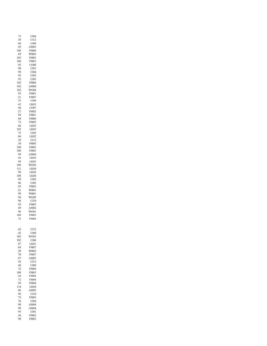| 75       | CI04             |
|----------|------------------|
| 38       | CII2             |
| 48       | CI09             |
| 85       | AM03             |
| 108      | <b>FM06</b>      |
| 69       | WB03             |
| 105      | <b>FM03</b>      |
| 108      | <b>FM03</b>      |
| 93       | CO08             |
| 90       | CI01             |
| 99       | CI04             |
| 93       | CI03             |
| 93       | CI03             |
| 102      | <b>FM04</b>      |
| 102      | AM04             |
| 102      | WO04             |
|          | <b>FM01</b>      |
| 93       |                  |
| 21<br>33 | FM07<br>CI09     |
|          |                  |
| 42       | LK03             |
| 48       | CO07             |
| 27       | FM02             |
| 94       | <b>FM01</b>      |
| 84       | <b>FM06</b>      |
| 72       | <b>FM05</b>      |
| 66       | LK03             |
| 105      | LK05             |
| 75       | CI <sub>03</sub> |
| 84       | LK02             |
| 39       | C112             |
| 30       | FM05             |
| 108      | FM03             |
| 108      | <b>FM03</b>      |
| 99       | AM04             |
| 42       | LK05             |
| 99       |                  |
|          | LK05             |
| 108      | WO02             |
| 111      | LK04             |
| 99       | LK <sub>02</sub> |
| 108      | --<br>LK06       |
| 99       | CI05             |
| 96       | CI05             |
| 93       | <b>FM03</b>      |
| 21       | WB01             |
| 99       | WB01             |
| 96       | WO05             |
| 96       | C <sub>I10</sub> |
| 93       | <b>FM03</b>      |
| 69       | AM02             |
| 96       | WO01             |
| 108      | <b>FM03</b>      |
| 72       | <b>FM04</b>      |
|          |                  |
|          |                  |
|          |                  |
| 42       | CI12<br>CI09     |
| 45       |                  |
| 105      | WO03             |
| 102      | CI06             |
| 87       | LK01             |
| 84       | <b>FM07</b>      |
| 30       | WB03             |
| 78       | <b>FM07</b>      |
| 87       | AM03             |
| 45       | C112             |
| 48       | CI09             |
| 72       | <b>FM04</b>      |
| 108      | <b>FM03</b>      |
| 24       | FM04             |
| 72       | <b>FM04</b>      |
|          |                  |
|          |                  |
| 99       | <b>FM04</b>      |
| 114      | LK04             |
| 86       | AM05             |
| 96       | C <sub>I10</sub> |
| 75       | <b>FM03</b>      |
| 76       | CI04             |
| 90       | AM04             |
| 98       | AM04             |
| 95       | CIO1             |
| 36<br>90 | <b>FM03</b>      |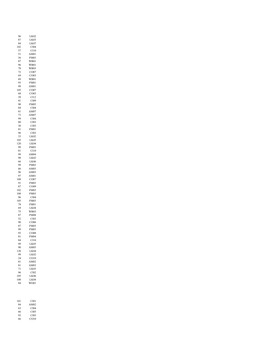| 96         | LK02                     |
|------------|--------------------------|
| 87         | LK03                     |
| 84<br>102  | LK07<br>CI04             |
| 57         | C <sub>I10</sub>         |
| 51         | AM01                     |
| 36         | <b>FM03</b>              |
| 87         | <b>WB01</b>              |
| 96<br>78   | WB01<br>WB03             |
| 72         | CO07                     |
| 69         | CO <sub>03</sub>         |
| 69         | WB01                     |
| 93<br>99   | FM01<br>AM01             |
| 105        | CO07                     |
| 68         | CO <sub>03</sub>         |
| 39         | CI12                     |
| 41<br>90   | CI09<br>FM05             |
| 84         | CI04                     |
| 81         | AM07                     |
| 73         | AM07                     |
| 99<br>80   | CI04<br>CI03             |
| 30         | CI03                     |
| 81         | FM01                     |
| 96         | CI03                     |
| 33         | LK <sub>02</sub>         |
| 105<br>120 | LK05<br>LK04             |
| 99         | FM03                     |
| 81         | C110                     |
| 99         | AM04                     |
| 90<br>66   | LK <sub>02</sub><br>LK06 |
| 99         | <b>FM03</b>              |
| 66         | AM03                     |
| 96         | AM03                     |
| 97<br>108  | AM01<br>CO07             |
| 91         | <b>FM03</b>              |
| 87         | CO09                     |
| 102        | FM03                     |
| 108<br>96  | FM03<br>CI04             |
| 105        | <b>FM03</b>              |
| 78         | <b>FM01</b>              |
| 69         | LK04                     |
| 75         | WB03                     |
| 87<br>52   | <b>FM08</b><br>CI03      |
| 90         | CO06                     |
| 87         | FM05                     |
| 99         | <b>FM03</b>              |
| 93<br>81   | CO08<br><b>FM04</b>      |
| 84         | C <sub>I10</sub>         |
| 99         | LK05                     |
| 90         | AM03                     |
| 120<br>99  | LK04<br>LK02             |
| 24         | CO10                     |
| 81         | AM02                     |
| 81         | AM03                     |
| 71<br>96   | LK03<br>CI02             |
| 105        | LK06                     |
| 108        | LK04                     |
| 84         | WO01                     |
|            |                          |
|            |                          |
| 101        | CI01                     |
| 84         | AM02                     |
| 63         | CI04                     |

 CI05 CI05 CO10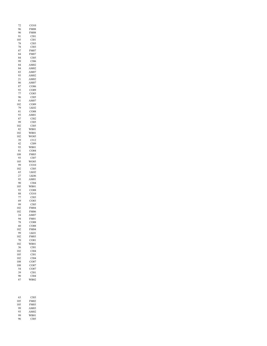| 72  | CO10             |
|-----|------------------|
| 96  | <b>FM08</b>      |
| 96  | <b>FM08</b>      |
| 91  | C101             |
| 105 | C101             |
| 78  | CI03             |
| 78  | CI03             |
| 87  | <b>FM07</b>      |
| 84  | <b>FM07</b>      |
| 84  | CI05             |
| 99  | CI06             |
| 84  | AM02             |
| 84  | AM02             |
| 83  | AM07             |
| 93  | AM02             |
| 21  | AM02             |
| 86  | AM07             |
| 87  | CO06             |
| 93  | CO09             |
| 77  | CO <sub>03</sub> |
| 96  | CI05             |
| 81  | AM07             |
| 102 | CO09             |
| 79  | LK <sub>02</sub> |
| 81  | CO <sub>08</sub> |
| 93  | AM01             |
| 87  | CI02             |
| 99  | CI05             |
| 102 | CI05             |
| 82  | WB01             |
| 102 | WB01             |
| 102 | WO05             |
| 39  | C112             |
| 42  | CI09             |
| 93  | WB01             |
| 81  | CO04             |
| 108 | <b>FM03</b>      |
| 93  | CI07             |
| 105 | WO05             |
| 99  | CO10             |
| 102 | CI05             |
| 65  | LK02             |
| 27  | LK <sub>06</sub> |
| 93  | AM01             |
| 90  | CI04             |
| 105 | WB01             |
| 93  | CO08             |
| 88  | CO10             |
| 77  | CI03             |
| 69  | CO <sub>03</sub> |
| 99  | CI05             |
| 102 | <b>FM04</b>      |
| 102 | FM06             |
| 24  | AM07             |
| 94  | FM01             |
| 78  | CO08             |
| 60  | CO08             |
| 102 | <b>FM04</b>      |
| 99  | LK01             |
| 102 | <b>FM03</b>      |
| 70  | CO01             |
| 102 | WB01             |
| 36  | CI01             |
| 102 | CI04             |
| 105 | CI <sub>01</sub> |
| 102 | CI04             |
| 108 | CO07             |
| 108 | CO07             |
| 54  | CO07             |
| 39  | CIO1             |
| 90  | CI04             |
| 87  | WB02             |
| 63  | CI03             |
| 105 | <b>FM02</b>      |
| 105 | <b>FM03</b>      |
| 99  | AM03             |

 AM02 WB01 CI05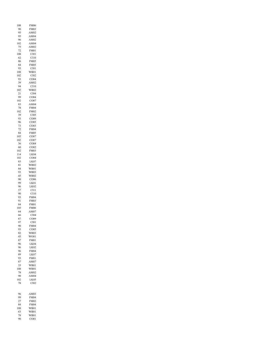| 108      | <b>FM06</b>                     |
|----------|---------------------------------|
| 90       | FM03                            |
| 95       | AM02                            |
|          |                                 |
| 95       | AM04                            |
| 96       | AM02                            |
| 102      | AM04                            |
| 75       | AM02                            |
|          |                                 |
| 72       | FM01                            |
| 108      | C101                            |
| 62       | CI10                            |
| 86       | FM05                            |
|          |                                 |
| 84       | FM05                            |
| 93       | CI01                            |
| 108      | WB01                            |
|          |                                 |
| 102      | C102                            |
| 93       | 2004<br>$\overline{\mathbf{C}}$ |
| 39       | AM02                            |
| 94       | C <sub>I10</sub>                |
|          |                                 |
| 102      | WB02                            |
| $^{21}$  | CI04                            |
| 99       | CO04<br>C                       |
|          |                                 |
| 102      | CO07                            |
| 83       | AM04                            |
| 78       | <b>FM04</b>                     |
|          | <b>FM02</b>                     |
| 102      |                                 |
| 39       | CI05                            |
| 93       | CO09<br>Ç                       |
| 96       | CO <sub>05</sub>                |
|          |                                 |
| 73       | CO <sub>03</sub>                |
| 72       | <b>FM04</b>                     |
| 84       | FM05                            |
|          |                                 |
| 105      | CO07                            |
| 102      | CO07                            |
| 36       | CO <sub>04</sub>                |
| 60       | $\mathsf{C}$                    |
|          | $_{\rm CO02}$                   |
| 102      | <b>FM03</b>                     |
| 114      | LK04                            |
| 102      | CO <sub>04</sub>                |
|          |                                 |
| 83       | LK07                            |
| 81       | WB02                            |
| 84       | WB01                            |
|          |                                 |
| 93       | WB03                            |
| 45       | WB02                            |
| 90       | CO06                            |
| 99       | LK01                            |
|          |                                 |
| 96       | LK02                            |
| 57       |                                 |
|          |                                 |
|          | CI11                            |
| 90       | C <sub>110</sub>                |
| 93       | <b>FM04</b>                     |
| 91       | <b>FM03</b>                     |
|          |                                 |
| 84       | <b>FM01</b>                     |
| 105      | <b>FM06</b>                     |
| 64       | AM07                            |
| 66       | C104                            |
|          |                                 |
| 87       | CO09                            |
| 97       | CI <sub>01</sub>                |
| 90       | <b>FM04</b>                     |
| 93       |                                 |
|          | CO05                            |
| 82       | <b>WB03</b>                     |
| 45       | WO01                            |
| 87       | <b>FM01</b>                     |
|          |                                 |
| 96       | LK04                            |
| 96       | LK02                            |
| 96       | <b>FM04</b>                     |
|          |                                 |
| 89       | LK07                            |
| 93       | <b>FM01</b>                     |
| 87       | AM07                            |
|          |                                 |
| 33       | WB01                            |
| 108      | WB01                            |
| 78       | AM02                            |
| 90       | AM04                            |
|          |                                 |
| 102      | LK05                            |
| 78       | CI02                            |
|          |                                 |
|          |                                 |
|          |                                 |
| 96       | AM03                            |
| 99       | <b>FM04</b>                     |
| 27       | <b>FM02</b>                     |
|          |                                 |
| 84       | <b>FM04</b>                     |
| 108      | WB01                            |
| 63       | <b>WB01</b>                     |
|          |                                 |
| 78<br>90 | WB01<br>CO <sub>01</sub>        |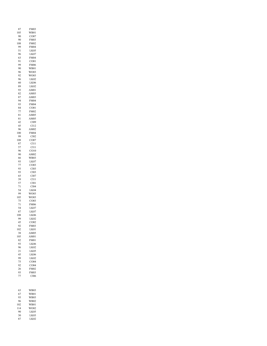| 87              | FM03                   |
|-----------------|------------------------|
| 105             | WB01                   |
| 90              | CO07                   |
| 90              | FM03                   |
| 108             | <b>FM02</b>            |
| 99              | <b>FM04</b>            |
| 51              | LK05                   |
| 96              | LK07                   |
| 63              | <b>FM04</b>            |
| 91              | CO <sub>01</sub>       |
| 99              | <b>FM06</b>            |
| 90              | WB01                   |
| 96              | WO03                   |
| 92              | WO03                   |
| 96              | LK02                   |
| 60              | LK <sub>06</sub>       |
| 89              | LK02                   |
| 93              | AM01                   |
| 82              | AM03                   |
| 87              | AM03                   |
| 94              | FM04                   |
| 93              | <b>FM04</b>            |
| 84              | CO <sub>01</sub>       |
| 77              | <b>FM02</b>            |
| 81              | AM05                   |
| 81              | AM05                   |
| 42              | I09<br>$\mathbf \zeta$ |
| 45              | C112                   |
| 96              | AM02                   |
| 100             | <b>FM04</b>            |
| 99              | CI02                   |
| 108             | CO07                   |
| 87              | CI11                   |
| 57              | CI11                   |
| 96              | CO10                   |
| 90              | AM02                   |
| 66              | WB03                   |
| 93              | LK07                   |
| 77              | CO <sub>03</sub>       |
| 93              | CI03                   |
| 93              | CI03                   |
| 65              | CI <sub>07</sub>       |
| 39              | C <sub>I11</sub>       |
| 57              | CIO1                   |
| 71              | CI04                   |
| 54              | LK04                   |
| 99              | WO03                   |
| 105             | WO03                   |
| 75              | CO <sub>03</sub><br>Ç  |
| 71              | <b>FM06</b>            |
| 54              | LK07                   |
| 87              | LK07                   |
| 108             | LK <sub>06</sub>       |
| 99              | LK02                   |
| 45              | CO <sub>02</sub>       |
| 92              | <b>FM03</b>            |
| 102             | LK01                   |
| 38              | AM05                   |
| 105             | AM01                   |
| 82              | <b>FM01</b>            |
| 93              | <b>LK06</b>            |
| 96              | LK02                   |
| $\overline{21}$ | LK05                   |
| 45              | LK06                   |
| 99              | -<br>LK02              |
| 75              | CO <sub>04</sub>       |
| 92              | CO04                   |
| 26              | <b>FM02</b>            |
| 93              | <b>FM03</b>            |
| 77              | CI06                   |
|                 |                        |
| 63              | WB03                   |
| 67              | WB01                   |
| 93              | WB03                   |
| 96              | WB02                   |
| 102             | WB01                   |
| 114             | WO02                   |
| 90              | LK05                   |
| 30              | LK03                   |
| 87              | LK <sub>02</sub>       |
|                 |                        |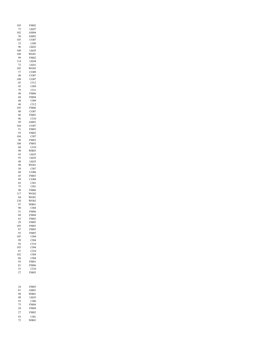| 105       | <b>FM02</b>                |
|-----------|----------------------------|
| 75<br>102 | LK07<br>AM04               |
| 50        | AM02                       |
| 105       | CO07                       |
| 33        | CI09                       |
| 96<br>108 | LK02<br>LK05               |
| 108       | WO01                       |
| 99        | <b>FM02</b>                |
| 114       | LK04                       |
| 72<br>105 | LK01<br>WO05               |
| 57        | CO09                       |
| 48        | CO07                       |
| 108<br>45 | CO07                       |
| 45        | CI12<br>CI09               |
| 79        | C <sub>111</sub>           |
| 48        | <b>FM06</b>                |
| 60        | <b>FM04</b>                |
| 48<br>48  | CI09<br>CI12               |
| 105       | FM06                       |
| 90        | CO07                       |
| 86        | <b>FM03</b>                |
| 96<br>99  | CI10<br>AM01               |
| 104       | CO07                       |
| 51        | <b>FM03</b>                |
| 93        | <b>FM02</b>                |
| 104<br>96 | CI07<br><b>FM03</b>        |
| 108       | <b>FM03</b>                |
| 60        | CI10                       |
| 90        | <b>WB03</b>                |
| 45<br>93  | LK03<br>LK05               |
| 48        | LK03                       |
| 90        | WO01                       |
| 30        | CI07                       |
| 88<br>45  | CO06<br>FM03               |
| 99        | CO04                       |
| 82        | C101                       |
| 75        | CI01                       |
| 90<br>117 | <b>FM06</b><br>WO02        |
| 84        | WO01                       |
| 120       | WO02                       |
| 97        | WB01                       |
| 90<br>51  | CI04<br><b>FM06</b>        |
| 60        | <b>FM04</b>                |
| 63        | <b>FM02</b>                |
| 29        | <b>FM05</b>                |
| 105       | <b>FM03</b>                |
| 87<br>93  | <b>FM03</b><br><b>FM05</b> |
| 105       | CI04                       |
| 99        | CI04                       |
| 92        | CI10<br>CI04               |
| 105<br>87 | C <sub>I</sub> 10          |
| 102       | CI04                       |
| 86        | CI04                       |
| 93        | <b>FM01</b>                |
| 81<br>33  | <b>FM06</b><br>CI10        |
| 27        | <b>FM03</b>                |
|           |                            |
| 24        | <b>FM03</b>                |
| 81        | AM01                       |
| 90<br>48  | WB01<br>LK03               |
| 93        | CI06                       |
| 75        | <b>FM04</b>                |
| 24        | <b>FM04</b>                |
| 27        | <b>FM02</b>                |
| 93        | C101                       |
| 72        | WB01                       |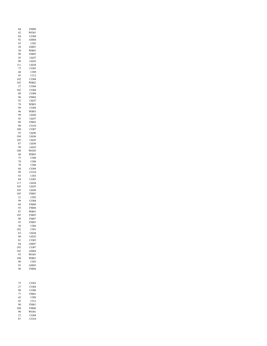| 84              | FM08                     |
|-----------------|--------------------------|
| 42              | WO01                     |
| 84              | CO04                     |
| 92              | AM04                     |
| 93              | 2102<br>C                |
| 28              | AM01                     |
| 30              | WB01                     |
| 90              | <b>FM05</b>              |
| 45              | LK07                     |
| 90              | LK <sub>02</sub>         |
| 111             | LK04                     |
| 75              | CO <sub>03</sub>         |
| 48              | CI09<br>CI12             |
| 45              |                          |
| 102             | CO04                     |
| 102             | WB02                     |
| 27              | CO <sub>04</sub>         |
| 102             | CO <sub>04</sub>         |
| 88              | CO08                     |
| 96              | <b>FM04</b>              |
| 92              | LK07                     |
| 78              | WB03                     |
| 99              | CO04                     |
| 96              | WB03                     |
| 99              | LK06                     |
| 45              | LK07                     |
| 89              | <b>FM02</b>              |
| 90              | CO10                     |
| 108             | CO <sub>07</sub>         |
| 93              | LK <sub>06</sub>         |
| 104             | LK <sub>06</sub>         |
| 105             | LK05                     |
| 87              | LK <sub>06</sub>         |
| 99              | LK <sub>02</sub>         |
| 108             | WO05                     |
| 48              | WB03                     |
| 75              | C108                     |
| 78              | C108                     |
| 78              | CI08                     |
| 84              | CO04                     |
| 99              | CO10                     |
| 93              | CI03                     |
| 84              | CO <sub>03</sub>         |
| 117             | LK <sub>04</sub>         |
| 105             | LK05                     |
| 105             | LK <sub>06</sub>         |
| 105             | FM03                     |
| $\overline{21}$ | CI02                     |
| 99              | CO <sub>04</sub><br>Ç    |
| 84              | <b>FM08</b>              |
| 93              | FM08                     |
| 87              | WB01                     |
| 105             | <b>FM03</b>              |
| 90              | <b>FM07</b>              |
| 93              | <b>FM03</b>              |
| 30              | CI <sub>04</sub>         |
| 102             | CIO1                     |
| 63              | LK04                     |
| 60              | LK02                     |
| 81              | CO <sub>03</sub>         |
| 84              | AM07                     |
| 105             | CO <sub>07</sub>         |
| 102             | AM04                     |
| 93              | WO01                     |
| 108             | WB01                     |
| 90              | CI03                     |
| 93              | AM03                     |
| 96              | <b>FM04</b>              |
|                 |                          |
| 75              | CO <sub>03</sub>         |
| 27              | CO04                     |
| 90              | CO06                     |
|                 |                          |
| 77              | <b>FM02</b>              |
| 42              | CI09                     |
| 45              | CI12                     |
| 90              | <b>FM01</b>              |
|                 | <b>FM06</b>              |
| 108<br>90       | WO01                     |
| 27<br>87        | CO <sub>04</sub><br>CO10 |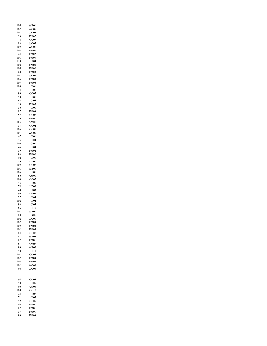| 105        | WB01                            |
|------------|---------------------------------|
| 102        | WO05                            |
| 108        | WO05                            |
| 90         | FM07                            |
| 74         | CO07                            |
| 83         | WO05                            |
| 102        | WO01                            |
| 105        | <b>FM03</b><br><b>FM02</b>      |
| 24<br>108  |                                 |
| 120        | FM03<br>LK04                    |
| 108        | FM03                            |
| 105        | FM02                            |
| 60         | <b>FM03</b>                     |
| 102        | WO05                            |
| 105        | <b>FM03</b>                     |
| 105        | <b>FM06</b>                     |
| 108        | CIO1                            |
| 34         | CIO1                            |
| 96         | CO07                            |
| 58         | CI01                            |
| 65         | CI04                            |
| 58         | FM05                            |
| 30         | CI01                            |
| 87         | <b>FM03</b>                     |
| 57         | CO02                            |
| 79         | FM01                            |
| 105        | AM01                            |
| 33         | CO04                            |
| 105        | CO07                            |
| 101        | WO05                            |
| 67         | C101                            |
| 75         | CI04                            |
| 105        | C101                            |
| 45         | CI04                            |
| 39         | <b>FM02</b>                     |
| 93         | FM02                            |
| 92         | CI05                            |
| 49         | AM01                            |
| 102        | CO07                            |
| 108        | WB01                            |
| 105<br>60  | C101<br>A                       |
| 104        | $_{\rm M01}$<br>CO07            |
| 43         | CI05                            |
| 78         | LK <sub>02</sub>                |
| 40         | LK03                            |
| 90         | AM02                            |
| 27         | CI04                            |
| 102        | CI <sub>04</sub>                |
| 93         | CI04                            |
| 86         | C <sub>I</sub> 10               |
| 108        | WB01                            |
| 80         | LK06                            |
| 102        | WO01                            |
| 102        | <b>FM04</b>                     |
| 102        | <b>FM04</b>                     |
| 102        | <b>FM04</b>                     |
| 84         | CO08                            |
| 87         | WB03                            |
| 87         | <b>FM01</b>                     |
| 81         | AM07                            |
| 99         | WB02                            |
| 90         | C110                            |
| 102<br>102 | CO <sub>04</sub><br><b>FM04</b> |
| 102        | <b>FM02</b>                     |
| 102        | WO03                            |
| 96         | WO03                            |
|            |                                 |
|            |                                 |
| 94         | CO04                            |
| 90         | CI05                            |
| 90         | AM03                            |
| 108        | CO10                            |
| 24         | CI <sub>07</sub>                |
| 71         | CI05                            |
| 99         | CO <sub>05</sub>                |
| 63         | <b>FM01</b>                     |
| 87<br>35   | <b>FM01</b>                     |
| 99         | <b>FM01</b><br><b>FM03</b>      |
|            |                                 |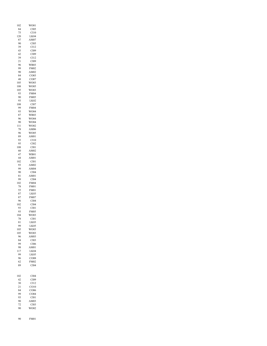| 102              | WO01             |
|------------------|------------------|
| 84               | CI05             |
|                  |                  |
| 75               | CI10             |
| 120              | LK04             |
| 87               | AM07             |
|                  |                  |
| 90               | CI05             |
| 39               | C <sub>112</sub> |
| 43               | CI09             |
|                  |                  |
| 42               | CI09             |
| 39               | CI12             |
|                  | CI09             |
| 21               |                  |
| 96               | WB03             |
| 99               | <b>FM02</b>      |
|                  |                  |
| 90               | AM02             |
| 84               | CO <sub>03</sub> |
| 48               | CO07             |
|                  |                  |
| 105              | WO03             |
| 108              | WO05             |
| 105              | WO03             |
|                  |                  |
| 93               | <b>FM04</b>      |
| 90               | <b>FM05</b>      |
| 93               | LK <sub>02</sub> |
|                  |                  |
| 108              | CI07             |
| 99               | <b>FM04</b>      |
|                  |                  |
| 93               | WO04             |
| 87               | WB03             |
| 96               | WO04             |
|                  |                  |
| 90               | WO04             |
| 111              | WO02             |
| 78               | AM06             |
|                  |                  |
| 96               | WO05             |
| 89               | AM01             |
|                  |                  |
| 93               | C <sub>I10</sub> |
| 95               | CI02             |
| 108              | CI01             |
|                  |                  |
| 60               | AM02             |
| 47               | WB01             |
|                  |                  |
| 44               | AM01             |
| 102              | C101             |
| 93               | AM02             |
|                  |                  |
| 99               | AM04             |
| 90               | CI04             |
| 81               | AM01             |
|                  |                  |
| 99               | CI04             |
| 102              | <b>FM04</b>      |
| 78               | FM01             |
|                  |                  |
| 55               | <b>FM01</b>      |
| 87               | LK03             |
|                  |                  |
| 87               | FM07             |
| 96               | CI04             |
| 102              | CI04             |
|                  |                  |
|                  |                  |
| 93               | C101             |
| 93               | <b>FM05</b>      |
|                  |                  |
| 104              | WO03             |
| 78               | C101             |
|                  | LK <sub>03</sub> |
| 81               |                  |
| 99               | LK05             |
|                  | WO03             |
|                  | WO03             |
|                  |                  |
| 105<br>105<br>96 | AM03             |
| 84               | CI03             |
|                  |                  |
| 99               | C106             |
| 98               | AM01             |
|                  | LK04             |
| 117              |                  |
| 99               | LK05             |
| 96               | CO08             |
|                  | <b>FM02</b>      |
| 62               |                  |
| 89               | CI04             |
|                  |                  |
|                  |                  |
|                  |                  |
|                  | CI04             |
| 42               |                  |
| 102              | CI09             |
| 30               | C112             |
| 21               | CO10             |
| 84               |                  |
|                  | CO06             |
| 99               | CO04             |
| 93               | CIO1             |
|                  |                  |
| 90               | AM03             |
| 72               | CI03             |
| 90               | WO02             |
|                  |                  |
|                  |                  |
| 90               | <b>FM01</b>      |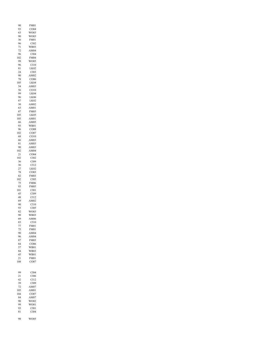| 90              | FM01                            |
|-----------------|---------------------------------|
| 93<br>63        | CO04<br>WO03                    |
| 90              | WO03                            |
| 36              | <b>FM01</b>                     |
| 96              | CI02                            |
| 71<br>72        | WB03<br>AM04                    |
| 96              | CI04                            |
| 102             | <b>FM04</b>                     |
| 99<br>96        | WO05<br>C <sub>I10</sub>        |
| 81              | LK <sub>02</sub>                |
| 24              | CI03                            |
| 90              | AM02<br>CO06                    |
| 78<br>105       | LK04                            |
| 54              | AM03                            |
| 56              | CO10                            |
| 99<br>96        | LK04<br>LK06                    |
| 87              | LK <sub>02</sub>                |
| 30              | AM02                            |
| 63              | AM01                            |
| 87<br>105       | <b>FM05</b><br>LK05             |
| 105             | AM01                            |
| 66              | AM05                            |
| 93<br>96        | WB01<br>CO08                    |
| 102             | CO07                            |
| 68              | CO10                            |
| 66              | AM03                            |
| 81<br>90        | AM03<br>AM03                    |
| 102             | AM04                            |
| $^{21}$         | CO <sub>04</sub>                |
| 102<br>36       | CI02<br>CI09                    |
| 36              | CI12                            |
| 27              | LK <sub>02</sub>                |
| 78<br>82        | CO <sub>03</sub><br><b>FM03</b> |
| 102             | CI05                            |
| 75              | <b>FM06</b>                     |
| 93<br>101       | FM05<br>C101                    |
| 45              | CI09                            |
| 48              | C112                            |
| 69<br>90        | AM02<br>C <sub>I10</sub>        |
| 93              | CI05                            |
| 82              | WO03                            |
| 90              | <b>WB03</b>                     |
| 69<br>83        | AM06<br>C110                    |
| 77              | <b>FM01</b>                     |
| 75              | <b>FM01</b>                     |
| 90<br>96        | AM04<br>AM04                    |
| 87              | <b>FM03</b>                     |
| 84              | CO06                            |
| 57<br>84        | <b>WB01</b><br><b>WB03</b>      |
| 45              | <b>WB01</b>                     |
| $\overline{21}$ | <b>FM01</b>                     |
| 108             | CO07                            |
|                 |                                 |
| 99              | C104                            |
| $\overline{21}$ | C106                            |
| 42<br>39        | C <sub>112</sub><br>CI09        |
| 72              | AM07                            |
| 105             | AM01                            |
| 104<br>84       | CO07<br>AM07                    |
| 90              | WO02                            |
| 99              | WO01                            |
| 93              | CIO1                            |
| 81              | CI04                            |
| 98              | WO05                            |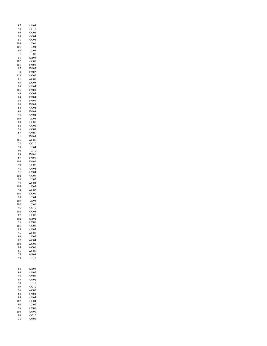| 97        | AM03                     |
|-----------|--------------------------|
| 93        | CO10                     |
| 96        | CO08                     |
| 90        | CO <sub>04</sub><br>CO06 |
| 81<br>108 | CI01                     |
| 105       | CI04                     |
| 93        | CI03                     |
| 31        | CI07                     |
| 81        | WB03                     |
| 102       | CO07                     |
| 105       | <b>FM03</b>              |
| 87        | <b>FM05</b>              |
| 78        | <b>FM02</b>              |
| 114       | WO02                     |
| 81<br>93  | WO01<br>WO05             |
| 96        | AM04                     |
| 105       | <b>FM03</b>              |
| 63        | CO <sub>03</sub>         |
| 84        | <b>FM04</b>              |
| 84        | <b>FM03</b>              |
| 90        | <b>FM03</b>              |
| 64        | CO <sub>04</sub>         |
| 90        | <b>FM03</b>              |
| 93        | AM04                     |
| 105       | LK <sub>06</sub>         |
| 88        | CO08                     |
| 84<br>96  | CO06<br>CO09             |
| 87        | AM06                     |
| 51        | <b>FM04</b>              |
| 105       | WO05                     |
| 72        | CO10                     |
| 93        | CI04                     |
| 90        | C <sub>I10</sub>         |
| 89        | <b>FM01</b>              |
| 67        | FM01                     |
| 105       | <b>FM02</b>              |
| 90        | CO <sub>08</sub>         |
| 48<br>51  | AM04<br>AM04             |
| 102       | CO07                     |
| 96        | CI05                     |
| 93        | WO04                     |
| 105       | LK05                     |
| 54        | WO02                     |
| 108       | WO01                     |
| 90        | CI04                     |
| 105       | LK05                     |
| 102       | CI01                     |
| 96        | CO10<br>CO04             |
| 102<br>87 | CO08                     |
| 102       | WB02                     |
| 95        | AM01                     |
| 105       | CO07                     |
| 93        | AM03                     |
| 96        | WO01                     |
| 96        | LK05                     |
| 87        | WO04                     |
| 102       | WO02                     |
| 84        | WO01<br><b>WO05</b>      |
| 86<br>75  | <b>WB03</b>              |
| 93        | C110                     |
|           |                          |
|           |                          |
| 84        | <b>WB03</b>              |
| 96        | AM02                     |
| 93        | AM02                     |
| 93        | AM02                     |
| 90        | CI10                     |
| 99        | CO10                     |
| 96<br>64  | WO05<br><b>FM04</b>      |
| 99        | AM04                     |
| 102       | CO04                     |
| 90        | CI02                     |
| 96        | AM01                     |
| 104       | AM01                     |
| 86        | CO10                     |
| 36        | AM05                     |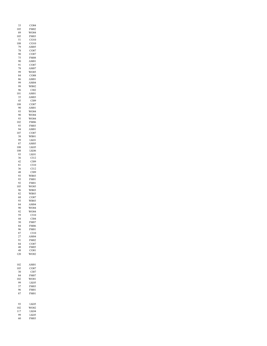| 33  | CO <sub>04</sub> |
|-----|------------------|
| 105 | FM02             |
| 89  | WO04             |
| 105 | <b>FM03</b>      |
| 51  | CO10             |
| 108 | CO10             |
| 79  | AM05             |
| 78  | CO07             |
| 90  | CO07             |
| 75  | FM08             |
|     |                  |
| 90  | AM01             |
| 91  | CO07             |
| 78  | AM07             |
| 99  | WO05             |
| 84  | CO <sub>08</sub> |
| 86  | AM01             |
| 99  | AM04             |
| 99  | WB02             |
| 96  | CI02             |
| 101 | AM01             |
| 35  |                  |
|     | AM03             |
| 45  | CI09             |
| 108 | CO07             |
| 90  | AM01             |
| 93  | WO04             |
| 90  | WO04             |
| 93  | WO04             |
| 102 | FM06             |
| 93  | <b>FM03</b>      |
|     |                  |
| 94  | AM01             |
| 107 | CO07             |
| 38  | WB01             |
| 99  | LK01             |
| 87  | AM05             |
| 108 | LK05             |
| 108 | LK06             |
| 93  | LK01             |
|     |                  |
| 36  | C112             |
| 42  | CI09             |
| 81  | CI10             |
| 36  | CI12             |
| 48  | CI09             |
| 93  | WB03             |
| 93  | <b>FM01</b>      |
| 92  | FM01             |
| 105 | WO05             |
|     |                  |
| 96  | WB03             |
| 82  | WB03             |
| 68  | CO07             |
| 93  | <b>WB03</b>      |
| 84  | AM04             |
| 90  | WO04             |
| 92  | WO04             |
| 59  | CI10             |
| 44  | $_{104}$<br>C    |
| 30  | <b>FM07</b>      |
|     |                  |
| 84  | <b>FM06</b>      |
| 96  | <b>FM01</b>      |
| 87  | CI10             |
| 27  | AM04             |
| 91  | <b>FM02</b>      |
| 84  | CO07             |
| 48  | <b>FM05</b>      |
| 48  | CO <sub>01</sub> |
| 120 | WO02             |
|     |                  |
|     |                  |
|     |                  |
| 102 | AM01             |
| 105 | CO07             |
| 30  | CI07             |
| 84  | <b>FM07</b>      |
| 102 | WO01             |
| 99  | LK05             |
|     |                  |
| 37  | <b>FM03</b>      |
| 96  | <b>FM01</b>      |
| 87  | <b>FM01</b>      |
|     |                  |
|     |                  |
| 93  | LK05             |
| 102 | WO02             |
| 117 | LK04             |
| 99  | LK05             |
|     |                  |
| 60  | <b>FM03</b>      |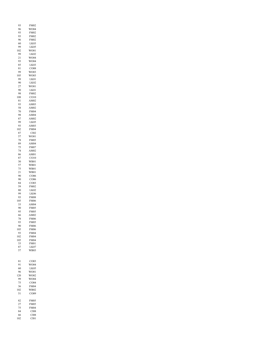| 93      | <b>FM02</b>                  |
|---------|------------------------------|
| 96      | WO04                         |
| 93      | <b>FM02</b>                  |
| 93      | <b>FM02</b>                  |
| 96      | <b>FM02</b>                  |
| 60      | LK03                         |
| 99      | LK05                         |
| 102     | WO01                         |
| 99      | LK <sub>02</sub>             |
|         |                              |
| $^{21}$ | WO04                         |
| 93      | WO04                         |
| 85      | LK03                         |
| 81      | X<br>$_{08}$<br>$\mathsf{C}$ |
| 99      | WO03                         |
| 105     | WO03                         |
| 99      | LK01                         |
| 90      | LK <sub>02</sub>             |
| 27      | WO01                         |
| 90      | LK01                         |
| 98      | <b>FM02</b>                  |
| 108     | $_{\rm CO10}$<br>Ç           |
| 81      | AM02                         |
| 93      | AM03                         |
| 58      | AM02                         |
| 70      | <b>FM04</b>                  |
| 98      | AM04                         |
|         |                              |
| 87      | AM02                         |
| 99      | LK05                         |
| 93      | AM03                         |
| 102     | <b>FM04</b>                  |
| 87      | CI02                         |
| 57      | WO01                         |
| 78      | <b>FM05</b>                  |
| 89      | AM04                         |
| 75      | FM07                         |
| 74      | AM02                         |
| 86      | AM01                         |
| 87      | CO10                         |
| 30      | WB01                         |
| 57      | WB01                         |
| 75      | WB01                         |
| 21      | WB01                         |
| 90      |                              |
|         | CO06                         |
| 90      | CO <sub>06</sub>             |
| 84      | CO <sub>03</sub>             |
| 59      | <b>FM02</b>                  |
| 80      | LK02                         |
| 99      | LK06                         |
| 93      | <b>FM08</b>                  |
| 105     | <b>FM06</b>                  |
| 33      | AM04                         |
| 90      | <b>FM05</b>                  |
| 95      | FM05                         |
| 66      | AM02                         |
| 78      | <b>FM06</b>                  |
| 93      | <b>FM05</b>                  |
| 90      | <b>FM06</b>                  |
| 105     | <b>FM06</b>                  |
| 93      | <b>FM04</b>                  |
| 102     | <b>FM04</b>                  |
| 105     | <b>FM04</b>                  |
| 33      | FM01                         |
| 87      | LK07                         |
| 57      | WB03                         |
|         |                              |
|         |                              |
|         |                              |
| 81      | CO <sub>03</sub>             |
| 91      | WO04                         |
| 60      | LK05                         |
| 96      | WO01                         |
| 120     | WO02                         |
| 99      | WO04                         |
| 75      | CO04                         |
| 36      | <b>FM04</b>                  |
| 102     | WB02                         |
| 51      | CO09                         |
|         |                              |
| 82      | <b>FM05</b>                  |
| 27      | <b>FM05</b>                  |
| 75      | <b>FM04</b>                  |
| 84      | CI08                         |
| 66      | CI08                         |
|         |                              |
| 102     | C101                         |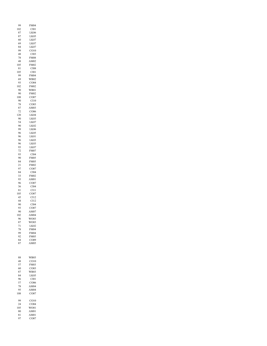| 99  | <b>FM04</b>      |
|-----|------------------|
| 102 | C101             |
| 87  | LK06             |
| 87  | LK05             |
| 60  | LK07             |
| 69  | LK07             |
| 84  | LK07             |
| 99  | CO10             |
| 48  | CI03             |
| 78  | <b>FM08</b>      |
| 48  | AM02             |
| 105 | FM02             |
| 81  | CI08             |
| 105 | CIO1             |
| 99  | <b>FM04</b>      |
|     |                  |
| 69  | WB02             |
| 93  | CO04             |
| 102 | <b>FM02</b>      |
| 90  | WB01             |
| 90  | FM02             |
| 108 | CO07             |
| 90  | CI10             |
| 78  | CO <sub>03</sub> |
| 87  | AM03             |
| 72  | CO06             |
| 120 | LK04             |
| 90  | LK03             |
| 54  | LK07             |
| 90  | LK <sub>02</sub> |
| 99  | LK06             |
|     |                  |
| 96  | LK05             |
| 96  | LK01             |
| 96  | LK03             |
| 96  | LK03             |
| 93  | LK07             |
| 72  | FM07             |
| 93  | CI04             |
| 90  | FM05             |
| 84  | <b>FM05</b>      |
| 21  | FM02             |
| 97  | CO07             |
| 84  | CI04             |
| 33  | FM02             |
| 93  |                  |
|     | AM01             |
| 96  | CO07             |
| 36  | CI04             |
| 81  | CI11             |
| 105 | CO07             |
| 45  | CH <sub>2</sub>  |
| 44  | CI12             |
| 90  | CI04             |
| 93  | CO07<br>C        |
| 90  | AM07             |
| 102 | AM04             |
| 96  | WO03             |
| 87  | WO03             |
| 71  | LK02             |
| 78  | <b>FM04</b>      |
| 99  | <b>FM04</b>      |
| 92  | FM05             |
| 84  | CO <sub>09</sub> |
| 87  | AM05             |
|     |                  |
|     |                  |
|     |                  |
|     |                  |
| 88  | WB03             |
| 48  | CO10             |
| 57  | <b>FM03</b>      |
| 60  | CO <sub>03</sub> |
| 87  | WB03             |
| 84  | LK05             |
| 96  | C101             |
| 57  | CO06             |
| 78  | AM04             |
| 95  | AM04             |
| 108 | CO07             |
|     |                  |
|     |                  |
| 99  | CO10             |
| 24  | CO <sub>04</sub> |
| 105 | WO01             |
| 80  | AM01             |
| 81  | AM01             |
| 97  | CO07             |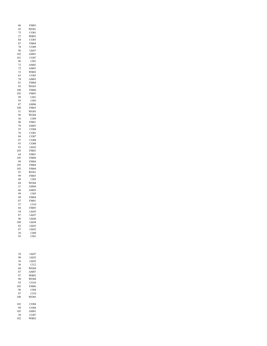| 45<br>75<br>27<br>84<br>87<br>78<br>96<br>102<br>101<br>96<br>72<br>72<br>33<br>63<br>78<br>81<br>95<br>108<br>105<br>99<br>93<br>87<br>108<br>51<br>96<br>36<br>96<br>78<br>55<br>76<br>84<br>87<br>93<br>93<br>105<br>64<br>105<br>99<br>105<br>105<br>93<br>99<br>49<br>84<br>$^{21}$<br>66<br>99<br>99<br>87<br>57<br>84<br>54<br>87<br>96<br>108<br>82<br>87<br>29<br>93 | WO01<br>CO <sub>01</sub><br>WB03<br>CO <sub>03</sub><br><b>FM04</b><br>CO <sub>09</sub><br>LK07<br>AM01<br>CO07<br>CI01<br>AM02<br>AM01<br>WB02<br>CO <sub>03</sub><br>AM03<br><b>FM04</b><br>WO03<br><b>FM06</b><br><b>FM03</b><br>CI01<br>CI03<br>AM06<br><b>FM03</b><br>WO05<br>WO04<br>CI09<br>FM01<br>AM03<br>CO <sub>04</sub><br>CO01<br>C<br>CO07<br>CO08<br>CO08<br>LK02<br><b>FM03</b><br>FM01<br><b>FM04</b><br><b>FM04</b><br>FM04<br><b>FM04</b><br>WO01<br>FM03<br>CI05<br>WO04<br>AM04<br>AM03<br>CI05<br><b>FM04</b><br><b>FM01</b><br>C <sub>110</sub><br><b>FM05</b><br>LK05<br>LK07<br>LK06<br>LK04<br>LK <sub>03</sub><br>LK <sub>02</sub><br>CI09<br>CI01 |
|-------------------------------------------------------------------------------------------------------------------------------------------------------------------------------------------------------------------------------------------------------------------------------------------------------------------------------------------------------------------------------|-------------------------------------------------------------------------------------------------------------------------------------------------------------------------------------------------------------------------------------------------------------------------------------------------------------------------------------------------------------------------------------------------------------------------------------------------------------------------------------------------------------------------------------------------------------------------------------------------------------------------------------------------------------------------------|
| 39                                                                                                                                                                                                                                                                                                                                                                            | LK07                                                                                                                                                                                                                                                                                                                                                                                                                                                                                                                                                                                                                                                                          |
| 90                                                                                                                                                                                                                                                                                                                                                                            | LK03                                                                                                                                                                                                                                                                                                                                                                                                                                                                                                                                                                                                                                                                          |
| 36                                                                                                                                                                                                                                                                                                                                                                            | LK <sub>02</sub>                                                                                                                                                                                                                                                                                                                                                                                                                                                                                                                                                                                                                                                              |
| 36                                                                                                                                                                                                                                                                                                                                                                            | CI12                                                                                                                                                                                                                                                                                                                                                                                                                                                                                                                                                                                                                                                                          |
| 68                                                                                                                                                                                                                                                                                                                                                                            | WO04                                                                                                                                                                                                                                                                                                                                                                                                                                                                                                                                                                                                                                                                          |
| 87                                                                                                                                                                                                                                                                                                                                                                            | AM07                                                                                                                                                                                                                                                                                                                                                                                                                                                                                                                                                                                                                                                                          |
| 97                                                                                                                                                                                                                                                                                                                                                                            | WB02                                                                                                                                                                                                                                                                                                                                                                                                                                                                                                                                                                                                                                                                          |
| 90                                                                                                                                                                                                                                                                                                                                                                            | WO04                                                                                                                                                                                                                                                                                                                                                                                                                                                                                                                                                                                                                                                                          |
| 93                                                                                                                                                                                                                                                                                                                                                                            | CO10                                                                                                                                                                                                                                                                                                                                                                                                                                                                                                                                                                                                                                                                          |
| 105                                                                                                                                                                                                                                                                                                                                                                           | <b>FM06</b>                                                                                                                                                                                                                                                                                                                                                                                                                                                                                                                                                                                                                                                                   |
| 96                                                                                                                                                                                                                                                                                                                                                                            | CI04                                                                                                                                                                                                                                                                                                                                                                                                                                                                                                                                                                                                                                                                          |
| 87                                                                                                                                                                                                                                                                                                                                                                            | CI10                                                                                                                                                                                                                                                                                                                                                                                                                                                                                                                                                                                                                                                                          |
| 108                                                                                                                                                                                                                                                                                                                                                                           | WO05                                                                                                                                                                                                                                                                                                                                                                                                                                                                                                                                                                                                                                                                          |
| 102                                                                                                                                                                                                                                                                                                                                                                           | CO <sub>04</sub>                                                                                                                                                                                                                                                                                                                                                                                                                                                                                                                                                                                                                                                              |
| 99                                                                                                                                                                                                                                                                                                                                                                            | CO04                                                                                                                                                                                                                                                                                                                                                                                                                                                                                                                                                                                                                                                                          |
| 105                                                                                                                                                                                                                                                                                                                                                                           | AM01                                                                                                                                                                                                                                                                                                                                                                                                                                                                                                                                                                                                                                                                          |
| 30                                                                                                                                                                                                                                                                                                                                                                            | CO07                                                                                                                                                                                                                                                                                                                                                                                                                                                                                                                                                                                                                                                                          |
| 102                                                                                                                                                                                                                                                                                                                                                                           | WB02                                                                                                                                                                                                                                                                                                                                                                                                                                                                                                                                                                                                                                                                          |

FM03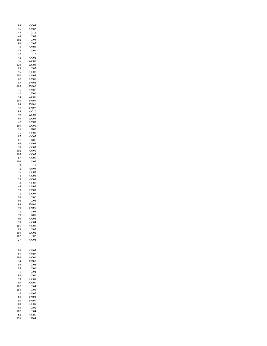| 99        | CO <sub>04</sub>         |
|-----------|--------------------------|
| 96        | AM02                     |
| 45<br>48  | C <sub>112</sub><br>CI09 |
| 102       | CI05                     |
| 96        | CI05                     |
| 78        | AM02                     |
| 45        | CI09                     |
| 42        | CI12                     |
| 42        | CO <sub>02</sub>         |
| 36        | WO01                     |
| 120       | WO02                     |
| 99        | CI05                     |
| 96        | CO08                     |
| 102       | AM04                     |
| 67<br>85  | AM07<br><b>FM02</b>      |
| 105       | <b>FM02</b>              |
| 75        | AM06                     |
| 42        | LK <sub>06</sub>         |
| 54        | WO05                     |
| 108       | <b>FM03</b>              |
| 84        | <b>FM01</b>              |
| 45        | <b>FM07</b>              |
| 99        | CO10                     |
| 99        | WO03                     |
| 99        | WO03                     |
| 42        | AM03                     |
| 105<br>96 | WO01<br>LK05             |
| 36        | CO <sub>01</sub>         |
| 97        | CO07                     |
| 81        | LK06                     |
| 99        | AM03                     |
| 30        | CO <sub>03</sub>         |
| 102       | AM01                     |
| 105       | CO07                     |
| 57        | CO09                     |
| 106       | CI07                     |
| 30        | CI11                     |
| 72        | AM03                     |
| 75        | CO <sub>03</sub>         |
| 74<br>33  | CO <sub>03</sub><br>CO08 |
| 78        | CO08                     |
| 69        | AM02                     |
| 99        | AM03                     |
| 72        | WO03                     |
| 90        | CI06                     |
| 90        | CI06                     |
| 99        | <b>FM06</b>              |
| 90        | <b>FM05</b>              |
| 72        | CI05                     |
| 99        | LK01                     |
| 90        | CO06                     |
| 90        | CO <sub>04</sub><br>CO07 |
| 105<br>98 | CI02                     |
| 108       | WO02                     |
| 102       | CI02                     |
| 27        | CO04                     |
|           |                          |
|           |                          |
| 90        | AM03                     |
| 87        | AM02                     |
| 108<br>24 | WO01<br><b>FM07</b>      |
| 86        | CI04                     |
| 99        | C101                     |
| 71        | CI04                     |
| 98        | CI01                     |
| 99        | CO09                     |
| 93        | CO09                     |
| 102       | CI04                     |
| 108       | CIO1                     |
| 44        | AM02                     |
| 68        | <b>FM04</b>              |
| 93        | FM01                     |
| 60        | CO09                     |
| 93<br>102 | CI01<br>CI04             |
| 64        | CO06                     |
| 120       | LK04                     |
|           |                          |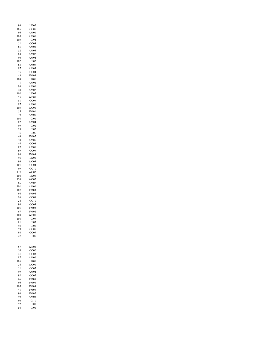| 96<br>105  | LK <sub>02</sub><br>CO07        |  |
|------------|---------------------------------|--|
| 96         | AM01                            |  |
| 105        | AM01                            |  |
| 105<br>51  | CI04<br>CO08                    |  |
| 85         | AM02                            |  |
| 52         | AM03                            |  |
| 84<br>90   | AM02<br>AM04                    |  |
| 102        | CI02                            |  |
| 83         | AM07                            |  |
| 97<br>75   | AM03<br>CO04                    |  |
| 48         | <b>FM04</b>                     |  |
| 108<br>71  | LK05<br>AM02                    |  |
| 96         | AM01                            |  |
| 48         | AM02                            |  |
| 102<br>95  | LK05<br>WB01                    |  |
| 81         | CO07                            |  |
| 97         | AM01                            |  |
| 105<br>55  | WO01<br>FM01                    |  |
| 79         | AM05                            |  |
| 108        | CI01                            |  |
| 82<br>99   | AM04<br>CI01                    |  |
| 93         | $\text{C}102$                   |  |
| 75         | CI06                            |  |
| 63<br>78   | <b>FM07</b><br>AM05             |  |
| 44         | CO08                            |  |
| 87<br>69   | AM01<br>CO07                    |  |
| 90         | <b>FM03</b>                     |  |
| 96         | LK01                            |  |
| 96<br>101  | WO04<br>CO04                    |  |
| 99         | CO10                            |  |
| 117        | WO02                            |  |
| 108<br>120 | LK05<br>WO02                    |  |
| 86         | AM02                            |  |
| 101        | AM01                            |  |
| 107<br>94  | <b>FM03</b><br><b>FM04</b>      |  |
| 96         | CO08                            |  |
| 24         | CO10                            |  |
| 90<br>105  | CO <sub>04</sub><br><b>FM02</b> |  |
| 67         | <b>FM02</b>                     |  |
| 108<br>108 | WB01<br>CI07                    |  |
| 81         | CI03                            |  |
| 93         | CI05                            |  |
| 99<br>98   | CO07<br>CO07                    |  |
| 27         | CI05                            |  |
|            |                                 |  |
| 57         | WB02                            |  |
| 50         | CO06                            |  |
| 41<br>87   | CO <sub>03</sub><br>AM06        |  |
| 105        | LK01                            |  |
| 24         | WO01                            |  |
| 51<br>99   | CO07<br>AM04                    |  |
| 92         | CO07                            |  |
| 66         | <b>FM08</b>                     |  |
| 96<br>105  | <b>FM08</b><br><b>FM03</b>      |  |
| 41         | <b>FM03</b>                     |  |
| 90         | <b>FM07</b>                     |  |
| 99<br>90   | AM03<br>C110                    |  |
| 92         | CI01                            |  |
| 56         | CI01                            |  |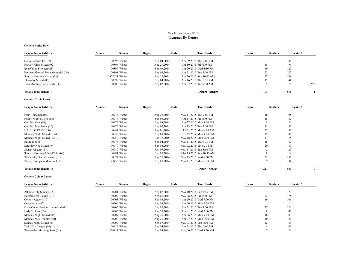### New Haven County USBC **Leagues By Center**

### **Center: Amity Bowl**

| League Name (Abbrev)                | Number | Season        | <b>Begins</b> | Ends        | <b>Time Bowls</b>        | Teams | <b>Bowlers</b> | Senior? |     |
|-------------------------------------|--------|---------------|---------------|-------------|--------------------------|-------|----------------|---------|-----|
|                                     |        |               |               |             |                          |       |                |         |     |
| Gallo Continental (07)              |        | 100895 Winter |               | Sep 04,2014 | Apr 09,2015 Thu 7:00 PM  |       |                | 45      |     |
| Harvey Johns Mixed (02)             |        | 100896 Winter |               | Aug 29,2014 | Apr 10,2015 Fri 7:00 PM  |       | 18             | 96      |     |
| InterValley Firemen (03)            |        | 100897 Winter |               | Sep 03,2014 | Apr 29,2015 Wed 6:30 PM  |       | 19             | 120     |     |
| Pan Am Sikorski Testa Memorial (04) |        | 100898 Winter |               | Sep 02,2014 | Apr 21,2015 Tue 7:00 PM  |       | 22             | 122     |     |
| Sunday Morning Mixed (01)           |        | 977421 Winter |               | Aug 17,2014 | Apr 26,2015 Sun 10:00 AM |       | 17             | 109     |     |
| Thursday Mixed (05)                 |        | 100899 Winter |               | Sep 04,2014 | Apr 16,2015 Thu 5:55 PM  |       |                | 44      |     |
| Tues Morning Early Birds (06)       |        | 100900 Winter |               | Sep 02,2014 | Apr 07,2015 Tue 9:30 AM  |       |                | 15      | Yes |
| Total leagues listed: 7             |        |               |               |             | Center Totals:           |       | 103            | 551     |     |

### **Center: Circle Lanes**

| <b>League Name (Abbrev)</b>     | Number | Season        | <b>Begins</b> | Ends        | <b>Time Bowls</b>        | Teams | <b>Bowlers</b> | Senior? |  |
|---------------------------------|--------|---------------|---------------|-------------|--------------------------|-------|----------------|---------|--|
| Four Horsemen (02)              |        | 100973 Winter |               | Aug 28,2014 | May 14,2015 Thu 7:00 PM  |       | 16             | 95      |  |
| Friday Night Misfits (03)       |        | 100974 Winter |               | Sep 06,2014 | Apr 17,2015 Fri 7:00 PM  |       | 15             | 82      |  |
| Guilford Gals (06)              |        | 100975 Winter |               | Sep 08,2014 | Apr 27,2015 Mon 8:00 PM  |       | $\circ$        | 26      |  |
| Guilford Merchants (10)         |        | 100976 Winter |               | Sep 02,2014 | Apr 13,2015 Tue 7:00 PM  |       | 13             | 83      |  |
| HALL OF FAME (00)               |        | 100947 Winter |               | Aug 01,2014 | Jul 31,2015 Mon 8:00 AM  |       | 52             | 52      |  |
| Monday Night Mixed - 1 (09)     |        | 100930 Winter |               | Sep 08,2014 | Dec 22,2014 Mon 7:00 PM  |       | 17             | 85      |  |
| Monday Night Mixed - 2 (12)     |        | 100950 Winter |               | Jan 12,2015 | May 18,2015 Mon 7:00 PM  |       | 17             | 75      |  |
| Railroad (05)                   |        | 100978 Winter |               | Sep 04,2014 | May 14,2015 Thu 6:30 PM  |       | 18             | 87      |  |
| Saturday Nite Mixed (04)        |        | 100979 Winter |               | Sep 06,2014 | May 02,2015 Sat 6:30 PM  |       | 20             | 119     |  |
| Sidney Alston (11)              |        | 100980 Winter |               | Oct 07,2014 | May 17,2015 Sun 3:00 PM  |       |                | 20      |  |
| Sunday Morning Adult/Child (08) |        | 100981 Winter |               | Sep 07,2014 | Mar 15,2015 Sun 10:30 AM |       |                | 19      |  |
| Wednesday Social League (01)    |        | 100977 Winter |               | Aug 27,2014 | May 13,2015 Wed 6:30 PM  |       | 22             | 156     |  |
| Willie Thompson Memorial (07)   |        | 123456 Winter |               | Sep 08,2014 | May 11,2015 Mon 6:30 PM  |       |                | 34      |  |
| Total leagues listed: 13        |        |               |               |             | <b>Cener Totals:</b>     |       | 221            | 933     |  |

### **Center: Colony Lanes**

| Number<br>Season | <b>Begins</b> | Time Bowls              | Teams | Senior?<br><b>Bowlers</b> |                |
|------------------|---------------|-------------------------|-------|---------------------------|----------------|
| 100901 Winter    | Sep 07,2014   | May 10,2015 Sun 4:45 PM |       | 20                        |                |
| 100902 Winter    | Sep 05,2014   | May 08,2015 Fri 7:00 PM |       | 175                       |                |
| 100903 Winter    | Sep 03,2014   | Apr 29,2015 Wed 7:00 PM |       | 106                       |                |
| 100904 Winter    | Sep 08,2014   | Apr 06,2015 Mon 5:30 PM |       | 14                        |                |
| 100905 Winter    | Sep 02,2014   | Apr 21,2015 Tue 7:00 PM |       | 124                       |                |
| 100906 Winter    | Aug 27,2014   | Apr 01,2015 Wed 7:00 PM |       | 46                        |                |
| 100907 Winter    | Aug 25,2014   | Apr 06,2015 Mon 7:00 PM |       | 83                        |                |
| 100908 Winter    | Aug 25,2014   | Apr 27,2015 Mon 8:00 PM |       | 27                        |                |
| 100909 Winter    | Sep 07,2014   | May 03.2015 Sun 7:00 PM |       | 66                        |                |
| 100910 Winter    | Sep 04,2014   | Apr 23,2015 Thu 7:00 PM |       | 45                        |                |
| 100911 Winter    | Sep 03,2014   | May 06.2015 Wed 9:30 AM |       | 20                        |                |
|                  |               |                         | Ends  | 18                        | 32<br>16<br>10 |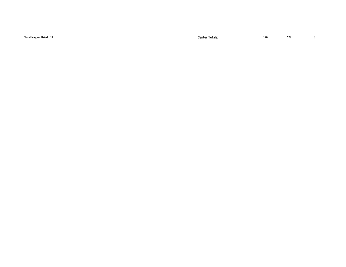| Total leagues listed: 11 | <b>Center Totals:</b> | 140 | 726 |  |
|--------------------------|-----------------------|-----|-----|--|
|                          |                       |     |     |  |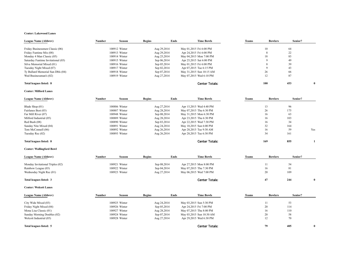### **Center: Lakewood Lanes**

| League Name (Abbrev)               | Season<br>Number | <b>Begins</b><br>Ends | <b>Time Bowls</b>        | <b>Teams</b> | <b>Bowlers</b> | Senior?      |
|------------------------------------|------------------|-----------------------|--------------------------|--------------|----------------|--------------|
| Friday Businessmen Classic (06)    | 100912 Winter    | Aug 29,2014           | May 01,2015 Fri 6:00 PM  |              | 64<br>10       |              |
| Friday Funtime Mix (08)            | 100913 Winter    | Aug 29,2014           | Apr 24,2015 Fri 6:00 PM  |              | 22             |              |
| Monday 4 Man Classic (05)          | 100914 Winter    | Aug 25,2014           | May 04,2015 Mon 7:00 PM  |              | 83<br>18       |              |
| Saturday Funtime Invitational (03) | 100915 Winter    | Sep 06,2014           | Apr 25,2015 Sat 6:00 PM  |              | 49             |              |
| Silva Memorial Mixed (01)          | 100916 Winter    | Sep 05,2014           | May 01,2015 Fri 6:00 PM  |              | 39             |              |
| Tuesday Night Mixed (07)           | 100917 Winter    | Sep 02,2014           | Apr 07,2015 Tue 6:15 PM  |              | 43             |              |
| Ty Bullard Memorial Sun Dbls (04)  | 100918 Winter    | Sep 07,2014           | May 31,2015 Sun 10:15 AM |              | 66<br>26       |              |
| Wed Businessman's (02)             | 100919 Winter    | Aug 27,2014           | May 07,2015 Wed 6:10 PM  |              | 87<br>12       |              |
| Total leagues listed: 8            |                  |                       | <b>Center Totals:</b>    | 100          | 453            | $\mathbf{0}$ |

### **Center: Milford Lanes**

| <b>League Name (Abbrev)</b> | Number | Season        | <b>Begins</b> | Ends        | <b>Time Bowls</b>       | Teams |     | <b>Bowlers</b> | Senior? |     |
|-----------------------------|--------|---------------|---------------|-------------|-------------------------|-------|-----|----------------|---------|-----|
|                             |        |               |               |             |                         |       |     |                |         |     |
| Blade Shop (01)             |        | 100886 Winter |               | Aug 27,2014 | Apr 15,2015 Wed 4:40 PM |       | 13  |                | 96      |     |
| Fairlanes Best (03)         |        | 100887 Winter |               | Aug 28,2014 | May 07,2015 Thu 6:30 PM |       | 26  |                | 175     |     |
| Far Mill River (07)         |        | 100948 Winter |               | Sep 08,2014 | May 31,2015 Mon 6:30 PM |       | 16  |                | 63      |     |
| Milford Industrial (05)     |        | 100889 Winter |               | Aug 28,2014 | Apr 23,2015 Thu 6:30 PM |       | 16  |                | 103     |     |
| Red Bush (08)               |        | 100890 Winter |               | Sep 03,2014 | Apr 22,2015 Wed 7:30 PM |       | 16  |                | 34      |     |
| Sunday Nite Mixed (04)      |        | 100891 Winter |               | Aug 24,2014 | May 10,2015 Sun 6:00 PM |       | 32  |                | 164     |     |
| Tom McConnell (06)          |        | 100892 Winter |               | Aug 26,2014 | Apr 28,2015 Tue 9:30 AM |       | 16  |                | 59      | Yes |
| Tuesday Rec (02)            |        | 100893 Winter |               | Aug 26,2014 | Apr 28,2015 Tue 6:30 PM |       | 34  |                | 161     |     |
| Total leagues listed: 8     |        |               |               |             | Center Totals:          |       | 169 |                | 855     |     |

### **Center: Wallingford Bowl**

| League Name (Abbrev)             | Number | Season        | Begins | Ends        | <b>Time Bowls</b>       | Teams | <b>Bowlers</b> | Senior? |  |
|----------------------------------|--------|---------------|--------|-------------|-------------------------|-------|----------------|---------|--|
|                                  |        |               |        |             |                         |       |                |         |  |
| Monday Invitational Triples (02) |        | 100921 Winter |        | Sep 08,2014 | Apr 27,2015 Mon 8:00 PM |       |                | 54      |  |
| Rainbow League (03)              |        | 100922 Winter |        | Sep 04,2014 | May 07,2015 Thu 7:30 PM |       | 16             | 81      |  |
| Wednesday Night Rec (01)         |        | 100923 Winter |        | Aug 27,2014 | May 06,2015 Wed 7:00 PM |       | 20             | 109     |  |
| Total leagues listed: 3          |        |               |        |             | <b>Center Totals:</b>   |       |                | 244     |  |

### **Center: Wolcott Lanes**

| League Name (Abbrev)        | Number | Season        | <b>Begins</b> | Ends        | <b>Time Bowls</b>        | <b>Teams</b> | <b>Bowlers</b> | Senior? |  |
|-----------------------------|--------|---------------|---------------|-------------|--------------------------|--------------|----------------|---------|--|
|                             |        |               |               |             |                          |              |                |         |  |
| City Wide Mixed (03)        |        | 100925 Winter |               | Aug 24,2014 | May 03,2015 Sun 5:30 PM  |              |                | 53      |  |
| Friday Night Mixed (04)     |        | 100926 Winter |               | Sep 05,2014 | Apr 24,2015 Fri 7:00 PM  |              | 20             | 114     |  |
| Mona Lisa Classic (01)      |        | 100927 Winter |               | Aug 28,2014 | May 07,2015 Thu 8:00 PM  |              | 16             | 110     |  |
| Sunday Morning Doubles (02) |        | 100924 Winter |               | Sep 07,2014 | May 03,2015 Sun 10:30 AM |              | 20             | 58      |  |
| Wolcott Industrial (05)     |        | 100928 Winter |               | Aug 27,2014 | Apr 29,2015 Wed 6:30 PM  |              | 12             | 70      |  |
| Total leagues listed: 5     |        |               |               |             | <b>Center Totals:</b>    |              | 79             | 405     |  |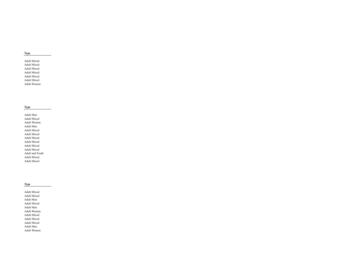### **Type**

Adult Mixed Adult Mixed Adult Mixed Adult Mixed Adult Mixed Adult Mixed Adult Women

### **Type**

Adult Men Adult Mixed Adult Women Adult Men Adult Mixed Adult Mixed Adult Mixed Adult Mixed Adult Mixed Adult Mixed Adult and Youth Adult Mixed Adult Mixed

### **Type**

Adult Mixed Adult Mixed Adult Men Adult Mixed Adult Men Adult Women Adult Mixed Adult Mixed Adult Mixed Adult Men Adult Women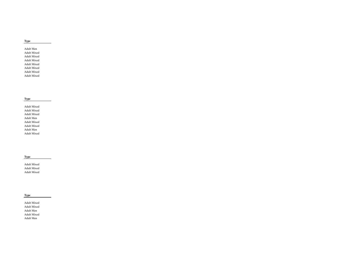### **Type**

Adult Men Adult Mixed Adult Mixed Adult Mixed Adult Mixed Adult Mixed Adult Mixed Adult Mixed

### **Type**

Adult Mixed Adult Mixed Adult Mixed Adult Men Adult Mixed Adult Mixed Adult Men Adult Mixed

### **Type**

Adult Mixed Adult Mixed Adult Mixed

### **Type**

Adult Mixed Adult Mixed Adult Men Adult Mixed Adult Men